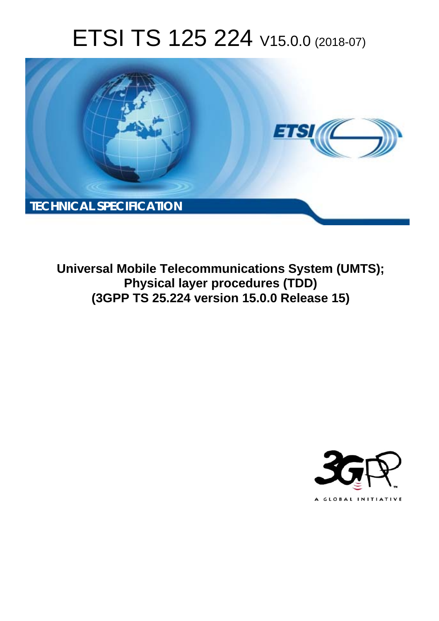# ETSI TS 125 224 V15.0.0 (2018-07)



**Universal Mobile Telecommunications System (UMTS); Physical layer procedures (TDD) (3GPP TS 25.224 version 15.0.0 Release 15)** 

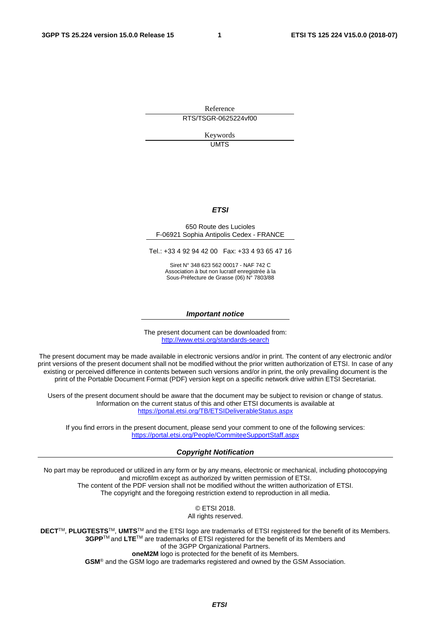Reference RTS/TSGR-0625224vf00

> Keywords UMTS

#### *ETSI*

#### 650 Route des Lucioles F-06921 Sophia Antipolis Cedex - FRANCE

Tel.: +33 4 92 94 42 00 Fax: +33 4 93 65 47 16

Siret N° 348 623 562 00017 - NAF 742 C Association à but non lucratif enregistrée à la Sous-Préfecture de Grasse (06) N° 7803/88

#### *Important notice*

The present document can be downloaded from: <http://www.etsi.org/standards-search>

The present document may be made available in electronic versions and/or in print. The content of any electronic and/or print versions of the present document shall not be modified without the prior written authorization of ETSI. In case of any existing or perceived difference in contents between such versions and/or in print, the only prevailing document is the print of the Portable Document Format (PDF) version kept on a specific network drive within ETSI Secretariat.

Users of the present document should be aware that the document may be subject to revision or change of status. Information on the current status of this and other ETSI documents is available at <https://portal.etsi.org/TB/ETSIDeliverableStatus.aspx>

If you find errors in the present document, please send your comment to one of the following services: <https://portal.etsi.org/People/CommiteeSupportStaff.aspx>

#### *Copyright Notification*

No part may be reproduced or utilized in any form or by any means, electronic or mechanical, including photocopying and microfilm except as authorized by written permission of ETSI. The content of the PDF version shall not be modified without the written authorization of ETSI. The copyright and the foregoing restriction extend to reproduction in all media.

> © ETSI 2018. All rights reserved.

**DECT**TM, **PLUGTESTS**TM, **UMTS**TM and the ETSI logo are trademarks of ETSI registered for the benefit of its Members. **3GPP**TM and **LTE**TM are trademarks of ETSI registered for the benefit of its Members and of the 3GPP Organizational Partners. **oneM2M** logo is protected for the benefit of its Members.

**GSM**® and the GSM logo are trademarks registered and owned by the GSM Association.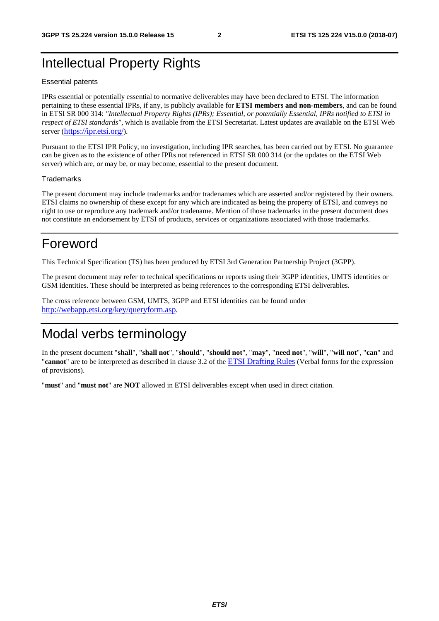## Intellectual Property Rights

#### Essential patents

IPRs essential or potentially essential to normative deliverables may have been declared to ETSI. The information pertaining to these essential IPRs, if any, is publicly available for **ETSI members and non-members**, and can be found in ETSI SR 000 314: *"Intellectual Property Rights (IPRs); Essential, or potentially Essential, IPRs notified to ETSI in respect of ETSI standards"*, which is available from the ETSI Secretariat. Latest updates are available on the ETSI Web server ([https://ipr.etsi.org/\)](https://ipr.etsi.org/).

Pursuant to the ETSI IPR Policy, no investigation, including IPR searches, has been carried out by ETSI. No guarantee can be given as to the existence of other IPRs not referenced in ETSI SR 000 314 (or the updates on the ETSI Web server) which are, or may be, or may become, essential to the present document.

#### **Trademarks**

The present document may include trademarks and/or tradenames which are asserted and/or registered by their owners. ETSI claims no ownership of these except for any which are indicated as being the property of ETSI, and conveys no right to use or reproduce any trademark and/or tradename. Mention of those trademarks in the present document does not constitute an endorsement by ETSI of products, services or organizations associated with those trademarks.

## Foreword

This Technical Specification (TS) has been produced by ETSI 3rd Generation Partnership Project (3GPP).

The present document may refer to technical specifications or reports using their 3GPP identities, UMTS identities or GSM identities. These should be interpreted as being references to the corresponding ETSI deliverables.

The cross reference between GSM, UMTS, 3GPP and ETSI identities can be found under <http://webapp.etsi.org/key/queryform.asp>.

## Modal verbs terminology

In the present document "**shall**", "**shall not**", "**should**", "**should not**", "**may**", "**need not**", "**will**", "**will not**", "**can**" and "**cannot**" are to be interpreted as described in clause 3.2 of the [ETSI Drafting Rules](https://portal.etsi.org/Services/editHelp!/Howtostart/ETSIDraftingRules.aspx) (Verbal forms for the expression of provisions).

"**must**" and "**must not**" are **NOT** allowed in ETSI deliverables except when used in direct citation.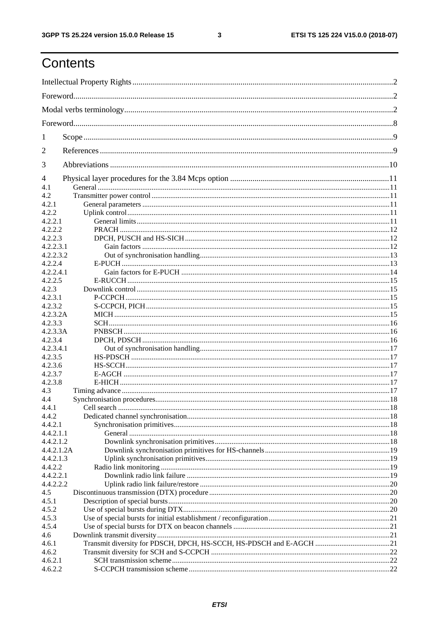$\mathbf{3}$ 

## Contents

| 1          |                                                                     |  |  |  |  |  |  |  |
|------------|---------------------------------------------------------------------|--|--|--|--|--|--|--|
| 2          |                                                                     |  |  |  |  |  |  |  |
| 3          |                                                                     |  |  |  |  |  |  |  |
| 4          |                                                                     |  |  |  |  |  |  |  |
| 4.1        |                                                                     |  |  |  |  |  |  |  |
| 4.2        |                                                                     |  |  |  |  |  |  |  |
| 4.2.1      |                                                                     |  |  |  |  |  |  |  |
| 4.2.2      |                                                                     |  |  |  |  |  |  |  |
| 4.2.2.1    |                                                                     |  |  |  |  |  |  |  |
| 4.2.2.2    |                                                                     |  |  |  |  |  |  |  |
| 4.2.2.3    |                                                                     |  |  |  |  |  |  |  |
| 4.2.2.3.1  |                                                                     |  |  |  |  |  |  |  |
| 4.2.2.3.2  |                                                                     |  |  |  |  |  |  |  |
| 4.2.2.4    |                                                                     |  |  |  |  |  |  |  |
| 4.2.2.4.1  |                                                                     |  |  |  |  |  |  |  |
| 4.2.2.5    |                                                                     |  |  |  |  |  |  |  |
| 4.2.3      |                                                                     |  |  |  |  |  |  |  |
| 4.2.3.1    |                                                                     |  |  |  |  |  |  |  |
| 4.2.3.2    |                                                                     |  |  |  |  |  |  |  |
| 4.2.3.2A   |                                                                     |  |  |  |  |  |  |  |
| 4.2.3.3    |                                                                     |  |  |  |  |  |  |  |
| 4.2.3.3A   |                                                                     |  |  |  |  |  |  |  |
| 4.2.3.4    |                                                                     |  |  |  |  |  |  |  |
| 4.2.3.4.1  |                                                                     |  |  |  |  |  |  |  |
| 4.2.3.5    |                                                                     |  |  |  |  |  |  |  |
| 4.2.3.6    |                                                                     |  |  |  |  |  |  |  |
| 4.2.3.7    |                                                                     |  |  |  |  |  |  |  |
| 4.2.3.8    |                                                                     |  |  |  |  |  |  |  |
| 4.3        |                                                                     |  |  |  |  |  |  |  |
| 4.4        |                                                                     |  |  |  |  |  |  |  |
| 4.4.1      |                                                                     |  |  |  |  |  |  |  |
| 4.4.2      |                                                                     |  |  |  |  |  |  |  |
| 4.4.2.1    |                                                                     |  |  |  |  |  |  |  |
| 4.4.2.1.1  |                                                                     |  |  |  |  |  |  |  |
| 4.4.2.1.2  |                                                                     |  |  |  |  |  |  |  |
| 4.4.2.1.2A |                                                                     |  |  |  |  |  |  |  |
| 4.4.2.1.3  |                                                                     |  |  |  |  |  |  |  |
| 4.4.2.2    |                                                                     |  |  |  |  |  |  |  |
| 4.4.2.2.1  |                                                                     |  |  |  |  |  |  |  |
| 4.4.2.2.2  |                                                                     |  |  |  |  |  |  |  |
| 4.5        |                                                                     |  |  |  |  |  |  |  |
| 4.5.1      |                                                                     |  |  |  |  |  |  |  |
| 4.5.2      |                                                                     |  |  |  |  |  |  |  |
| 4.5.3      |                                                                     |  |  |  |  |  |  |  |
| 4.5.4      |                                                                     |  |  |  |  |  |  |  |
|            |                                                                     |  |  |  |  |  |  |  |
| 4.6        |                                                                     |  |  |  |  |  |  |  |
| 4.6.1      | Transmit diversity for PDSCH, DPCH, HS-SCCH, HS-PDSCH and E-AGCH 21 |  |  |  |  |  |  |  |
| 4.6.2      |                                                                     |  |  |  |  |  |  |  |
| 4.6.2.1    |                                                                     |  |  |  |  |  |  |  |
| 4.6.2.2    |                                                                     |  |  |  |  |  |  |  |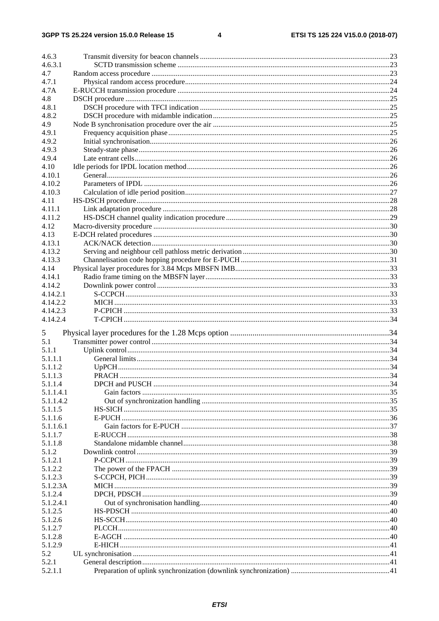$\overline{\mathbf{4}}$ 

| 4.6.3            |  |
|------------------|--|
| 4.6.3.1          |  |
| 4.7              |  |
| 4.7.1            |  |
| 4.7A             |  |
| 4.8              |  |
| 4.8.1            |  |
| 4.8.2            |  |
| 4.9              |  |
| 4.9.1            |  |
| 4.9.2            |  |
| 4.9.3            |  |
| 4.9.4            |  |
| 4.10             |  |
| 4.10.1           |  |
| 4.10.2           |  |
| 4.10.3           |  |
| 4.11             |  |
| 4.11.1           |  |
| 4.11.2           |  |
|                  |  |
| 4.12             |  |
| 4.13             |  |
| 4.13.1           |  |
| 4.13.2           |  |
| 4.13.3           |  |
| 4.14             |  |
| 4.14.1           |  |
| 4.14.2           |  |
| 4.14.2.1         |  |
| 4.14.2.2         |  |
| 4.14.2.3         |  |
| 4.14.2.4         |  |
| 5                |  |
|                  |  |
|                  |  |
| 5.1              |  |
| 5.1.1            |  |
| 5.1.1.1          |  |
| 5.1.1.2          |  |
| 5.1.1.3          |  |
| 5.1.1.4          |  |
| 5.1.1.4.1        |  |
| 5.1.1.4.2        |  |
| 5.1.1.5          |  |
| 5.1.1.6          |  |
| 5.1.1.6.1        |  |
| 5.1.1.7          |  |
| 5.1.1.8          |  |
| 5.1.2            |  |
| 5.1.2.1          |  |
| 5.1.2.2          |  |
| 5.1.2.3          |  |
| 5.1.2.3A         |  |
| 5.1.2.4          |  |
| 5.1.2.4.1        |  |
| 5.1.2.5          |  |
| 5.1.2.6          |  |
| 5.1.2.7          |  |
| 5.1.2.8          |  |
| 5.1.2.9          |  |
| 5.2              |  |
| 5.2.1<br>5.2.1.1 |  |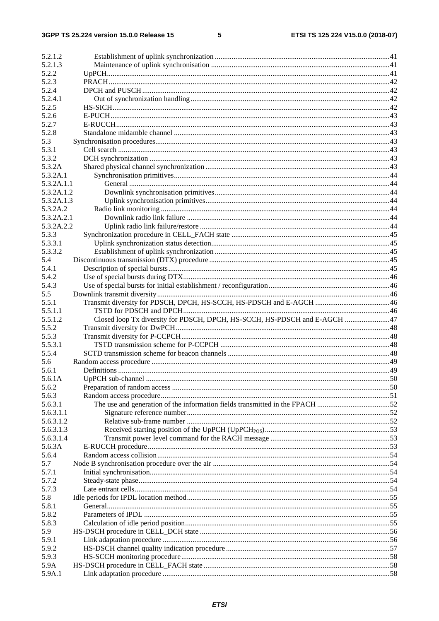#### $5\phantom{a}$

| 5.2.1.2    |                                                                              |  |
|------------|------------------------------------------------------------------------------|--|
| 5.2.1.3    |                                                                              |  |
| 5.2.2      |                                                                              |  |
| 5.2.3      |                                                                              |  |
| 5.2.4      |                                                                              |  |
| 5.2.4.1    |                                                                              |  |
| 5.2.5      |                                                                              |  |
| 5.2.6      |                                                                              |  |
| 5.2.7      |                                                                              |  |
| 5.2.8      |                                                                              |  |
| 5.3        |                                                                              |  |
| 5.3.1      |                                                                              |  |
| 5.3.2      |                                                                              |  |
| 5.3.2A     |                                                                              |  |
| 5.3.2A.1   |                                                                              |  |
| 5.3.2A.1.1 |                                                                              |  |
| 5.3.2A.1.2 |                                                                              |  |
| 5.3.2A.1.3 |                                                                              |  |
| 5.3.2A.2   |                                                                              |  |
| 5.3.2A.2.1 |                                                                              |  |
| 5.3.2A.2.2 |                                                                              |  |
| 5.3.3      |                                                                              |  |
| 5.3.3.1    |                                                                              |  |
| 5.3.3.2    |                                                                              |  |
| 5.4        |                                                                              |  |
| 5.4.1      |                                                                              |  |
| 5.4.2      |                                                                              |  |
| 5.4.3      |                                                                              |  |
| 5.5        |                                                                              |  |
| 5.5.1      |                                                                              |  |
| 5.5.1.1    |                                                                              |  |
|            |                                                                              |  |
| 5.5.1.2    | Closed loop Tx diversity for PDSCH, DPCH, HS-SCCH, HS-PDSCH and E-AGCH  47   |  |
| 5.5.2      |                                                                              |  |
| 5.5.3      |                                                                              |  |
| 5.5.3.1    |                                                                              |  |
| 5.5.4      |                                                                              |  |
| 5.6        |                                                                              |  |
| 5.6.1      |                                                                              |  |
| 5.6.1A     |                                                                              |  |
| 5.6.2      |                                                                              |  |
| 5.6.3      |                                                                              |  |
| 5.6.3.1    | The use and generation of the information fields transmitted in the FPACH 52 |  |
| 5.6.3.1.1  |                                                                              |  |
| 5.6.3.1.2  |                                                                              |  |
| 5.6.3.1.3  |                                                                              |  |
| 5.6.3.1.4  |                                                                              |  |
| 5.6.3A     |                                                                              |  |
| 5.6.4      |                                                                              |  |
| 5.7        |                                                                              |  |
| 5.7.1      |                                                                              |  |
| 5.7.2      |                                                                              |  |
| 5.7.3      |                                                                              |  |
| 5.8        |                                                                              |  |
| 5.8.1      |                                                                              |  |
| 5.8.2      |                                                                              |  |
| 5.8.3      |                                                                              |  |
| 5.9        |                                                                              |  |
| 5.9.1      |                                                                              |  |
| 5.9.2      |                                                                              |  |
| 5.9.3      |                                                                              |  |
| 5.9A       |                                                                              |  |
| 5.9A.1     |                                                                              |  |
|            |                                                                              |  |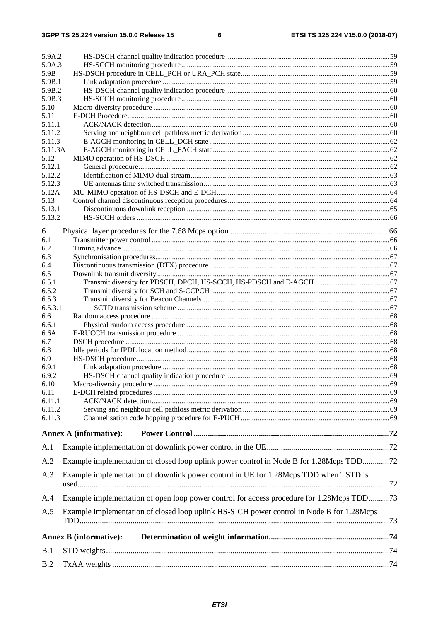| 5.9A.2        |                                                                                           |  |
|---------------|-------------------------------------------------------------------------------------------|--|
| 5.9A.3        |                                                                                           |  |
| 5.9B          |                                                                                           |  |
| 5.9B.1        |                                                                                           |  |
| 5.9B.2        |                                                                                           |  |
| 5.9B.3        |                                                                                           |  |
| 5.10          |                                                                                           |  |
| 5.11          |                                                                                           |  |
| 5.11.1        |                                                                                           |  |
| 5.11.2        |                                                                                           |  |
| 5.11.3        |                                                                                           |  |
| 5.11.3A       |                                                                                           |  |
| 5.12          |                                                                                           |  |
| 5.12.1        |                                                                                           |  |
| 5.12.2        |                                                                                           |  |
| 5.12.3        |                                                                                           |  |
| 5.12A<br>5.13 |                                                                                           |  |
| 5.13.1        |                                                                                           |  |
| 5.13.2        |                                                                                           |  |
|               |                                                                                           |  |
| 6             |                                                                                           |  |
| 6.1           |                                                                                           |  |
| 6.2           |                                                                                           |  |
| 6.3           |                                                                                           |  |
| 6.4           |                                                                                           |  |
| 6.5           |                                                                                           |  |
| 6.5.1         |                                                                                           |  |
| 6.5.2         |                                                                                           |  |
| 6.5.3         |                                                                                           |  |
| 6.5.3.1       |                                                                                           |  |
| 6.6           |                                                                                           |  |
| 6.6.1         |                                                                                           |  |
| 6.6A          |                                                                                           |  |
| 6.7           |                                                                                           |  |
| 6.8           |                                                                                           |  |
| 6.9           |                                                                                           |  |
| 6.9.1         |                                                                                           |  |
| 6.9.2         |                                                                                           |  |
| 6.10          |                                                                                           |  |
| 6.11          |                                                                                           |  |
| 6.11.1        |                                                                                           |  |
| 6.11.2        |                                                                                           |  |
| 6.11.3        |                                                                                           |  |
|               | <b>Annex A (informative):</b>                                                             |  |
| A.1           |                                                                                           |  |
|               |                                                                                           |  |
| A.2           | Example implementation of closed loop uplink power control in Node B for 1.28Mcps TDD72   |  |
| A.3           | Example implementation of downlink power control in UE for 1.28Mcps TDD when TSTD is      |  |
| A.4           | Example implementation of open loop power control for access procedure for 1.28Mcps TDD73 |  |
| A.5           | Example implementation of closed loop uplink HS-SICH power control in Node B for 1.28Mcps |  |
|               |                                                                                           |  |
|               | <b>Annex B</b> (informative):                                                             |  |
| B.1           |                                                                                           |  |
| B.2           |                                                                                           |  |
|               |                                                                                           |  |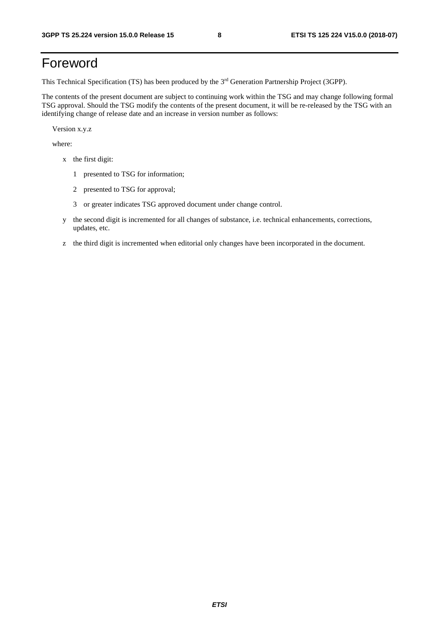## Foreword

This Technical Specification (TS) has been produced by the 3rd Generation Partnership Project (3GPP).

The contents of the present document are subject to continuing work within the TSG and may change following formal TSG approval. Should the TSG modify the contents of the present document, it will be re-released by the TSG with an identifying change of release date and an increase in version number as follows:

Version x.y.z

where:

- x the first digit:
	- 1 presented to TSG for information;
	- 2 presented to TSG for approval;
	- 3 or greater indicates TSG approved document under change control.
- y the second digit is incremented for all changes of substance, i.e. technical enhancements, corrections, updates, etc.
- z the third digit is incremented when editorial only changes have been incorporated in the document.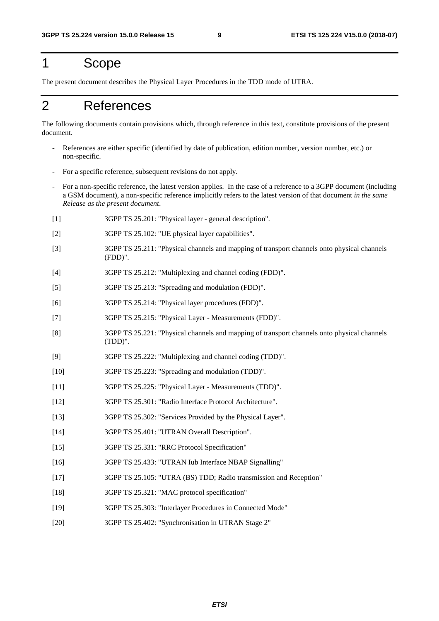## 1 Scope

The present document describes the Physical Layer Procedures in the TDD mode of UTRA.

## 2 References

The following documents contain provisions which, through reference in this text, constitute provisions of the present document.

- References are either specific (identified by date of publication, edition number, version number, etc.) or non-specific.
- For a specific reference, subsequent revisions do not apply.
- For a non-specific reference, the latest version applies. In the case of a reference to a 3GPP document (including a GSM document), a non-specific reference implicitly refers to the latest version of that document *in the same Release as the present document*.
- [1] 3GPP TS 25.201: "Physical layer general description".
- [2] 3GPP TS 25.102: "UE physical layer capabilities".
- [3] 3GPP TS 25.211: "Physical channels and mapping of transport channels onto physical channels (FDD)".
- [4] 3GPP TS 25.212: "Multiplexing and channel coding (FDD)".
- [5] 3GPP TS 25.213: "Spreading and modulation (FDD)".
- [6] 3GPP TS 25.214: "Physical layer procedures (FDD)".
- [7] 3GPP TS 25.215: "Physical Layer Measurements (FDD)".
- [8] 3GPP TS 25.221: "Physical channels and mapping of transport channels onto physical channels (TDD)".
- [9] 3GPP TS 25.222: "Multiplexing and channel coding (TDD)".
- [10] 3GPP TS 25.223: "Spreading and modulation (TDD)".
- [11] 3GPP TS 25.225: "Physical Layer Measurements (TDD)".
- [12] 3GPP TS 25.301: "Radio Interface Protocol Architecture".
- [13] 3GPP TS 25.302: "Services Provided by the Physical Layer".
- [14] 3GPP TS 25.401: "UTRAN Overall Description".
- [15] 3GPP TS 25.331: "RRC Protocol Specification"
- [16] 3GPP TS 25.433: "UTRAN Iub Interface NBAP Signalling"
- [17] 3GPP TS 25.105: "UTRA (BS) TDD; Radio transmission and Reception"
- [18] 3GPP TS 25.321: "MAC protocol specification"
- [19] 3GPP TS 25.303: "Interlayer Procedures in Connected Mode"
- [20] 3GPP TS 25.402: "Synchronisation in UTRAN Stage 2"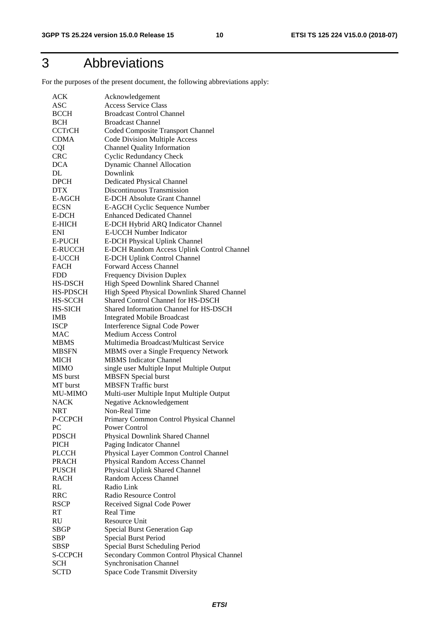## 3 Abbreviations

For the purposes of the present document, the following abbreviations apply:

| ACK             | Acknowledgement                             |
|-----------------|---------------------------------------------|
| ASC             | <b>Access Service Class</b>                 |
| <b>BCCH</b>     | <b>Broadcast Control Channel</b>            |
| <b>BCH</b>      | <b>Broadcast Channel</b>                    |
| <b>CCTrCH</b>   | Coded Composite Transport Channel           |
| <b>CDMA</b>     | <b>Code Division Multiple Access</b>        |
| <b>CQI</b>      | <b>Channel Quality Information</b>          |
| <b>CRC</b>      | <b>Cyclic Redundancy Check</b>              |
| <b>DCA</b>      | <b>Dynamic Channel Allocation</b>           |
| DL              | Downlink                                    |
| <b>DPCH</b>     | <b>Dedicated Physical Channel</b>           |
| <b>DTX</b>      | Discontinuous Transmission                  |
| E-AGCH          | <b>E-DCH Absolute Grant Channel</b>         |
| <b>ECSN</b>     | E-AGCH Cyclic Sequence Number               |
| E-DCH           | <b>Enhanced Dedicated Channel</b>           |
| <b>E-HICH</b>   | E-DCH Hybrid ARQ Indicator Channel          |
| ENI             | <b>E-UCCH Number Indicator</b>              |
| E-PUCH          | <b>E-DCH Physical Uplink Channel</b>        |
| <b>E-RUCCH</b>  | E-DCH Random Access Uplink Control Channel  |
| <b>E-UCCH</b>   | E-DCH Uplink Control Channel                |
| <b>FACH</b>     | <b>Forward Access Channel</b>               |
| <b>FDD</b>      | <b>Frequency Division Duplex</b>            |
| HS-DSCH         | High Speed Downlink Shared Channel          |
| <b>HS-PDSCH</b> | High Speed Physical Downlink Shared Channel |
| HS-SCCH         | Shared Control Channel for HS-DSCH          |
| <b>HS-SICH</b>  | Shared Information Channel for HS-DSCH      |
| <b>IMB</b>      | <b>Integrated Mobile Broadcast</b>          |
| <b>ISCP</b>     | Interference Signal Code Power              |
| <b>MAC</b>      | Medium Access Control                       |
| <b>MBMS</b>     | Multimedia Broadcast/Multicast Service      |
| <b>MBSFN</b>    | MBMS over a Single Frequency Network        |
| <b>MICH</b>     | <b>MBMS</b> Indicator Channel               |
| <b>MIMO</b>     | single user Multiple Input Multiple Output  |
| MS burst        | <b>MBSFN</b> Special burst                  |
| MT burst        | <b>MBSFN</b> Traffic burst                  |
| <b>MU-MIMO</b>  | Multi-user Multiple Input Multiple Output   |
| <b>NACK</b>     | Negative Acknowledgement                    |
| NRT             | Non-Real Time                               |
| P-CCPCH         | Primary Common Control Physical Channel     |
| PC              | Power Control                               |
| <b>PDSCH</b>    | Physical Downlink Shared Channel            |
| <b>PICH</b>     | Paging Indicator Channel                    |
| <b>PLCCH</b>    | Physical Layer Common Control Channel       |
| <b>PRACH</b>    | Physical Random Access Channel              |
| <b>PUSCH</b>    | Physical Uplink Shared Channel              |
| <b>RACH</b>     | Random Access Channel                       |
| RL              | Radio Link                                  |
| <b>RRC</b>      | Radio Resource Control                      |
| <b>RSCP</b>     | Received Signal Code Power                  |
| RT              | <b>Real Time</b>                            |
| RU              | <b>Resource Unit</b>                        |
| SBGP            | <b>Special Burst Generation Gap</b>         |
| SBP             | Special Burst Period                        |
| SBSP            | Special Burst Scheduling Period             |
| S-CCPCH         | Secondary Common Control Physical Channel   |
| SCH             | <b>Synchronisation Channel</b>              |
| <b>SCTD</b>     | Space Code Transmit Diversity               |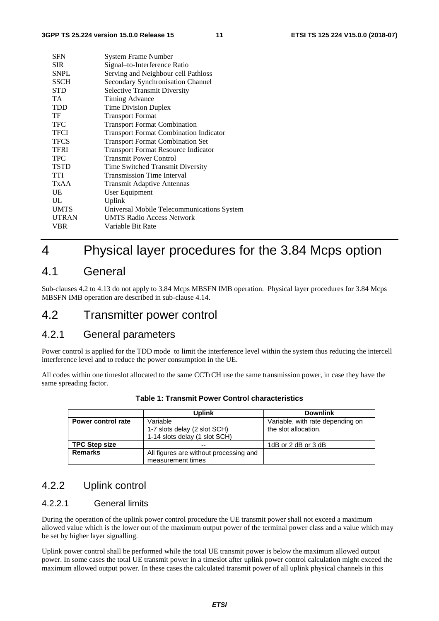| <b>SFN</b>   | System Frame Number                           |
|--------------|-----------------------------------------------|
| <b>SIR</b>   | Signal-to-Interference Ratio                  |
| <b>SNPL</b>  | Serving and Neighbour cell Pathloss           |
| SSCH         | Secondary Synchronisation Channel             |
| STD          | <b>Selective Transmit Diversity</b>           |
| <b>TA</b>    | Timing Advance                                |
| <b>TDD</b>   | <b>Time Division Duplex</b>                   |
| TF           | <b>Transport Format</b>                       |
| <b>TFC</b>   | <b>Transport Format Combination</b>           |
| <b>TFCI</b>  | <b>Transport Format Combination Indicator</b> |
| <b>TFCS</b>  | <b>Transport Format Combination Set</b>       |
| <b>TFRI</b>  | <b>Transport Format Resource Indicator</b>    |
| <b>TPC</b>   | <b>Transmit Power Control</b>                 |
| <b>TSTD</b>  | Time Switched Transmit Diversity              |
| <b>TTI</b>   | <b>Transmission Time Interval</b>             |
| TxAA         | <b>Transmit Adaptive Antennas</b>             |
| UE           | User Equipment                                |
| UL           | Uplink                                        |
| <b>UMTS</b>  | Universal Mobile Telecommunications System    |
| <b>UTRAN</b> | <b>UMTS Radio Access Network</b>              |
| VBR          | Variable Bit Rate                             |
|              |                                               |

## 4 Physical layer procedures for the 3.84 Mcps option

## 4.1 General

Sub-clauses 4.2 to 4.13 do not apply to 3.84 Mcps MBSFN IMB operation. Physical layer procedures for 3.84 Mcps MBSFN IMB operation are described in sub-clause 4.14.

## 4.2 Transmitter power control

## 4.2.1 General parameters

Power control is applied for the TDD mode to limit the interference level within the system thus reducing the intercell interference level and to reduce the power consumption in the UE.

All codes within one timeslot allocated to the same CCTrCH use the same transmission power, in case they have the same spreading factor.

|                           | Uplink                                 | <b>Downlink</b>                  |
|---------------------------|----------------------------------------|----------------------------------|
| <b>Power control rate</b> | Variable                               | Variable, with rate depending on |
|                           | 1-7 slots delay (2 slot SCH)           | the slot allocation.             |
|                           | 1-14 slots delay (1 slot SCH)          |                                  |
| <b>TPC Step size</b>      |                                        | 1dB or 2 dB or 3 dB              |
| <b>Remarks</b>            | All figures are without processing and |                                  |
|                           | measurement times                      |                                  |

**Table 1: Transmit Power Control characteristics** 

## 4.2.2 Uplink control

#### 4.2.2.1 General limits

During the operation of the uplink power control procedure the UE transmit power shall not exceed a maximum allowed value which is the lower out of the maximum output power of the terminal power class and a value which may be set by higher layer signalling.

Uplink power control shall be performed while the total UE transmit power is below the maximum allowed output power. In some cases the total UE transmit power in a timeslot after uplink power control calculation might exceed the maximum allowed output power. In these cases the calculated transmit power of all uplink physical channels in this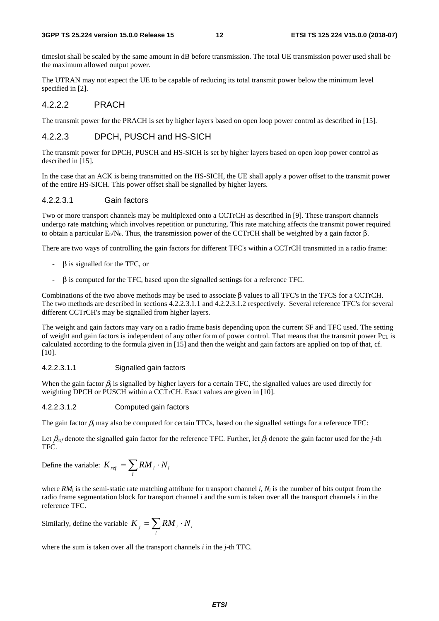#### **3GPP TS 25.224 version 15.0.0 Release 15 12 ETSI TS 125 224 V15.0.0 (2018-07)**

timeslot shall be scaled by the same amount in dB before transmission. The total UE transmission power used shall be the maximum allowed output power.

The UTRAN may not expect the UE to be capable of reducing its total transmit power below the minimum level specified in [2].

### 4.2.2.2 PRACH

The transmit power for the PRACH is set by higher layers based on open loop power control as described in [15].

### 4.2.2.3 DPCH, PUSCH and HS-SICH

The transmit power for DPCH, PUSCH and HS-SICH is set by higher layers based on open loop power control as described in [15].

In the case that an ACK is being transmitted on the HS-SICH, the UE shall apply a power offset to the transmit power of the entire HS-SICH. This power offset shall be signalled by higher layers.

### 4.2.2.3.1 Gain factors

Two or more transport channels may be multiplexed onto a CCTrCH as described in [9]. These transport channels undergo rate matching which involves repetition or puncturing. This rate matching affects the transmit power required to obtain a particular  $E<sub>b</sub>/N<sub>0</sub>$ . Thus, the transmission power of the CCTrCH shall be weighted by a gain factor β.

There are two ways of controlling the gain factors for different TFC's within a CCTrCH transmitted in a radio frame:

- β is signalled for the TFC, or
- $\beta$  is computed for the TFC, based upon the signalled settings for a reference TFC.

Combinations of the two above methods may be used to associate β values to all TFC's in the TFCS for a CCTrCH. The two methods are described in sections 4.2.2.3.1.1 and 4.2.2.3.1.2 respectively. Several reference TFC's for several different CCTrCH's may be signalled from higher layers.

The weight and gain factors may vary on a radio frame basis depending upon the current SF and TFC used. The setting of weight and gain factors is independent of any other form of power control. That means that the transmit power PUL is calculated according to the formula given in [15] and then the weight and gain factors are applied on top of that, cf. [10].

#### 4.2.2.3.1.1 Signalled gain factors

When the gain factor  $\beta_i$  is signalled by higher layers for a certain TFC, the signalled values are used directly for weighting DPCH or PUSCH within a CCTrCH. Exact values are given in [10].

#### 4.2.2.3.1.2 Computed gain factors

The gain factor β*j* may also be computed for certain TFCs, based on the signalled settings for a reference TFC:

Let β*ref* denote the signalled gain factor for the reference TFC. Further, let β*j* denote the gain factor used for the *j*-th TFC.

Define the variable: 
$$
K_{ref} = \sum_{i} RM_{i} \cdot N_{i}
$$

where  $RM_i$  is the semi-static rate matching attribute for transport channel *i*,  $N_i$  is the number of bits output from the radio frame segmentation block for transport channel *i* and the sum is taken over all the transport channels *i* in the reference TFC.

Similarly, define the variable  $K_j = \sum RM_i$ . *i*  $K_{i} = \sum RM_{i} \cdot N_{i}$ 

where the sum is taken over all the transport channels *i* in the *j*-th TFC.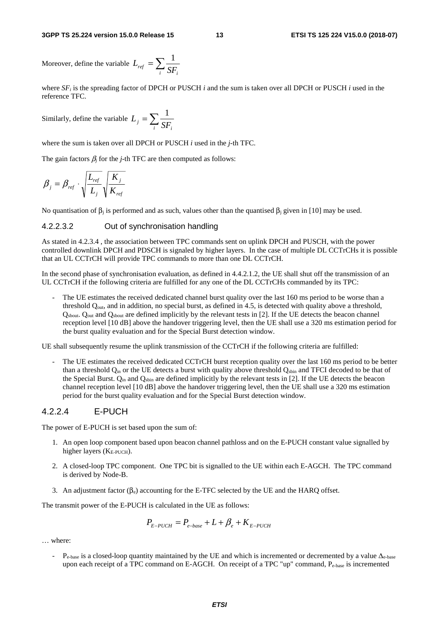Moreover, define the variable  $L_{ref} = \sum$  $\frac{ref}{if}$   $\frac{1}{i}$   $\frac{1}{i}$  $L_{ref} = \sum \frac{1}{\sigma}$ 

where  $SF_i$  is the spreading factor of DPCH or PUSCH *i* and the sum is taken over all DPCH or PUSCH *i* used in the reference TFC.

Similarly, define the variable  $L_j = \sum$  $j - \sum_i SF_i$  $L_i = \sum \frac{1}{2i}$ 

where the sum is taken over all DPCH or PUSCH *i* used in the *j*-th TFC.

The gain factors  $\beta_i$  for the *j*-th TFC are then computed as follows:

$$
\beta_j = \beta_{ref} \cdot \sqrt{\frac{L_{ref}}{L_j}} \sqrt{\frac{K_j}{K_{ref}}}
$$

No quantisation of  $β<sub>i</sub>$  is performed and as such, values other than the quantised  $β<sub>i</sub>$  given in [10] may be used.

#### 4.2.2.3.2 Out of synchronisation handling

As stated in 4.2.3.4 , the association between TPC commands sent on uplink DPCH and PUSCH, with the power controlled downlink DPCH and PDSCH is signaled by higher layers. In the case of multiple DL CCTrCHs it is possible that an UL CCTrCH will provide TPC commands to more than one DL CCTrCH.

In the second phase of synchronisation evaluation, as defined in 4.4.2.1.2, the UE shall shut off the transmission of an UL CCTrCH if the following criteria are fulfilled for any one of the DL CCTrCHs commanded by its TPC:

The UE estimates the received dedicated channel burst quality over the last 160 ms period to be worse than a threshold  $Q<sub>out</sub>$ , and in addition, no special burst, as defined in 4.5, is detected with quality above a threshold, Qsbout. Qout and Qsbout are defined implicitly by the relevant tests in [2]. If the UE detects the beacon channel reception level [10 dB] above the handover triggering level, then the UE shall use a 320 ms estimation period for the burst quality evaluation and for the Special Burst detection window.

UE shall subsequently resume the uplink transmission of the CCTrCH if the following criteria are fulfilled:

The UE estimates the received dedicated CCTrCH burst reception quality over the last 160 ms period to be better than a threshold  $Q_{in}$  or the UE detects a burst with quality above threshold  $Q_{\text{spin}}$  and TFCI decoded to be that of the Special Burst.  $O_{in}$  and  $O_{spin}$  are defined implicitly by the relevant tests in [2]. If the UE detects the beacon channel reception level [10 dB] above the handover triggering level, then the UE shall use a 320 ms estimation period for the burst quality evaluation and for the Special Burst detection window.

#### 4.2.2.4 E-PUCH

The power of E-PUCH is set based upon the sum of:

- 1. An open loop component based upon beacon channel pathloss and on the E-PUCH constant value signalled by higher layers  $(K_{E\text{-PUCH}})$ .
- 2. A closed-loop TPC component. One TPC bit is signalled to the UE within each E-AGCH. The TPC command is derived by Node-B.
- 3. An adjustment factor  $(\beta_e)$  accounting for the E-TFC selected by the UE and the HARQ offset.

The transmit power of the E-PUCH is calculated in the UE as follows:

$$
P_{E-PUCH} = P_{e-base} + L + \beta_e + K_{E-PUCH}
$$

… where:

-  $P_{e-base}$  is a closed-loop quantity maintained by the UE and which is incremented or decremented by a value  $\Delta_{e-base}$ upon each receipt of a TPC command on E-AGCH. On receipt of a TPC "up" command, Pe-base is incremented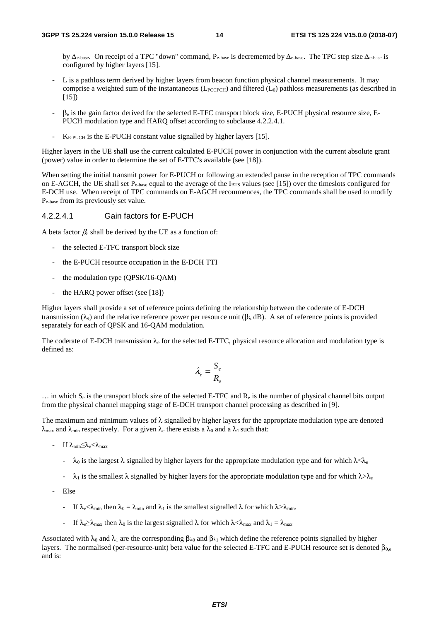by Δe-base. On receipt of a TPC "down" command, Pe-base is decremented by Δe-base. The TPC step size Δe-base is configured by higher layers [15].

- L is a pathloss term derived by higher layers from beacon function physical channel measurements. It may comprise a weighted sum of the instantaneous ( $L_{PCCPCH}$ ) and filtered ( $L_0$ ) pathloss measurements (as described in  $[15]$
- $\beta_e$  is the gain factor derived for the selected E-TFC transport block size, E-PUCH physical resource size, E-PUCH modulation type and HARQ offset according to subclause 4.2.2.4.1.
- $K_{\text{E-PUCH}}$  is the E-PUCH constant value signalled by higher layers [15].

Higher layers in the UE shall use the current calculated E-PUCH power in conjunction with the current absolute grant (power) value in order to determine the set of E-TFC's available (see [18]).

When setting the initial transmit power for E-PUCH or following an extended pause in the reception of TPC commands on E-AGCH, the UE shall set  $P_{\text{e-base}}$  equal to the average of the I<sub>BTS</sub> values (see [15]) over the timeslots configured for E-DCH use. When receipt of TPC commands on E-AGCH recommences, the TPC commands shall be used to modify Pe-base from its previously set value.

#### 4.2.2.4.1 Gain factors for E-PUCH

A beta factor β*e* shall be derived by the UE as a function of:

- the selected E-TFC transport block size
- the E-PUCH resource occupation in the E-DCH TTI
- the modulation type (QPSK/16-QAM)
- the HARQ power offset (see [18])

Higher layers shall provide a set of reference points defining the relationship between the coderate of E-DCH transmission (λ<sub>e</sub>) and the relative reference power per resource unit (βλ dB). A set of reference points is provided separately for each of QPSK and 16-QAM modulation.

The coderate of E-DCH transmission  $\lambda_e$  for the selected E-TFC, physical resource allocation and modulation type is defined as:

$$
\lambda_e = \frac{S_e}{R_e}
$$

 $\ldots$  in which  $S_e$  is the transport block size of the selected E-TFC and  $R_e$  is the number of physical channel bits output from the physical channel mapping stage of E-DCH transport channel processing as described in [9].

The maximum and minimum values of  $\lambda$  signalled by higher layers for the appropriate modulation type are denoted  $\lambda_{\text{max}}$  and  $\lambda_{\text{min}}$  respectively. For a given  $\lambda_e$  there exists a  $\lambda_0$  and a  $\lambda_1$  such that:

- If  $\lambda_{\min} \leq \lambda_e \leq \lambda_{\max}$ 
	- $\lambda_0$  is the largest  $\lambda$  signalled by higher layers for the appropriate modulation type and for which  $\lambda \leq \lambda_e$
	- $-\lambda_1$  is the smallest  $\lambda$  signalled by higher layers for the appropriate modulation type and for which  $\lambda > \lambda_e$
- Else
	- If  $\lambda_e < \lambda_{\min}$  then  $\lambda_0 = \lambda_{\min}$  and  $\lambda_1$  is the smallest signalled  $\lambda$  for which  $\lambda > \lambda_{\min}$ .
	- If  $\lambda_e \ge \lambda_{\text{max}}$  then  $\lambda_0$  is the largest signalled  $\lambda$  for which  $\lambda < \lambda_{\text{max}}$  and  $\lambda_1 = \lambda_{\text{max}}$

Associated with  $\lambda_0$  and  $\lambda_1$  are the corresponding  $\beta_{\lambda_0}$  and  $\beta_{\lambda_1}$  which define the reference points signalled by higher layers. The normalised (per-resource-unit) beta value for the selected E-TFC and E-PUCH resource set is denoted  $β_{0,e}$ and is: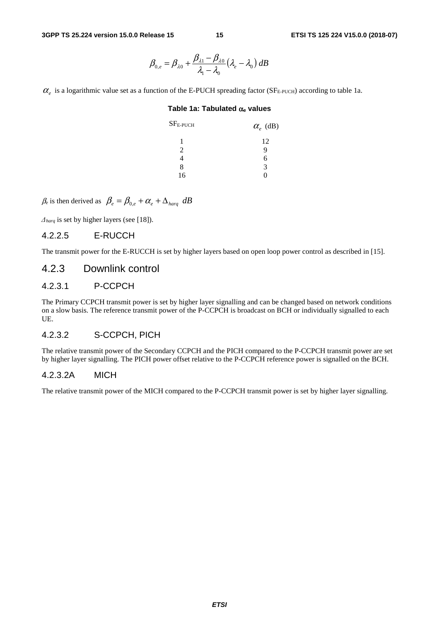$$
\beta_{0,e} = \beta_{\lambda 0} + \frac{\beta_{\lambda 1} - \beta_{\lambda 0}}{\lambda_1 - \lambda_0} \left(\lambda_e - \lambda_0\right) dB
$$

 $\alpha$ <sub>e</sub> is a logarithmic value set as a function of the E-PUCH spreading factor (SF<sub>E-PUCH</sub>) according to table 1a.

#### **Table 1a: Tabulated** α**e values**

| ${\rm SF_{E\text{-}PUCH}}$ | $\alpha_e$ (dB) |
|----------------------------|-----------------|
| 1                          | 12              |
| $\mathfrak{D}$             | q               |
| 4                          | 6               |
| 8                          | 3               |
| 16                         | . .             |
|                            |                 |

 $\beta_e$  is then derived as  $\beta_e = \beta_{0,e} + \alpha_e + \Delta_{hard} dB$ 

Δ*harq* is set by higher layers (see [18]).

#### 4.2.2.5 E-RUCCH

The transmit power for the E-RUCCH is set by higher layers based on open loop power control as described in [15].

### 4.2.3 Downlink control

#### 4.2.3.1 P-CCPCH

The Primary CCPCH transmit power is set by higher layer signalling and can be changed based on network conditions on a slow basis. The reference transmit power of the P-CCPCH is broadcast on BCH or individually signalled to each UE.

### 4.2.3.2 S-CCPCH, PICH

The relative transmit power of the Secondary CCPCH and the PICH compared to the P-CCPCH transmit power are set by higher layer signalling. The PICH power offset relative to the P-CCPCH reference power is signalled on the BCH.

#### 4.2.3.2A MICH

The relative transmit power of the MICH compared to the P-CCPCH transmit power is set by higher layer signalling.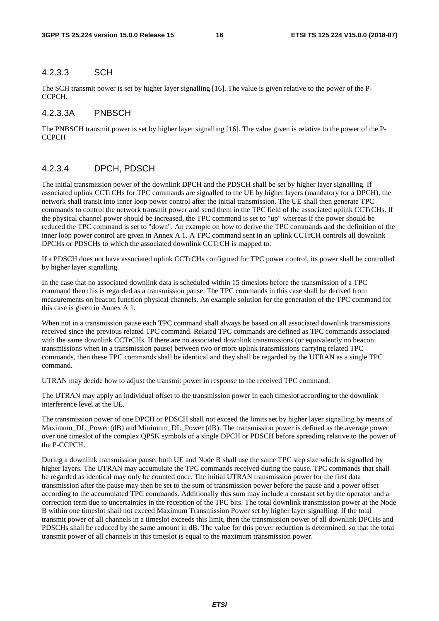#### 4.2.3.3 SCH

The SCH transmit power is set by higher layer signalling [16]. The value is given relative to the power of the P-CCPCH.

#### 4.2.3.3A PNBSCH

The PNBSCH transmit power is set by higher layer signalling [16]. The value given is relative to the power of the P-**CCPCH** 

#### 4.2.3.4 DPCH, PDSCH

The initial transmission power of the downlink DPCH and the PDSCH shall be set by higher layer signalling. If associated uplink CCTrCHs for TPC commands are signalled to the UE by higher layers (mandatory for a DPCH), the network shall transit into inner loop power control after the initial transmission. The UE shall then generate TPC commands to control the network transmit power and send them in the TPC field of the associated uplink CCTrCHs. If the physical channel power should be increased, the TPC command is set to "up" whereas if the power should be reduced the TPC command is set to "down". An example on how to derive the TPC commands and the definition of the inner loop power control are given in Annex A.1. A TPC command sent in an uplink CCTrCH controls all downlink DPCHs or PDSCHs to which the associated downlink CCTrCH is mapped to.

If a PDSCH does not have associated uplink CCTrCHs configured for TPC power control, its power shall be controlled by higher layer signalling.

In the case that no associated downlink data is scheduled within 15 timeslots before the transmission of a TPC command then this is regarded as a transmission pause. The TPC commands in this case shall be derived from measurements on beacon function physical channels. An example solution for the generation of the TPC command for this case is given in Annex A 1.

When not in a transmission pause each TPC command shall always be based on all associated downlink transmissions received since the previous related TPC command. Related TPC commands are defined as TPC commands associated with the same downlink CCTrCHs. If there are no associated downlink transmissions (or equivalently no beacon transmissions when in a transmission pause) between two or more uplink transmissions carrying related TPC commands, then these TPC commands shall be identical and they shall be regarded by the UTRAN as a single TPC command.

UTRAN may decide how to adjust the transmit power in response to the received TPC command.

The UTRAN may apply an individual offset to the transmission power in each timeslot according to the downlink interference level at the UE.

The transmission power of one DPCH or PDSCH shall not exceed the limits set by higher layer signalling by means of Maximum\_DL\_Power (dB) and Minimum\_DL\_Power (dB). The transmission power is defined as the average power over one timeslot of the complex QPSK symbols of a single DPCH or PDSCH before spreading relative to the power of the P-CCPCH.

During a downlink transmission pause, both UE and Node B shall use the same TPC step size which is signalled by higher layers. The UTRAN may accumulate the TPC commands received during the pause. TPC commands that shall be regarded as identical may only be counted once. The initial UTRAN transmission power for the first data transmission after the pause may then be set to the sum of transmission power before the pause and a power offset according to the accumulated TPC commands. Additionally this sum may include a constant set by the operator and a correction term due to uncertainties in the reception of the TPC bits. The total downlink transmission power at the Node B within one timeslot shall not exceed Maximum Transmission Power set by higher layer signalling. If the total transmit power of all channels in a timeslot exceeds this limit, then the transmission power of all downlink DPCHs and PDSCHs shall be reduced by the same amount in dB. The value for this power reduction is determined, so that the total transmit power of all channels in this timeslot is equal to the maximum transmission power.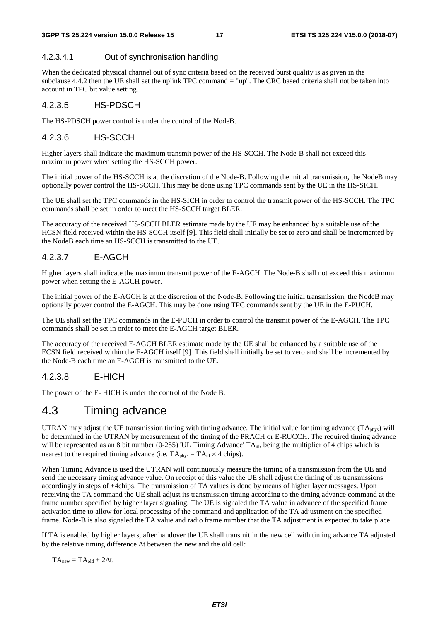#### 4.2.3.4.1 Out of synchronisation handling

When the dedicated physical channel out of sync criteria based on the received burst quality is as given in the subclause 4.4.2 then the UE shall set the uplink TPC command = "up". The CRC based criteria shall not be taken into account in TPC bit value setting.

#### 4.2.3.5 HS-PDSCH

The HS-PDSCH power control is under the control of the NodeB.

#### 4.2.3.6 HS-SCCH

Higher layers shall indicate the maximum transmit power of the HS-SCCH. The Node-B shall not exceed this maximum power when setting the HS-SCCH power.

The initial power of the HS-SCCH is at the discretion of the Node-B. Following the initial transmission, the NodeB may optionally power control the HS-SCCH. This may be done using TPC commands sent by the UE in the HS-SICH.

The UE shall set the TPC commands in the HS-SICH in order to control the transmit power of the HS-SCCH. The TPC commands shall be set in order to meet the HS-SCCH target BLER.

The accuracy of the received HS-SCCH BLER estimate made by the UE may be enhanced by a suitable use of the HCSN field received within the HS-SCCH itself [9]. This field shall initially be set to zero and shall be incremented by the NodeB each time an HS-SCCH is transmitted to the UE.

### 4.2.3.7 E-AGCH

Higher layers shall indicate the maximum transmit power of the E-AGCH. The Node-B shall not exceed this maximum power when setting the E-AGCH power.

The initial power of the E-AGCH is at the discretion of the Node-B. Following the initial transmission, the NodeB may optionally power control the E-AGCH. This may be done using TPC commands sent by the UE in the E-PUCH.

The UE shall set the TPC commands in the E-PUCH in order to control the transmit power of the E-AGCH. The TPC commands shall be set in order to meet the E-AGCH target BLER.

The accuracy of the received E-AGCH BLER estimate made by the UE shall be enhanced by a suitable use of the ECSN field received within the E-AGCH itself [9]. This field shall initially be set to zero and shall be incremented by the Node-B each time an E-AGCH is transmitted to the UE.

### 4.2.3.8 E-HICH

The power of the E- HICH is under the control of the Node B.

## 4.3 Timing advance

UTRAN may adjust the UE transmission timing with timing advance. The initial value for timing advance (TAphys) will be determined in the UTRAN by measurement of the timing of the PRACH or E-RUCCH. The required timing advance will be represented as an 8 bit number (0-255) 'UL Timing Advance' TA<sub>ul</sub>, being the multiplier of 4 chips which is nearest to the required timing advance (i.e.  $TA_{phys} = TA_{ul} \times 4$  chips).

When Timing Advance is used the UTRAN will continuously measure the timing of a transmission from the UE and send the necessary timing advance value. On receipt of this value the UE shall adjust the timing of its transmissions accordingly in steps of ±4chips. The transmission of TA values is done by means of higher layer messages. Upon receiving the TA command the UE shall adjust its transmission timing according to the timing advance command at the frame number specified by higher layer signaling. The UE is signaled the TA value in advance of the specified frame activation time to allow for local processing of the command and application of the TA adjustment on the specified frame. Node-B is also signaled the TA value and radio frame number that the TA adjustment is expected.to take place.

If TA is enabled by higher layers, after handover the UE shall transmit in the new cell with timing advance TA adjusted by the relative timing difference Δt between the new and the old cell:

 $TA<sub>new</sub> = TA<sub>old</sub> + 2\Delta t$ .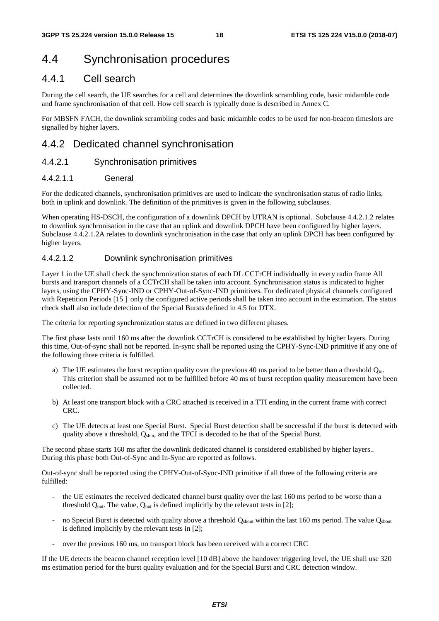## 4.4 Synchronisation procedures

## 4.4.1 Cell search

During the cell search, the UE searches for a cell and determines the downlink scrambling code, basic midamble code and frame synchronisation of that cell. How cell search is typically done is described in Annex C.

For MBSFN FACH, the downlink scrambling codes and basic midamble codes to be used for non-beacon timeslots are signalled by higher layers.

## 4.4.2 Dedicated channel synchronisation

#### 4.4.2.1 Synchronisation primitives

#### 4.4.2.1.1 General

For the dedicated channels, synchronisation primitives are used to indicate the synchronisation status of radio links, both in uplink and downlink. The definition of the primitives is given in the following subclauses.

When operating HS-DSCH, the configuration of a downlink DPCH by UTRAN is optional. Subclause 4.4.2.1.2 relates to downlink synchronisation in the case that an uplink and downlink DPCH have been configured by higher layers. Subclause 4.4.2.1.2A relates to downlink synchronisation in the case that only an uplink DPCH has been configured by higher layers.

#### 4.4.2.1.2 Downlink synchronisation primitives

Layer 1 in the UE shall check the synchronization status of each DL CCTrCH individually in every radio frame All bursts and transport channels of a CCTrCH shall be taken into account. Synchronisation status is indicated to higher layers, using the CPHY-Sync-IND or CPHY-Out-of-Sync-IND primitives. For dedicated physical channels configured with Repetition Periods [15] only the configured active periods shall be taken into account in the estimation. The status check shall also include detection of the Special Bursts defined in 4.5 for DTX.

The criteria for reporting synchronization status are defined in two different phases.

The first phase lasts until 160 ms after the downlink CCTrCH is considered to be established by higher layers. During this time, Out-of-sync shall not be reported. In-sync shall be reported using the CPHY-Sync-IND primitive if any one of the following three criteria is fulfilled.

- a) The UE estimates the burst reception quality over the previous 40 ms period to be better than a threshold  $Q_{in}$ . This criterion shall be assumed not to be fulfilled before 40 ms of burst reception quality measurement have been collected.
- b) At least one transport block with a CRC attached is received in a TTI ending in the current frame with correct CRC.
- c) The UE detects at least one Special Burst. Special Burst detection shall be successful if the burst is detected with quality above a threshold,  $Q<sub>spin</sub>$ , and the TFCI is decoded to be that of the Special Burst.

The second phase starts 160 ms after the downlink dedicated channel is considered established by higher layers.. During this phase both Out-of-Sync and In-Sync are reported as follows.

Out-of-sync shall be reported using the CPHY-Out-of-Sync-IND primitive if all three of the following criteria are fulfilled:

- the UE estimates the received dedicated channel burst quality over the last 160 ms period to be worse than a threshold  $Q_{out}$ . The value,  $Q_{out}$  is defined implicitly by the relevant tests in [2];
- no Special Burst is detected with quality above a threshold Q<sub>sbout</sub> within the last 160 ms period. The value Q<sub>sbout</sub> is defined implicitly by the relevant tests in [2];
- over the previous 160 ms, no transport block has been received with a correct CRC

If the UE detects the beacon channel reception level [10 dB] above the handover triggering level, the UE shall use 320 ms estimation period for the burst quality evaluation and for the Special Burst and CRC detection window.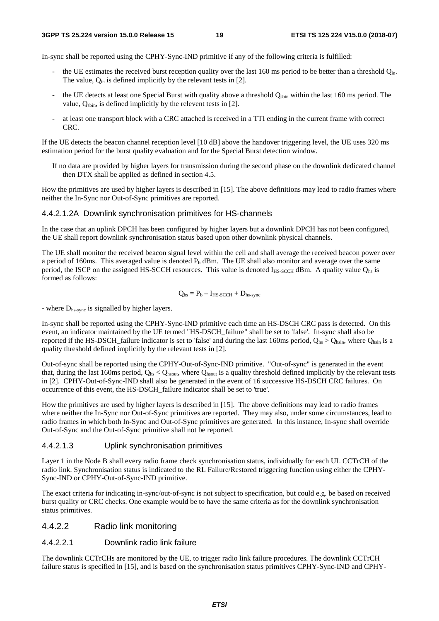In-sync shall be reported using the CPHY-Sync-IND primitive if any of the following criteria is fulfilled:

- the UE estimates the received burst reception quality over the last 160 ms period to be better than a threshold Q<sub>in</sub>. The value,  $Q_{in}$  is defined implicitly by the relevant tests in [2].
- the UE detects at least one Special Burst with quality above a threshold Q<sub>sbin</sub> within the last 160 ms period. The value,  $Q_{\text{spin}}$ , is defined implicitly by the relevent tests in [2].
- at least one transport block with a CRC attached is received in a TTI ending in the current frame with correct CRC.

If the UE detects the beacon channel reception level [10 dB] above the handover triggering level, the UE uses 320 ms estimation period for the burst quality evaluation and for the Special Burst detection window.

If no data are provided by higher layers for transmission during the second phase on the downlink dedicated channel then DTX shall be applied as defined in section 4.5.

How the primitives are used by higher layers is described in [15]. The above definitions may lead to radio frames where neither the In-Sync nor Out-of-Sync primitives are reported.

#### 4.4.2.1.2A Downlink synchronisation primitives for HS-channels

In the case that an uplink DPCH has been configured by higher layers but a downlink DPCH has not been configured, the UE shall report downlink synchronisation status based upon other downlink physical channels.

The UE shall monitor the received beacon signal level within the cell and shall average the received beacon power over a period of 160ms. This averaged value is denoted  $P_b$  dBm. The UE shall also monitor and average over the same period, the ISCP on the assigned HS-SCCH resources. This value is denoted  $I_{HS-SCCH}$  dBm. A quality value  $Q_{hs}$  is formed as follows:

$$
Q_{hs} = P_b - I_{HS\text{-}SCCH} + D_{hs\text{-}sync}
$$

- where Dhs-sync is signalled by higher layers.

In-sync shall be reported using the CPHY-Sync-IND primitive each time an HS-DSCH CRC pass is detected. On this event, an indicator maintained by the UE termed "HS-DSCH\_failure" shall be set to 'false'. In-sync shall also be reported if the HS-DSCH\_failure indicator is set to 'false' and during the last 160ms period,  $Q_{hs} > Q_{hsin}$ , where  $Q_{hsin}$  is a quality threshold defined implicitly by the relevant tests in [2].

Out-of-sync shall be reported using the CPHY-Out-of-Sync-IND primitive. "Out-of-sync" is generated in the event that, during the last 160ms period,  $Q_{hs} < Q_{hsout}$ , where  $Q_{hsout}$  is a quality threshold defined implicitly by the relevant tests in [2]. CPHY-Out-of-Sync-IND shall also be generated in the event of 16 successive HS-DSCH CRC failures. On occurrence of this event, the HS-DSCH\_failure indicator shall be set to 'true'.

How the primitives are used by higher layers is described in [15]. The above definitions may lead to radio frames where neither the In-Sync nor Out-of-Sync primitives are reported. They may also, under some circumstances, lead to radio frames in which both In-Sync and Out-of-Sync primitives are generated. In this instance, In-sync shall override Out-of-Sync and the Out-of-Sync primitive shall not be reported.

#### 4.4.2.1.3 Uplink synchronisation primitives

Layer 1 in the Node B shall every radio frame check synchronisation status, individually for each UL CCTrCH of the radio link. Synchronisation status is indicated to the RL Failure/Restored triggering function using either the CPHY-Sync-IND or CPHY-Out-of-Sync-IND primitive.

The exact criteria for indicating in-sync/out-of-sync is not subject to specification, but could e.g. be based on received burst quality or CRC checks. One example would be to have the same criteria as for the downlink synchronisation status primitives.

#### 4.4.2.2 Radio link monitoring

#### 4.4.2.2.1 Downlink radio link failure

The downlink CCTrCHs are monitored by the UE, to trigger radio link failure procedures. The downlink CCTrCH failure status is specified in [15], and is based on the synchronisation status primitives CPHY-Sync-IND and CPHY-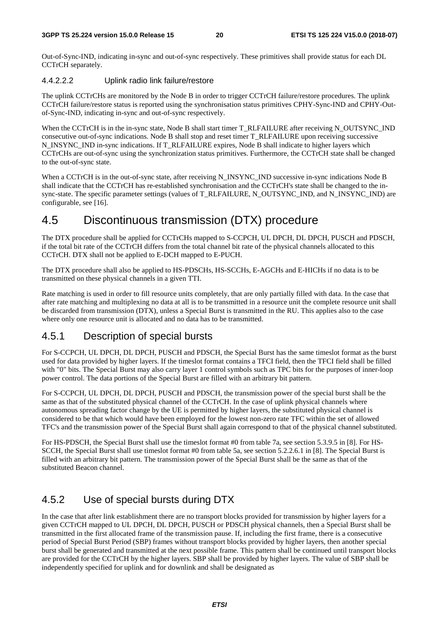Out-of-Sync-IND, indicating in-sync and out-of-sync respectively. These primitives shall provide status for each DL CCTrCH separately.

#### 4.4.2.2.2 Uplink radio link failure/restore

The uplink CCTrCHs are monitored by the Node B in order to trigger CCTrCH failure/restore procedures. The uplink CCTrCH failure/restore status is reported using the synchronisation status primitives CPHY-Sync-IND and CPHY-Outof-Sync-IND, indicating in-sync and out-of-sync respectively.

When the CCTrCH is in the in-sync state, Node B shall start timer T\_RLFAILURE after receiving N\_OUTSYNC\_IND consecutive out-of-sync indications. Node B shall stop and reset timer T\_RLFAILURE upon receiving successive N\_INSYNC\_IND in-sync indications. If T\_RLFAILURE expires, Node B shall indicate to higher layers which CCTrCHs are out-of-sync using the synchronization status primitives. Furthermore, the CCTrCH state shall be changed to the out-of-sync state.

When a CCTrCH is in the out-of-sync state, after receiving N\_INSYNC\_IND successive in-sync indications Node B shall indicate that the CCTrCH has re-established synchronisation and the CCTrCH's state shall be changed to the insync-state. The specific parameter settings (values of T\_RLFAILURE, N\_OUTSYNC\_IND, and N\_INSYNC\_IND) are configurable, see [16].

## 4.5 Discontinuous transmission (DTX) procedure

The DTX procedure shall be applied for CCTrCHs mapped to S-CCPCH, UL DPCH, DL DPCH, PUSCH and PDSCH, if the total bit rate of the CCTrCH differs from the total channel bit rate of the physical channels allocated to this CCTrCH. DTX shall not be applied to E-DCH mapped to E-PUCH.

The DTX procedure shall also be applied to HS-PDSCHs, HS-SCCHs, E-AGCHs and E-HICHs if no data is to be transmitted on these physical channels in a given TTI.

Rate matching is used in order to fill resource units completely, that are only partially filled with data. In the case that after rate matching and multiplexing no data at all is to be transmitted in a resource unit the complete resource unit shall be discarded from transmission (DTX), unless a Special Burst is transmitted in the RU. This applies also to the case where only one resource unit is allocated and no data has to be transmitted.

## 4.5.1 Description of special bursts

For S-CCPCH, UL DPCH, DL DPCH, PUSCH and PDSCH, the Special Burst has the same timeslot format as the burst used for data provided by higher layers. If the timeslot format contains a TFCI field, then the TFCI field shall be filled with "0" bits. The Special Burst may also carry layer 1 control symbols such as TPC bits for the purposes of inner-loop power control. The data portions of the Special Burst are filled with an arbitrary bit pattern.

For S-CCPCH, UL DPCH, DL DPCH, PUSCH and PDSCH, the transmission power of the special burst shall be the same as that of the substituted physical channel of the CCTrCH. In the case of uplink physical channels where autonomous spreading factor change by the UE is permitted by higher layers, the substituted physical channel is considered to be that which would have been employed for the lowest non-zero rate TFC within the set of allowed TFC's and the transmission power of the Special Burst shall again correspond to that of the physical channel substituted.

For HS-PDSCH, the Special Burst shall use the timeslot format #0 from table 7a, see section 5.3.9.5 in [8]. For HS-SCCH, the Special Burst shall use timeslot format #0 from table 5a, see section 5.2.2.6.1 in [8]. The Special Burst is filled with an arbitrary bit pattern. The transmission power of the Special Burst shall be the same as that of the substituted Beacon channel.

## 4.5.2 Use of special bursts during DTX

In the case that after link establishment there are no transport blocks provided for transmission by higher layers for a given CCTrCH mapped to UL DPCH, DL DPCH, PUSCH or PDSCH physical channels, then a Special Burst shall be transmitted in the first allocated frame of the transmission pause. If, including the first frame, there is a consecutive period of Special Burst Period (SBP) frames without transport blocks provided by higher layers, then another special burst shall be generated and transmitted at the next possible frame. This pattern shall be continued until transport blocks are provided for the CCTrCH by the higher layers. SBP shall be provided by higher layers. The value of SBP shall be independently specified for uplink and for downlink and shall be designated as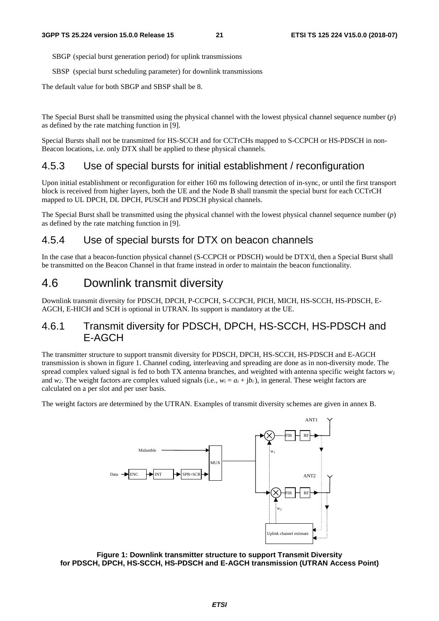SBGP (special burst generation period) for uplink transmissions

SBSP (special burst scheduling parameter) for downlink transmissions

The default value for both SBGP and SBSP shall be 8.

The Special Burst shall be transmitted using the physical channel with the lowest physical channel sequence number (*p*) as defined by the rate matching function in [9].

Special Bursts shall not be transmitted for HS-SCCH and for CCTrCHs mapped to S-CCPCH or HS-PDSCH in non-Beacon locations, i.e. only DTX shall be applied to these physical channels.

### 4.5.3 Use of special bursts for initial establishment / reconfiguration

Upon initial establishment or reconfiguration for either 160 ms following detection of in-sync, or until the first transport block is received from higher layers, both the UE and the Node B shall transmit the special burst for each CCTrCH mapped to UL DPCH, DL DPCH, PUSCH and PDSCH physical channels.

The Special Burst shall be transmitted using the physical channel with the lowest physical channel sequence number (*p*) as defined by the rate matching function in [9].

### 4.5.4 Use of special bursts for DTX on beacon channels

In the case that a beacon-function physical channel (S-CCPCH or PDSCH) would be DTX'd, then a Special Burst shall be transmitted on the Beacon Channel in that frame instead in order to maintain the beacon functionality.

## 4.6 Downlink transmit diversity

Downlink transmit diversity for PDSCH, DPCH, P-CCPCH, S-CCPCH, PICH, MICH, HS-SCCH, HS-PDSCH, E-AGCH, E-HICH and SCH is optional in UTRAN. Its support is mandatory at the UE.

## 4.6.1 Transmit diversity for PDSCH, DPCH, HS-SCCH, HS-PDSCH and E-AGCH

The transmitter structure to support transmit diversity for PDSCH, DPCH, HS-SCCH, HS-PDSCH and E-AGCH transmission is shown in figure 1. Channel coding, interleaving and spreading are done as in non-diversity mode. The spread complex valued signal is fed to both TX antenna branches, and weighted with antenna specific weight factors  $w_l$ and  $w_2$ . The weight factors are complex valued signals (i.e.,  $w_i = a_i + ib_i$ ), in general. These weight factors are calculated on a per slot and per user basis.

The weight factors are determined by the UTRAN. Examples of transmit diversity schemes are given in annex B.



**Figure 1: Downlink transmitter structure to support Transmit Diversity for PDSCH, DPCH, HS-SCCH, HS-PDSCH and E-AGCH transmission (UTRAN Access Point)**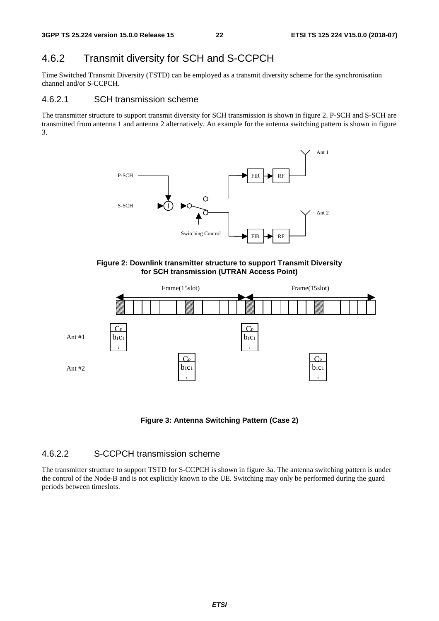## 4.6.2 Transmit diversity for SCH and S-CCPCH

Time Switched Transmit Diversity (TSTD) can be employed as a transmit diversity scheme for the synchronisation channel and/or S-CCPCH.

#### 4.6.2.1 SCH transmission scheme

The transmitter structure to support transmit diversity for SCH transmission is shown in figure 2. P-SCH and S-SCH are transmitted from antenna 1 and antenna 2 alternatively. An example for the antenna switching pattern is shown in figure 3.



**Figure 2: Downlink transmitter structure to support Transmit Diversity for SCH transmission (UTRAN Access Point)** 



**Figure 3: Antenna Switching Pattern (Case 2)** 

#### 4.6.2.2 S-CCPCH transmission scheme

The transmitter structure to support TSTD for S-CCPCH is shown in figure 3a. The antenna switching pattern is under the control of the Node-B and is not explicitly known to the UE. Switching may only be performed during the guard periods between timeslots.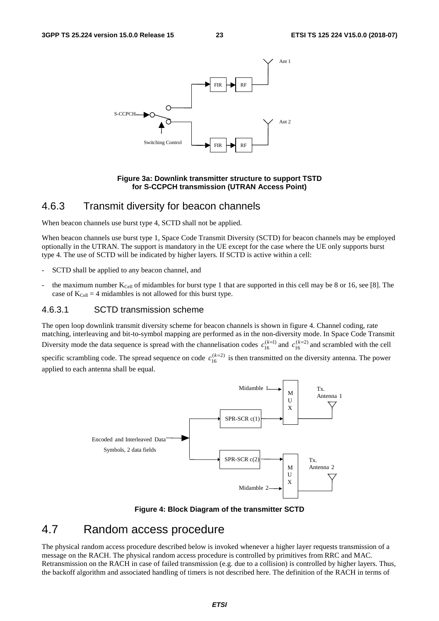

#### **Figure 3a: Downlink transmitter structure to support TSTD for S-CCPCH transmission (UTRAN Access Point)**

### 4.6.3 Transmit diversity for beacon channels

When beacon channels use burst type 4, SCTD shall not be applied.

When beacon channels use burst type 1, Space Code Transmit Diversity (SCTD) for beacon channels may be employed optionally in the UTRAN. The support is mandatory in the UE except for the case where the UE only supports burst type 4. The use of SCTD will be indicated by higher layers. If SCTD is active within a cell:

- SCTD shall be applied to any beacon channel, and
- the maximum number  $K_{\text{Cell}}$  of midambles for burst type 1 that are supported in this cell may be 8 or 16, see [8]. The case of  $K_{Cell} = 4$  midambles is not allowed for this burst type.

#### 4.6.3.1 SCTD transmission scheme

The open loop downlink transmit diversity scheme for beacon channels is shown in figure 4. Channel coding, rate matching, interleaving and bit-to-symbol mapping are performed as in the non-diversity mode. In Space Code Transmit Diversity mode the data sequence is spread with the channelisation codes  $c_{16}^{(k=1)}$  and  $c_{16}^{(k=2)}$  and scrambled with the cell

specific scrambling code. The spread sequence on code  $c_{16}^{(k=2)}$  is then transmitted on the diversity antenna. The power applied to each antenna shall be equal.



**Figure 4: Block Diagram of the transmitter SCTD**

## 4.7 Random access procedure

The physical random access procedure described below is invoked whenever a higher layer requests transmission of a message on the RACH. The physical random access procedure is controlled by primitives from RRC and MAC. Retransmission on the RACH in case of failed transmission (e.g. due to a collision) is controlled by higher layers. Thus, the backoff algorithm and associated handling of timers is not described here. The definition of the RACH in terms of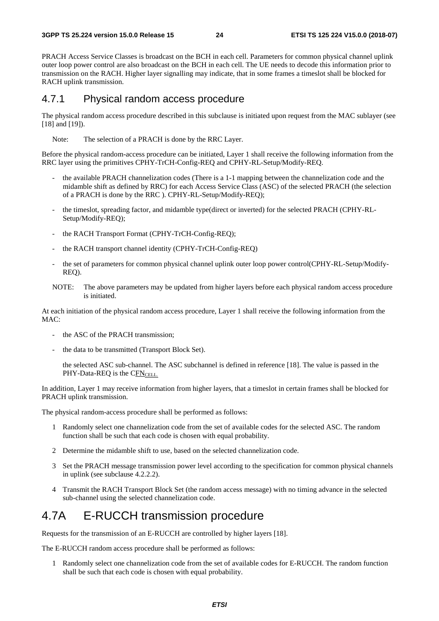PRACH Access Service Classes is broadcast on the BCH in each cell. Parameters for common physical channel uplink outer loop power control are also broadcast on the BCH in each cell. The UE needs to decode this information prior to transmission on the RACH. Higher layer signalling may indicate, that in some frames a timeslot shall be blocked for RACH uplink transmission.

### 4.7.1 Physical random access procedure

The physical random access procedure described in this subclause is initiated upon request from the MAC sublayer (see [18] and [19]).

Note: The selection of a PRACH is done by the RRC Layer.

Before the physical random-access procedure can be initiated, Layer 1 shall receive the following information from the RRC layer using the primitives CPHY-TrCH-Config-REQ and CPHY-RL-Setup/Modify-REQ.

- the available PRACH channelization codes (There is a 1-1 mapping between the channelization code and the midamble shift as defined by RRC) for each Access Service Class (ASC) of the selected PRACH (the selection of a PRACH is done by the RRC ). CPHY-RL-Setup/Modify-REQ);
- the timeslot, spreading factor, and midamble type(direct or inverted) for the selected PRACH (CPHY-RL-Setup/Modify-REQ);
- the RACH Transport Format (CPHY-TrCH-Config-REQ);
- the RACH transport channel identity (CPHY-TrCH-Config-REQ)
- the set of parameters for common physical channel uplink outer loop power control(CPHY-RL-Setup/Modify-REQ).
- NOTE: The above parameters may be updated from higher layers before each physical random access procedure is initiated.

At each initiation of the physical random access procedure, Layer 1 shall receive the following information from the MAC:

- the ASC of the PRACH transmission;
- the data to be transmitted (Transport Block Set).

 the selected ASC sub-channel. The ASC subchannel is defined in reference [18]. The value is passed in the PHY-Data-REQ is the CFNCELL.

In addition, Layer 1 may receive information from higher layers, that a timeslot in certain frames shall be blocked for PRACH uplink transmission.

The physical random-access procedure shall be performed as follows:

- 1 Randomly select one channelization code from the set of available codes for the selected ASC. The random function shall be such that each code is chosen with equal probability.
- 2 Determine the midamble shift to use, based on the selected channelization code.
- 3 Set the PRACH message transmission power level according to the specification for common physical channels in uplink (see subclause 4.2.2.2).
- 4 Transmit the RACH Transport Block Set (the random access message) with no timing advance in the selected sub-channel using the selected channelization code.

## 4.7A E-RUCCH transmission procedure

Requests for the transmission of an E-RUCCH are controlled by higher layers [18].

The E-RUCCH random access procedure shall be performed as follows:

1 Randomly select one channelization code from the set of available codes for E-RUCCH. The random function shall be such that each code is chosen with equal probability.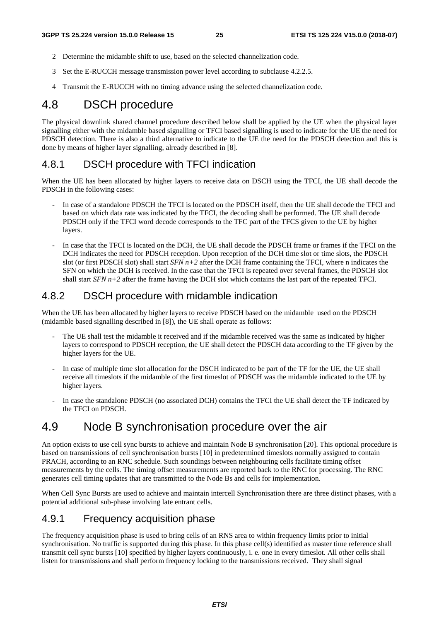- 2 Determine the midamble shift to use, based on the selected channelization code.
- 3 Set the E-RUCCH message transmission power level according to subclause 4.2.2.5.
- 4 Transmit the E-RUCCH with no timing advance using the selected channelization code.

## 4.8 DSCH procedure

The physical downlink shared channel procedure described below shall be applied by the UE when the physical layer signalling either with the midamble based signalling or TFCI based signalling is used to indicate for the UE the need for PDSCH detection. There is also a third alternative to indicate to the UE the need for the PDSCH detection and this is done by means of higher layer signalling, already described in [8].

## 4.8.1 DSCH procedure with TFCI indication

When the UE has been allocated by higher layers to receive data on DSCH using the TFCI, the UE shall decode the PDSCH in the following cases:

- In case of a standalone PDSCH the TFCI is located on the PDSCH itself, then the UE shall decode the TFCI and based on which data rate was indicated by the TFCI, the decoding shall be performed. The UE shall decode PDSCH only if the TFCI word decode corresponds to the TFC part of the TFCS given to the UE by higher layers.
- In case that the TFCI is located on the DCH, the UE shall decode the PDSCH frame or frames if the TFCI on the DCH indicates the need for PDSCH reception. Upon reception of the DCH time slot or time slots, the PDSCH slot (or first PDSCH slot) shall start  $SFN$   $n+2$  after the DCH frame containing the TFCI, where n indicates the SFN on which the DCH is received. In the case that the TFCI is repeated over several frames, the PDSCH slot shall start *SFN n+2* after the frame having the DCH slot which contains the last part of the repeated TFCI.

## 4.8.2 DSCH procedure with midamble indication

When the UE has been allocated by higher layers to receive PDSCH based on the midamble used on the PDSCH (midamble based signalling described in [8]), the UE shall operate as follows:

- The UE shall test the midamble it received and if the midamble received was the same as indicated by higher layers to correspond to PDSCH reception, the UE shall detect the PDSCH data according to the TF given by the higher layers for the UE.
- In case of multiple time slot allocation for the DSCH indicated to be part of the TF for the UE, the UE shall receive all timeslots if the midamble of the first timeslot of PDSCH was the midamble indicated to the UE by higher layers.
- In case the standalone PDSCH (no associated DCH) contains the TFCI the UE shall detect the TF indicated by the TFCI on PDSCH.

## 4.9 Node B synchronisation procedure over the air

An option exists to use cell sync bursts to achieve and maintain Node B synchronisation [20]. This optional procedure is based on transmissions of cell synchronisation bursts [10] in predetermined timeslots normally assigned to contain PRACH, according to an RNC schedule. Such soundings between neighbouring cells facilitate timing offset measurements by the cells. The timing offset measurements are reported back to the RNC for processing. The RNC generates cell timing updates that are transmitted to the Node Bs and cells for implementation.

When Cell Sync Bursts are used to achieve and maintain intercell Synchronisation there are three distinct phases, with a potential additional sub-phase involving late entrant cells.

### 4.9.1 Frequency acquisition phase

The frequency acquisition phase is used to bring cells of an RNS area to within frequency limits prior to initial synchronisation. No traffic is supported during this phase. In this phase cell(s) identified as master time reference shall transmit cell sync bursts [10] specified by higher layers continuously, i. e. one in every timeslot. All other cells shall listen for transmissions and shall perform frequency locking to the transmissions received. They shall signal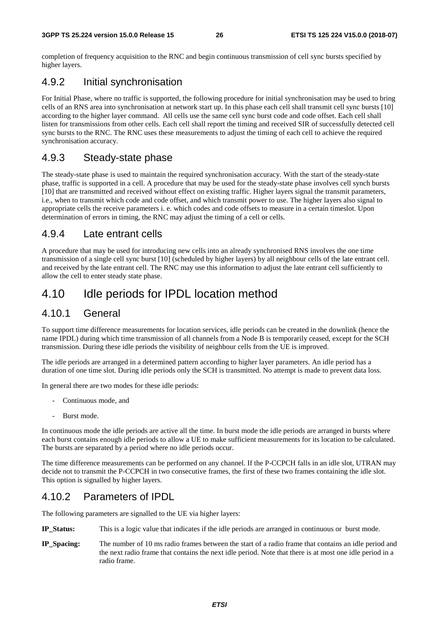completion of frequency acquisition to the RNC and begin continuous transmission of cell sync bursts specified by higher layers.

## 4.9.2 Initial synchronisation

For Initial Phase, where no traffic is supported, the following procedure for initial synchronisation may be used to bring cells of an RNS area into synchronisation at network start up. In this phase each cell shall transmit cell sync bursts [10] according to the higher layer command. All cells use the same cell sync burst code and code offset. Each cell shall listen for transmissions from other cells. Each cell shall report the timing and received SIR of successfully detected cell sync bursts to the RNC. The RNC uses these measurements to adjust the timing of each cell to achieve the required synchronisation accuracy.

## 4.9.3 Steady-state phase

The steady-state phase is used to maintain the required synchronisation accuracy. With the start of the steady-state phase, traffic is supported in a cell. A procedure that may be used for the steady-state phase involves cell synch bursts [10] that are transmitted and received without effect on existing traffic. Higher layers signal the transmit parameters, i.e., when to transmit which code and code offset, and which transmit power to use. The higher layers also signal to appropriate cells the receive parameters i. e. which codes and code offsets to measure in a certain timeslot. Upon determination of errors in timing, the RNC may adjust the timing of a cell or cells.

### 4.9.4 Late entrant cells

A procedure that may be used for introducing new cells into an already synchronised RNS involves the one time transmission of a single cell sync burst [10] (scheduled by higher layers) by all neighbour cells of the late entrant cell. and received by the late entrant cell. The RNC may use this information to adjust the late entrant cell sufficiently to allow the cell to enter steady state phase.

## 4.10 Idle periods for IPDL location method

### 4.10.1 General

To support time difference measurements for location services, idle periods can be created in the downlink (hence the name IPDL) during which time transmission of all channels from a Node B is temporarily ceased, except for the SCH transmission. During these idle periods the visibility of neighbour cells from the UE is improved.

The idle periods are arranged in a determined pattern according to higher layer parameters. An idle period has a duration of one time slot. During idle periods only the SCH is transmitted. No attempt is made to prevent data loss.

In general there are two modes for these idle periods:

- Continuous mode, and
- Burst mode.

In continuous mode the idle periods are active all the time. In burst mode the idle periods are arranged in bursts where each burst contains enough idle periods to allow a UE to make sufficient measurements for its location to be calculated. The bursts are separated by a period where no idle periods occur.

The time difference measurements can be performed on any channel. If the P-CCPCH falls in an idle slot, UTRAN may decide not to transmit the P-CCPCH in two consecutive frames, the first of these two frames containing the idle slot. This option is signalled by higher layers.

## 4.10.2 Parameters of IPDL

The following parameters are signalled to the UE via higher layers:

- **IP\_Status:** This is a logic value that indicates if the idle periods are arranged in continuous or burst mode.
- **IP\_Spacing:** The number of 10 ms radio frames between the start of a radio frame that contains an idle period and the next radio frame that contains the next idle period. Note that there is at most one idle period in a radio frame.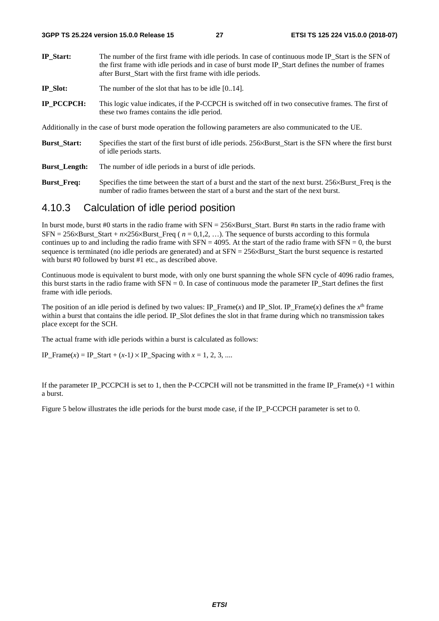- **IP\_Start:** The number of the first frame with idle periods. In case of continuous mode IP\_Start is the SFN of the first frame with idle periods and in case of burst mode IP\_Start defines the number of frames after Burst\_Start with the first frame with idle periods.
- **IP** Slot: The number of the slot that has to be idle [0..14].
- **IP\_PCCPCH:** This logic value indicates, if the P-CCPCH is switched off in two consecutive frames. The first of these two frames contains the idle period.

Additionally in the case of burst mode operation the following parameters are also communicated to the UE.

- **Burst\_Start:** Specifies the start of the first burst of idle periods. 256×Burst\_Start is the SFN where the first burst of idle periods starts.
- **Burst Length:** The number of idle periods in a burst of idle periods.
- **Burst Freq:** Specifies the time between the start of a burst and the start of the next burst. 256×Burst Freq is the number of radio frames between the start of a burst and the start of the next burst.

### 4.10.3 Calculation of idle period position

In burst mode, burst #0 starts in the radio frame with SFN = 256×Burst\_Start. Burst #n starts in the radio frame with SFN = 256×Burst\_Start + *n*×256×Burst\_Freq ( *n* = 0,1,2, …). The sequence of bursts according to this formula continues up to and including the radio frame with  $SFN = 4095$ . At the start of the radio frame with  $SFN = 0$ , the burst sequence is terminated (no idle periods are generated) and at SFN = 256×Burst\_Start the burst sequence is restarted with burst #0 followed by burst #1 etc., as described above.

Continuous mode is equivalent to burst mode, with only one burst spanning the whole SFN cycle of 4096 radio frames, this burst starts in the radio frame with  $SFN = 0$ . In case of continuous mode the parameter IP\_Start defines the first frame with idle periods.

The position of an idle period is defined by two values: IP\_Frame(*x*) and IP\_Slot. IP\_Frame(*x*) defines the  $x<sup>th</sup>$  frame within a burst that contains the idle period. IP\_Slot defines the slot in that frame during which no transmission takes place except for the SCH.

The actual frame with idle periods within a burst is calculated as follows:

IP\_Frame(*x*) = IP\_Start + (*x*-1) × IP\_Spacing with  $x = 1, 2, 3, ...$ 

If the parameter IP\_PCCPCH is set to 1, then the P-CCPCH will not be transmitted in the frame IP\_Frame( $x$ ) +1 within a burst.

Figure 5 below illustrates the idle periods for the burst mode case, if the IP\_P-CCPCH parameter is set to 0.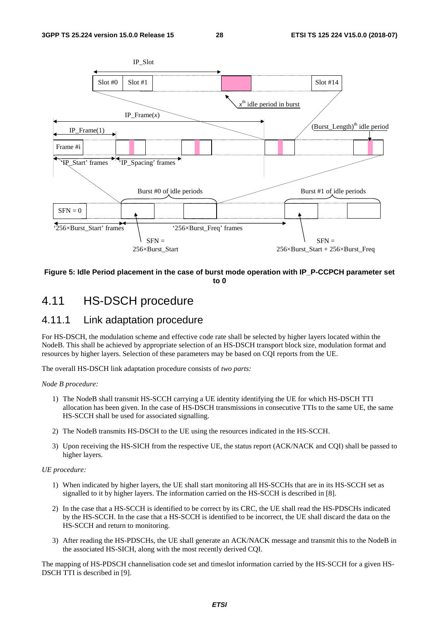

#### **Figure 5: Idle Period placement in the case of burst mode operation with IP\_P-CCPCH parameter set to 0**

## 4.11 HS-DSCH procedure

## 4.11.1 Link adaptation procedure

For HS-DSCH, the modulation scheme and effective code rate shall be selected by higher layers located within the NodeB. This shall be achieved by appropriate selection of an HS-DSCH transport block size, modulation format and resources by higher layers. Selection of these parameters may be based on CQI reports from the UE.

The overall HS-DSCH link adaptation procedure consists of *two parts:* 

#### *Node B procedure:*

- 1) The NodeB shall transmit HS-SCCH carrying a UE identity identifying the UE for which HS-DSCH TTI allocation has been given. In the case of HS-DSCH transmissions in consecutive TTIs to the same UE, the same HS-SCCH shall be used for associated signalling.
- 2) The NodeB transmits HS-DSCH to the UE using the resources indicated in the HS-SCCH.
- 3) Upon receiving the HS-SICH from the respective UE, the status report (ACK/NACK and CQI) shall be passed to higher layers.

#### *UE procedure:*

- 1) When indicated by higher layers, the UE shall start monitoring all HS-SCCHs that are in its HS-SCCH set as signalled to it by higher layers. The information carried on the HS-SCCH is described in [8].
- 2) In the case that a HS-SCCH is identified to be correct by its CRC, the UE shall read the HS-PDSCHs indicated by the HS-SCCH. In the case that a HS-SCCH is identified to be incorrect, the UE shall discard the data on the HS-SCCH and return to monitoring.
- 3) After reading the HS-PDSCHs, the UE shall generate an ACK/NACK message and transmit this to the NodeB in the associated HS-SICH, along with the most recently derived CQI.

The mapping of HS-PDSCH channelisation code set and timeslot information carried by the HS-SCCH for a given HS-DSCH TTI is described in [9].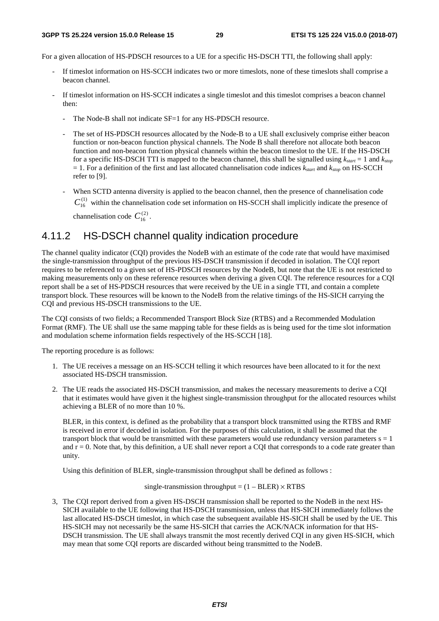#### **3GPP TS 25.224 version 15.0.0 Release 15 29 ETSI TS 125 224 V15.0.0 (2018-07)**

For a given allocation of HS-PDSCH resources to a UE for a specific HS-DSCH TTI, the following shall apply:

- If timeslot information on HS-SCCH indicates two or more timeslots, none of these timeslots shall comprise a beacon channel.
- If timeslot information on HS-SCCH indicates a single timeslot and this timeslot comprises a beacon channel then:
	- The Node-B shall not indicate SF=1 for any HS-PDSCH resource.
	- The set of HS-PDSCH resources allocated by the Node-B to a UE shall exclusively comprise either beacon function or non-beacon function physical channels. The Node B shall therefore not allocate both beacon function and non-beacon function physical channels within the beacon timeslot to the UE. If the HS-DSCH for a specific HS-DSCH TTI is mapped to the beacon channel, this shall be signalled using  $k_{start} = 1$  and  $k_{stop}$  $= 1$ . For a definition of the first and last allocated channelisation code indices  $k_{start}$  and  $k_{stop}$  on HS-SCCH refer to [9].
	- When SCTD antenna diversity is applied to the beacon channel, then the presence of channelisation code  $C_{16}^{(1)}$  within the channelisation code set information on HS-SCCH shall implicitly indicate the presence of channelisation code  $C_{16}^{(2)}$ .

## 4.11.2 HS-DSCH channel quality indication procedure

The channel quality indicator (CQI) provides the NodeB with an estimate of the code rate that would have maximised the single-transmission throughput of the previous HS-DSCH transmission if decoded in isolation. The CQI report requires to be referenced to a given set of HS-PDSCH resources by the NodeB, but note that the UE is not restricted to making measurements only on these reference resources when deriving a given CQI. The reference resources for a CQI report shall be a set of HS-PDSCH resources that were received by the UE in a single TTI, and contain a complete transport block. These resources will be known to the NodeB from the relative timings of the HS-SICH carrying the CQI and previous HS-DSCH transmissions to the UE.

The CQI consists of two fields; a Recommended Transport Block Size (RTBS) and a Recommended Modulation Format (RMF). The UE shall use the same mapping table for these fields as is being used for the time slot information and modulation scheme information fields respectively of the HS-SCCH [18].

The reporting procedure is as follows:

- 1. The UE receives a message on an HS-SCCH telling it which resources have been allocated to it for the next associated HS-DSCH transmission.
- 2. The UE reads the associated HS-DSCH transmission, and makes the necessary measurements to derive a CQI that it estimates would have given it the highest single-transmission throughput for the allocated resources whilst achieving a BLER of no more than 10 %.

BLER, in this context, is defined as the probability that a transport block transmitted using the RTBS and RMF is received in error if decoded in isolation. For the purposes of this calculation, it shall be assumed that the transport block that would be transmitted with these parameters would use redundancy version parameters  $s = 1$ and  $r = 0$ . Note that, by this definition, a UE shall never report a CQI that corresponds to a code rate greater than unity.

Using this definition of BLER, single-transmission throughput shall be defined as follows :

single-transmission throughput =  $(1 - BLER) \times RTBS$ 

3, The CQI report derived from a given HS-DSCH transmission shall be reported to the NodeB in the next HS-SICH available to the UE following that HS-DSCH transmission, unless that HS-SICH immediately follows the last allocated HS-DSCH timeslot, in which case the subsequent available HS-SICH shall be used by the UE. This HS-SICH may not necessarily be the same HS-SICH that carries the ACK/NACK information for that HS-DSCH transmission. The UE shall always transmit the most recently derived CQI in any given HS-SICH, which may mean that some CQI reports are discarded without being transmitted to the NodeB.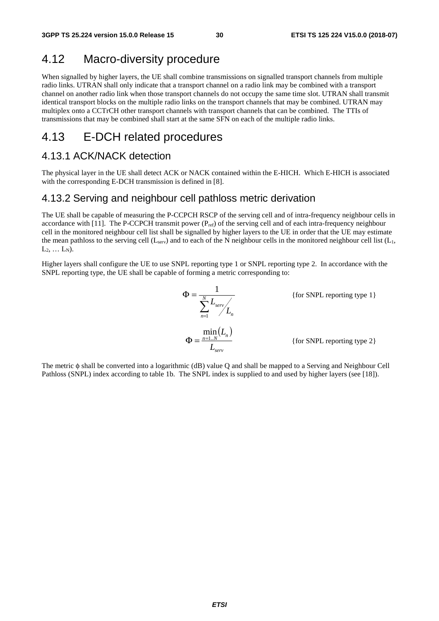## 4.12 Macro-diversity procedure

When signalled by higher layers, the UE shall combine transmissions on signalled transport channels from multiple radio links. UTRAN shall only indicate that a transport channel on a radio link may be combined with a transport channel on another radio link when those transport channels do not occupy the same time slot. UTRAN shall transmit identical transport blocks on the multiple radio links on the transport channels that may be combined. UTRAN may multiplex onto a CCTrCH other transport channels with transport channels that can be combined. The TTIs of transmissions that may be combined shall start at the same SFN on each of the multiple radio links.

## 4.13 E-DCH related procedures

## 4.13.1 ACK/NACK detection

The physical layer in the UE shall detect ACK or NACK contained within the E-HICH. Which E-HICH is associated with the corresponding E-DCH transmission is defined in [8].

### 4.13.2 Serving and neighbour cell pathloss metric derivation

The UE shall be capable of measuring the P-CCPCH RSCP of the serving cell and of intra-frequency neighbour cells in accordance with [11]. The P-CCPCH transmit power  $(P_{ref})$  of the serving cell and of each intra-frequency neighbour cell in the monitored neighbour cell list shall be signalled by higher layers to the UE in order that the UE may estimate the mean pathloss to the serving cell ( $L_{\text{serv}}$ ) and to each of the N neighbour cells in the monitored neighbour cell list ( $L_1$ ,  $L_2, ... L_N$ ).

Higher layers shall configure the UE to use SNPL reporting type 1 or SNPL reporting type 2. In accordance with the SNPL reporting type, the UE shall be capable of forming a metric corresponding to:

$$
\Phi = \frac{1}{\sum_{n=1}^{N} L_{serv} L_n}
$$
 {for SNPL reporting type 1}  
\n
$$
\Phi = \frac{\min(L_n)}{L_{serv}}
$$
 {for SNPL reporting type 2}

The metric φ shall be converted into a logarithmic (dB) value Q and shall be mapped to a Serving and Neighbour Cell Pathloss (SNPL) index according to table 1b. The SNPL index is supplied to and used by higher layers (see [18]).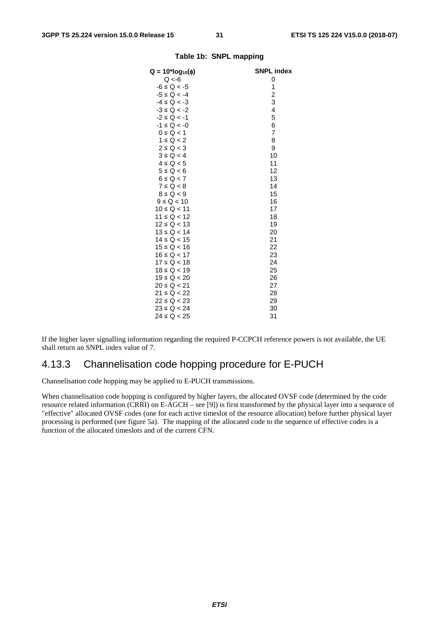| $Q = 10*log_{10}(\phi)$ | <b>SNPL index</b> |
|-------------------------|-------------------|
| Q < 6                   | 0                 |
| $-6 \le Q < -5$         | 1                 |
| $-5 \le Q < -4$         | $\overline{c}$    |
| $-4 \le Q < -3$         | 3                 |
| $-3 \le Q < -2$         | 4                 |
| $-2 \le Q < -1$         | 5                 |
| $-1 \le Q < -0$         | 6                 |
| $0 \le Q < 1$           | 7                 |
| $1 \le Q < 2$           | 8                 |
| $2 \le Q < 3$           | 9                 |
| $3 \le Q < 4$           | 10                |
| $4 \le Q < 5$           | 11                |
| $5 \le Q < 6$           | 12                |
| $6 \le Q < 7$           | 13                |
| $7 \le Q < 8$           | 14                |
| $8 \le Q < 9$           | 15                |
| $9 \le Q < 10$          | 16                |
| $10 \le Q < 11$         | 17                |
| $11 \le Q < 12$         | 18                |
| $12 \le Q < 13$         | 19                |
| $13 \le Q < 14$         | 20                |
| $14 \le Q < 15$         | 21                |
| $15 \le Q < 16$         | 22                |
| $16 \le Q < 17$         | 23                |
| $17 \le Q < 18$         | 24                |
| $18 \le Q < 19$         | 25                |
| $19 \le Q < 20$         | 26                |
| 20 ≤ Q < 21             | 27                |
| $21 \le Q < 22$         | 28                |
| $22 \le Q < 23$         | 29                |
| $23 \le Q < 24$         | 30                |
| $24 \le Q < 25$         | 31                |
|                         |                   |

#### **Table 1b: SNPL mapping**

If the higher layer signalling information regarding the required P-CCPCH reference powers is not available, the UE shall return an SNPL index value of 7.

### 4.13.3 Channelisation code hopping procedure for E-PUCH

Channelisation code hopping may be applied to E-PUCH transmissions.

When channelisation code hopping is configured by higher layers, the allocated OVSF code (determined by the code resource related information (CRRI) on E-AGCH – see [9]) is first transformed by the physical layer into a sequence of "effective" allocated OVSF codes (one for each active timeslot of the resource allocation) before further physical layer processing is performed (see figure 5a). The mapping of the allocated code to the sequence of effective codes is a function of the allocated timeslots and of the current CFN.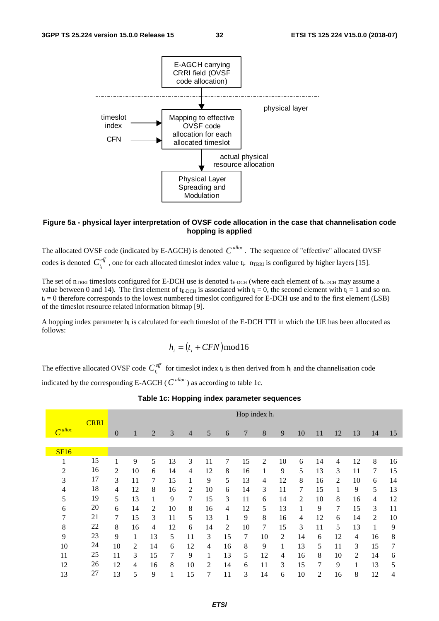

#### **Figure 5a - physical layer interpretation of OVSF code allocation in the case that channelisation code hopping is applied**

The allocated OVSF code (indicated by E-AGCH) is denoted  $C^{alloc}$ . The sequence of "effective" allocated OVSF codes is denoted  $C_{t_i}^{\text{eff}}$ , one for each allocated timeslot index value  $t_i$ .  $n_{TRRI}$  is configured by higher layers [15].

The set of  $n_{TRRI}$  timeslots configured for E-DCH use is denoted  $t_{E-DCH}$  (where each element of  $t_{E-DCH}$  may assume a value between 0 and 14). The first element of  $t_{E-DCH}$  is associated with  $t_i = 0$ , the second element with  $t_i = 1$  and so on.  $t_i = 0$  therefore corresponds to the lowest numbered timeslot configured for E-DCH use and to the first element (LSB) of the timeslot resource related information bitmap [9].

A hopping index parameter  $h_i$  is calculated for each timeslot of the E-DCH TTI in which the UE has been allocated as follows:

$$
h_i = (t_i + CFN) \mod 16
$$

The effective allocated OVSF code  $C_{t_i}^{eff}$  for timeslot index  $t_i$  is then derived from  $h_i$  and the channelisation code

indicated by the corresponding E-AGCH ( $C^{alloc}$ ) as according to table 1c.

|        |             | Hop index h <sub>i</sub> |    |    |    |                |                |                |    |                |    |    |    |                |    |                |    |
|--------|-------------|--------------------------|----|----|----|----------------|----------------|----------------|----|----------------|----|----|----|----------------|----|----------------|----|
| Calloc | <b>CRRI</b> | $\overline{0}$           | 1  | 2  | 3  | $\overline{4}$ | 5              | 6              | 7  | 8              | 9  | 10 | 11 | 12             | 13 | 14             | 15 |
|        |             |                          |    |    |    |                |                |                |    |                |    |    |    |                |    |                |    |
| SF16   |             |                          |    |    |    |                |                |                |    |                |    |    |    |                |    |                |    |
|        | 15          | 1                        | 9  | 5  | 13 | 3              | 11             | 7              | 15 | $\overline{c}$ | 10 | 6  | 14 | 4              | 12 | 8              | 16 |
| 2      | 16          | 2                        | 10 | 6  | 14 | 4              | 12             | 8              | 16 |                | 9  | 5  | 13 | 3              | 11 | 7              | 15 |
| 3      | 17          | 3                        | 11 | 7  | 15 | 1              | 9              | 5              | 13 | 4              | 12 | 8  | 16 | $\overline{2}$ | 10 | 6              | 14 |
| 4      | 18          | 4                        | 12 | 8  | 16 | 2              | 10             | 6              | 14 | 3              | 11 | 7  | 15 |                | 9  | 5              | 13 |
| 5      | 19          | 5                        | 13 |    | 9  | 7              | 15             | 3              | 11 | 6              | 14 | 2  | 10 | 8              | 16 | 4              | 12 |
| 6      | 20          | 6                        | 14 | 2  | 10 | 8              | 16             | 4              | 12 | 5              | 13 | 1  | 9  | 7              | 15 | 3              | 11 |
| 7      | 21          | 7                        | 15 | 3  | 11 | 5              | 13             | 1              | 9  | 8              | 16 | 4  | 12 | 6              | 14 | $\overline{c}$ | 10 |
| 8      | 22          | 8                        | 16 | 4  | 12 | 6              | 14             | $\overline{2}$ | 10 | 7              | 15 | 3  | 11 | 5              | 13 |                | 9  |
| 9      | 23          | 9                        | 1  | 13 | 5  | 11             | 3              | 15             | 7  | 10             | 2  | 14 | 6  | 12             | 4  | 16             | 8  |
| 10     | 24          | 10                       | 2  | 14 | 6  | 12             | 4              | 16             | 8  | 9              | 1  | 13 | 5  | 11             | 3  | 15             | 7  |
| 11     | 25          | 11                       | 3  | 15 | 7  | 9              | 1              | 13             | 5  | 12             | 4  | 16 | 8  | 10             | 2  | 14             | 6  |
| 12     | 26          | 12                       | 4  | 16 | 8  | 10             | $\overline{c}$ | 14             | 6  | 11             | 3  | 15 | 7  | 9              |    | 13             | 5  |
| 13     | 27          | 13                       | 5  | 9  |    | 15             | 7              | 11             | 3  | 14             | 6  | 10 | 2  | 16             | 8  | 12             | 4  |

#### **Table 1c: Hopping index parameter sequences**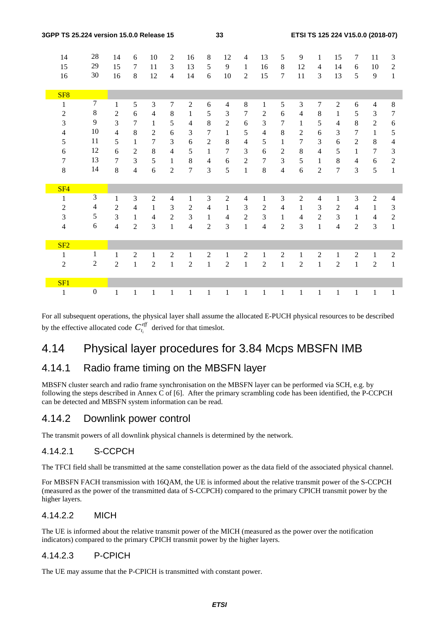| 3GPP TS 25.224 version 15.0.0 Release 15 |                          |                  |                |                |                |                | 33             |                |                |                |                |                | ETSI TS 125 224 V15.0.0 (2018-07) |                          |                |                |                |                  |  |
|------------------------------------------|--------------------------|------------------|----------------|----------------|----------------|----------------|----------------|----------------|----------------|----------------|----------------|----------------|-----------------------------------|--------------------------|----------------|----------------|----------------|------------------|--|
|                                          | 14                       | $28\,$           | 14             | 6              | 10             | $\overline{2}$ | 16             | $\,8\,$        | 12             | 4              | 13             | 5              | 9                                 | 1                        | 15             | 7              | 11             | $\mathfrak{Z}$   |  |
|                                          | 15                       | 29               | 15             | 7              | 11             | $\overline{3}$ | 13             | 5              | 9              | $\mathbf{1}$   | 16             | $\,8\,$        | 12                                | $\overline{4}$           | 14             | 6              | 10             | $\sqrt{2}$       |  |
|                                          | 16                       | 30               | 16             | 8              | 12             | $\overline{4}$ | 14             | 6              | 10             | $\overline{2}$ | 15             | $\tau$         | 11                                | 3                        | 13             | 5              | 9              | $\mathbf{1}$     |  |
|                                          |                          |                  |                |                |                |                |                |                |                |                |                |                |                                   |                          |                |                |                |                  |  |
|                                          | SF <sub>8</sub>          |                  |                |                |                |                |                |                |                |                |                |                |                                   |                          |                |                |                |                  |  |
|                                          | 1                        | $\overline{7}$   | $\mathbf{1}$   | 5              | 3              | $\overline{7}$ | $\overline{2}$ | 6              | $\overline{4}$ | 8              | $\mathbf{1}$   | 5              | 3                                 | 7                        | $\mathfrak{2}$ | 6              | $\overline{4}$ | $\,8\,$          |  |
|                                          | $\boldsymbol{2}$         | $\,8\,$          | $\overline{2}$ | 6              | $\overline{4}$ | $\,8\,$        | $\mathbf{1}$   | 5              | 3              | $\tau$         | $\overline{c}$ | 6              | $\overline{4}$                    | $\,8\,$                  | $\mathbf{1}$   | 5              | 3              | $\boldsymbol{7}$ |  |
|                                          | $\mathfrak{Z}$           | 9                | $\overline{3}$ | 7              | $\mathbf{1}$   | 5              | $\overline{4}$ | 8              | $\mathfrak{2}$ | 6              | 3              | 7              | $\mathbf{1}$                      | 5                        | $\overline{4}$ | 8              | $\overline{2}$ | $\boldsymbol{6}$ |  |
|                                          | $\overline{\mathcal{L}}$ | $10\,$           | $\overline{4}$ | 8              | $\overline{2}$ | 6              | 3              | 7              | $\mathbf{1}$   | 5              | $\overline{4}$ | $\,8\,$        | $\overline{c}$                    | 6                        | 3              | 7              | $\mathbf{1}$   | 5                |  |
|                                          | 5                        | 11               | 5              | $\mathbf{1}$   | $\overline{7}$ | 3              | 6              | $\sqrt{2}$     | $\,8\,$        | 4              | 5              | $\mathbf{1}$   | $\overline{7}$                    | 3                        | 6              | $\overline{2}$ | $8\,$          | $\overline{4}$   |  |
|                                          | 6                        | 12               | 6              | $\overline{2}$ | $8\,$          | $\overline{4}$ | 5              | 1              | 7              | 3              | 6              | $\sqrt{2}$     | 8                                 | $\overline{4}$           | 5              | $\mathbf{1}$   | $\overline{7}$ | 3                |  |
|                                          | $\boldsymbol{7}$         | 13               | 7              | 3              | 5              | $\mathbf{1}$   | $\,8\,$        | $\overline{4}$ | 6              | $\overline{c}$ | $\overline{7}$ | 3              | 5                                 | $\mathbf{1}$             | 8              | $\overline{4}$ | 6              | $\overline{2}$   |  |
|                                          | 8                        | 14               | 8              | $\overline{4}$ | 6              | $\overline{2}$ | $\overline{7}$ | 3              | 5              | $\mathbf{1}$   | 8              | $\overline{4}$ | 6                                 | $\overline{2}$           | $\overline{7}$ | 3              | 5              | $\mathbf{1}$     |  |
|                                          |                          |                  |                |                |                |                |                |                |                |                |                |                |                                   |                          |                |                |                |                  |  |
|                                          | SF <sub>4</sub>          |                  |                |                |                |                |                |                |                |                |                |                |                                   |                          |                |                |                |                  |  |
|                                          | $\,1$                    | $\mathfrak{Z}$   | $\mathbf{1}$   | 3              | $\overline{2}$ | $\overline{4}$ | $\mathbf{1}$   | 3              | $\overline{2}$ | 4              | $\mathbf{1}$   | 3              | $\overline{2}$                    | $\overline{\mathcal{L}}$ | 1              | 3              | $\overline{2}$ | $\overline{4}$   |  |
|                                          | $\overline{c}$           | $\overline{4}$   | $\overline{2}$ | $\overline{4}$ | $\mathbf{1}$   | 3              | $\overline{c}$ | $\overline{4}$ | $\mathbf{1}$   | 3              | 2              | $\overline{4}$ | 1                                 | 3                        | $\mathfrak{2}$ | $\overline{4}$ | 1              | 3                |  |
|                                          | $\mathfrak{Z}$           | 5                | $\overline{3}$ | $\mathbf{1}$   | $\overline{4}$ | $\overline{2}$ | $\mathfrak{Z}$ | $\mathbf{1}$   | $\overline{4}$ | $\overline{2}$ | 3              | $\mathbf{1}$   | $\overline{4}$                    | $\overline{2}$           | 3              | $\mathbf{1}$   | $\overline{4}$ | $\boldsymbol{2}$ |  |
|                                          | 4                        | 6                | $\overline{4}$ | $\overline{2}$ | 3              | $\mathbf{1}$   | 4              | $\overline{2}$ | 3              | $\mathbf{1}$   | $\overline{4}$ | $\overline{2}$ | 3                                 | $\mathbf{1}$             | $\overline{4}$ | $\overline{2}$ | 3              | $\mathbf{1}$     |  |
|                                          |                          |                  |                |                |                |                |                |                |                |                |                |                |                                   |                          |                |                |                |                  |  |
|                                          | SF2                      |                  |                |                |                |                |                |                |                |                |                |                |                                   |                          |                |                |                |                  |  |
|                                          | $\mathbf{1}$             | $\mathbf{1}$     | $\mathbf{1}$   | $\overline{2}$ | $\mathbf{1}$   | $\overline{2}$ | $\mathbf{1}$   | $\overline{2}$ | $\mathbf{1}$   | $\overline{2}$ | $\mathbf{1}$   | $\mathbf{2}$   | $\mathbf{1}$                      | $\mathfrak{2}$           | $\mathbf{1}$   | $\overline{2}$ | $\mathbf{1}$   | $\overline{2}$   |  |
|                                          | $\overline{2}$           | $\overline{2}$   | $\overline{2}$ | $\mathbf{1}$   | $\overline{2}$ | $\mathbf{1}$   | $\overline{2}$ | $\mathbf{1}$   | $\overline{2}$ | $\mathbf{1}$   | $\overline{c}$ | $\mathbf{1}$   | $\overline{2}$                    | $\mathbf{1}$             | $\overline{2}$ | $\mathbf{1}$   | $\overline{2}$ | $\mathbf{1}$     |  |
|                                          |                          |                  |                |                |                |                |                |                |                |                |                |                |                                   |                          |                |                |                |                  |  |
|                                          | SF1                      |                  |                |                |                |                |                |                |                |                |                |                |                                   |                          |                |                |                |                  |  |
|                                          | $\mathbf{1}$             | $\boldsymbol{0}$ | $\mathbf{1}$   | $\mathbf{1}$   | $\mathbf{1}$   | $\mathbf{1}$   | $\mathbf 1$    | $\mathbf{1}$   | $\mathbf{1}$   | $\mathbf{1}$   | $\mathbf{1}$   | $\mathbf{1}$   | $\mathbf{1}$                      | $\mathbf{1}$             | $\mathbf{1}$   | 1              | $\mathbf{1}$   | $\mathbf{1}$     |  |

For all subsequent operations, the physical layer shall assume the allocated E-PUCH physical resources to be described by the effective allocated code  $C_{t_i}^{\text{eff}}$  derived for that timeslot.

## 4.14 Physical layer procedures for 3.84 Mcps MBSFN IMB

## 4.14.1 Radio frame timing on the MBSFN layer

MBSFN cluster search and radio frame synchronisation on the MBSFN layer can be performed via SCH, e.g. by following the steps described in Annex C of [6]. After the primary scrambling code has been identified, the P-CCPCH can be detected and MBSFN system information can be read.

## 4.14.2 Downlink power control

The transmit powers of all downlink physical channels is determined by the network.

## 4.14.2.1 S-CCPCH

The TFCI field shall be transmitted at the same constellation power as the data field of the associated physical channel.

For MBSFN FACH transmission with 16QAM, the UE is informed about the relative transmit power of the S-CCPCH (measured as the power of the transmitted data of S-CCPCH) compared to the primary CPICH transmit power by the higher layers.

### 4.14.2.2 MICH

The UE is informed about the relative transmit power of the MICH (measured as the power over the notification indicators) compared to the primary CPICH transmit power by the higher layers.

### 4.14.2.3 P-CPICH

The UE may assume that the P-CPICH is transmitted with constant power.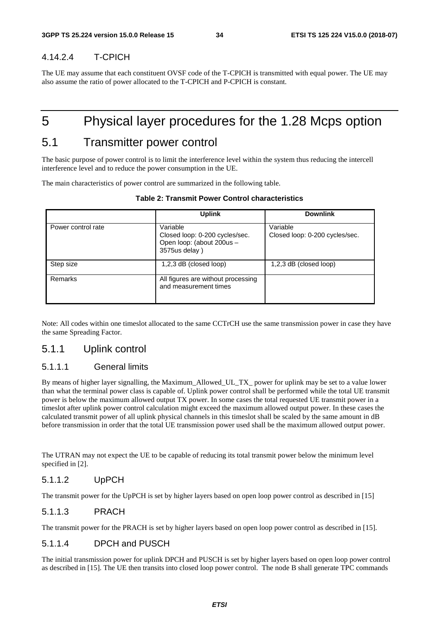### 4.14.2.4 T-CPICH

The UE may assume that each constituent OVSF code of the T-CPICH is transmitted with equal power. The UE may also assume the ratio of power allocated to the T-CPICH and P-CPICH is constant.

## 5 Physical layer procedures for the 1.28 Mcps option

## 5.1 Transmitter power control

The basic purpose of power control is to limit the interference level within the system thus reducing the intercell interference level and to reduce the power consumption in the UE.

The main characteristics of power control are summarized in the following table.

|                    | <b>Uplink</b>                                                                            | <b>Downlink</b>                            |
|--------------------|------------------------------------------------------------------------------------------|--------------------------------------------|
| Power control rate | Variable<br>Closed loop: 0-200 cycles/sec.<br>Open loop: (about 200us -<br>3575us delay) | Variable<br>Closed loop: 0-200 cycles/sec. |
| Step size          | $1,2,3$ dB (closed loop)<br>$1,2,3$ dB (closed loop)                                     |                                            |
| Remarks            | All figures are without processing<br>and measurement times                              |                                            |

|  |  |  | <b>Table 2: Transmit Power Control characteristics</b> |
|--|--|--|--------------------------------------------------------|
|--|--|--|--------------------------------------------------------|

Note: All codes within one timeslot allocated to the same CCTrCH use the same transmission power in case they have the same Spreading Factor.

## 5.1.1 Uplink control

### 5.1.1.1 General limits

By means of higher layer signalling, the Maximum\_Allowed\_UL\_TX\_ power for uplink may be set to a value lower than what the terminal power class is capable of. Uplink power control shall be performed while the total UE transmit power is below the maximum allowed output TX power. In some cases the total requested UE transmit power in a timeslot after uplink power control calculation might exceed the maximum allowed output power. In these cases the calculated transmit power of all uplink physical channels in this timeslot shall be scaled by the same amount in dB before transmission in order that the total UE transmission power used shall be the maximum allowed output power.

The UTRAN may not expect the UE to be capable of reducing its total transmit power below the minimum level specified in [2].

### 5.1.1.2 UpPCH

The transmit power for the UpPCH is set by higher layers based on open loop power control as described in [15]

#### 5.1.1.3 PRACH

The transmit power for the PRACH is set by higher layers based on open loop power control as described in [15].

#### 5.1.1.4 DPCH and PUSCH

The initial transmission power for uplink DPCH and PUSCH is set by higher layers based on open loop power control as described in [15]. The UE then transits into closed loop power control. The node B shall generate TPC commands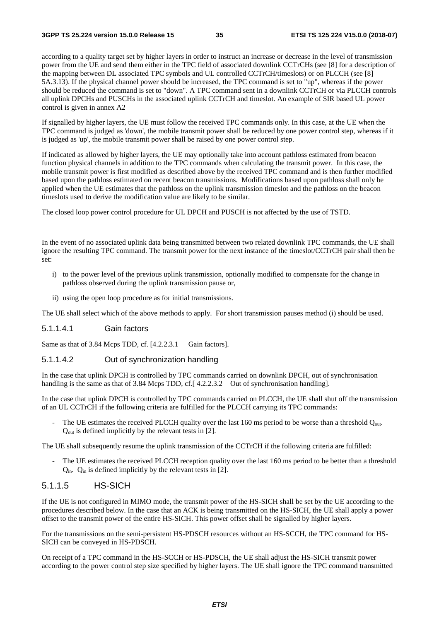according to a quality target set by higher layers in order to instruct an increase or decrease in the level of transmission power from the UE and send them either in the TPC field of associated downlink CCTrCHs (see [8] for a description of the mapping between DL associated TPC symbols and UL controlled CCTrCH/timeslots) or on PLCCH (see [8] 5A.3.13). If the physical channel power should be increased, the TPC command is set to "up", whereas if the power should be reduced the command is set to "down". A TPC command sent in a downlink CCTrCH or via PLCCH controls all uplink DPCHs and PUSCHs in the associated uplink CCTrCH and timeslot. An example of SIR based UL power control is given in annex A2

If signalled by higher layers, the UE must follow the received TPC commands only. In this case, at the UE when the TPC command is judged as 'down', the mobile transmit power shall be reduced by one power control step, whereas if it is judged as 'up', the mobile transmit power shall be raised by one power control step.

If indicated as allowed by higher layers, the UE may optionally take into account pathloss estimated from beacon function physical channels in addition to the TPC commands when calculating the transmit power. In this case, the mobile transmit power is first modified as described above by the received TPC command and is then further modified based upon the pathloss estimated on recent beacon transmissions. Modifications based upon pathloss shall only be applied when the UE estimates that the pathloss on the uplink transmission timeslot and the pathloss on the beacon timeslots used to derive the modification value are likely to be similar.

The closed loop power control procedure for UL DPCH and PUSCH is not affected by the use of TSTD.

In the event of no associated uplink data being transmitted between two related downlink TPC commands, the UE shall ignore the resulting TPC command. The transmit power for the next instance of the timeslot/CCTrCH pair shall then be set:

- i) to the power level of the previous uplink transmission, optionally modified to compensate for the change in pathloss observed during the uplink transmission pause or,
- ii) using the open loop procedure as for initial transmissions.

The UE shall select which of the above methods to apply. For short transmission pauses method (i) should be used.

#### 5.1.1.4.1 Gain factors

Same as that of 3.84 Mcps TDD, cf. [4.2.2.3.1 Gain factors].

#### 5.1.1.4.2 Out of synchronization handling

In the case that uplink DPCH is controlled by TPC commands carried on downlink DPCH, out of synchronisation handling is the same as that of 3.84 Mcps TDD, cf. [4.2.2.3.2 Out of synchronisation handling].

In the case that uplink DPCH is controlled by TPC commands carried on PLCCH, the UE shall shut off the transmission of an UL CCTrCH if the following criteria are fulfilled for the PLCCH carrying its TPC commands:

The UE estimates the received PLCCH quality over the last 160 ms period to be worse than a threshold Q<sub>out</sub>. Qout is defined implicitly by the relevant tests in [2].

The UE shall subsequently resume the uplink transmission of the CCTrCH if the following criteria are fulfilled:

The UE estimates the received PLCCH reception quality over the last 160 ms period to be better than a threshold  $Q_{in}$ .  $Q_{in}$  is defined implicitly by the relevant tests in [2].

#### 5.1.1.5 HS-SICH

If the UE is not configured in MIMO mode, the transmit power of the HS-SICH shall be set by the UE according to the procedures described below. In the case that an ACK is being transmitted on the HS-SICH, the UE shall apply a power offset to the transmit power of the entire HS-SICH. This power offset shall be signalled by higher layers.

For the transmissions on the semi-persistent HS-PDSCH resources without an HS-SCCH, the TPC command for HS-SICH can be conveyed in HS-PDSCH.

On receipt of a TPC command in the HS-SCCH or HS-PDSCH, the UE shall adjust the HS-SICH transmit power according to the power control step size specified by higher layers. The UE shall ignore the TPC command transmitted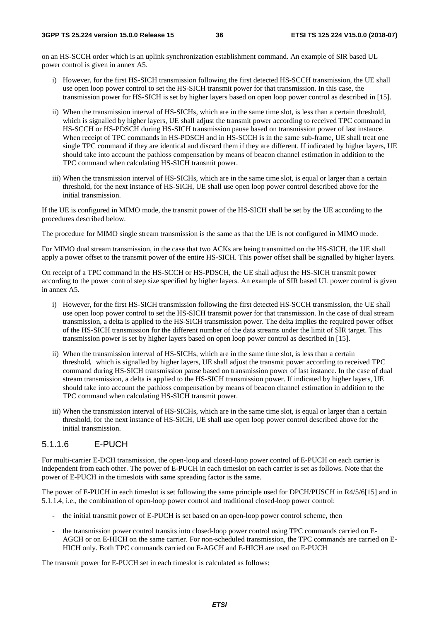on an HS-SCCH order which is an uplink synchronization establishment command. An example of SIR based UL power control is given in annex A5.

- i) However, for the first HS-SICH transmission following the first detected HS-SCCH transmission, the UE shall use open loop power control to set the HS-SICH transmit power for that transmission. In this case, the transmission power for HS-SICH is set by higher layers based on open loop power control as described in [15].
- ii) When the transmission interval of HS-SICHs, which are in the same time slot, is less than a certain threshold, which is signalled by higher layers, UE shall adjust the transmit power according to received TPC command in HS-SCCH or HS-PDSCH during HS-SICH transmission pause based on transmission power of last instance. When receipt of TPC commands in HS-PDSCH and in HS-SCCH is in the same sub-frame, UE shall treat one single TPC command if they are identical and discard them if they are different. If indicated by higher layers, UE should take into account the pathloss compensation by means of beacon channel estimation in addition to the TPC command when calculating HS-SICH transmit power.
- iii) When the transmission interval of HS-SICHs, which are in the same time slot, is equal or larger than a certain threshold, for the next instance of HS-SICH, UE shall use open loop power control described above for the initial transmission.

If the UE is configured in MIMO mode, the transmit power of the HS-SICH shall be set by the UE according to the procedures described below.

The procedure for MIMO single stream transmission is the same as that the UE is not configured in MIMO mode.

For MIMO dual stream transmission, in the case that two ACKs are being transmitted on the HS-SICH, the UE shall apply a power offset to the transmit power of the entire HS-SICH. This power offset shall be signalled by higher layers.

On receipt of a TPC command in the HS-SCCH or HS-PDSCH, the UE shall adjust the HS-SICH transmit power according to the power control step size specified by higher layers. An example of SIR based UL power control is given in annex A5.

- i) However, for the first HS-SICH transmission following the first detected HS-SCCH transmission, the UE shall use open loop power control to set the HS-SICH transmit power for that transmission. In the case of dual stream transmission, a delta is applied to the HS-SICH transmission power. The delta implies the required power offset of the HS-SICH transmission for the different number of the data streams under the limit of SIR target. This transmission power is set by higher layers based on open loop power control as described in [15].
- ii) When the transmission interval of HS-SICHs, which are in the same time slot, is less than a certain threshold, which is signalled by higher layers, UE shall adjust the transmit power according to received TPC command during HS-SICH transmission pause based on transmission power of last instance. In the case of dual stream transmission, a delta is applied to the HS-SICH transmission power. If indicated by higher layers, UE should take into account the pathloss compensation by means of beacon channel estimation in addition to the TPC command when calculating HS-SICH transmit power.
- iii) When the transmission interval of HS-SICHs, which are in the same time slot, is equal or larger than a certain threshold, for the next instance of HS-SICH, UE shall use open loop power control described above for the initial transmission.

#### 5.1.1.6 E-PUCH

For multi-carrier E-DCH transmission, the open-loop and closed-loop power control of E-PUCH on each carrier is independent from each other. The power of E-PUCH in each timeslot on each carrier is set as follows. Note that the power of E-PUCH in the timeslots with same spreading factor is the same.

The power of E-PUCH in each timeslot is set following the same principle used for DPCH/PUSCH in R4/5/6[15] and in 5.1.1.4, i.e., the combination of open-loop power control and traditional closed-loop power control:

- the initial transmit power of E-PUCH is set based on an open-loop power control scheme, then
- the transmission power control transits into closed-loop power control using TPC commands carried on E-AGCH or on E-HICH on the same carrier. For non-scheduled transmission, the TPC commands are carried on E-HICH only. Both TPC commands carried on E-AGCH and E-HICH are used on E-PUCH

The transmit power for E-PUCH set in each timeslot is calculated as follows: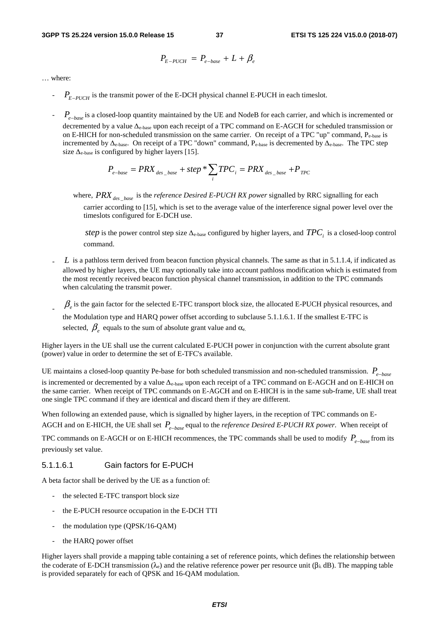$$
P_{E-PUCH} = P_{e-base} + L + \beta_e
$$

… where:

- is the transmit power of the E-DCH physical channel E-PUCH in each timeslot. *PE*<sup>−</sup>*PUCH*
- is a closed-loop quantity maintained by the UE and NodeB for each carrier, and which is incremented or *Pe*<sup>−</sup>*base* decremented by a value Δe-base upon each receipt of a TPC command on E-AGCH for scheduled transmission or on E-HICH for non-scheduled transmission on the same carrier. On receipt of a TPC "up" command,  $P_{\text{e-hase}}$  is incremented by Δe-base. On receipt of a TPC "down" command, Pe-base is decremented by Δe-base. The TPC step size  $\Delta_{\text{e-base}}$  is configured by higher layers [15].

$$
P_{e-base} = PRX_{des\_base} + step * \sum_{i} TPC_{i} = PRX_{des\_base} + P_{TPC}
$$

where,  $PRX_{des\_base}$  is the *reference Desired E-PUCH RX power* signalled by RRC signalling for each carrier according to [15], which is set to the average value of the interference signal power level over the timeslots configured for E-DCH use.

*step* is the power control step size  $\Delta_{e\text{-base}}$  configured by higher layers, and  $TPC_i$  is a closed-loop control command.

- <sup>1</sup> L is a pathloss term derived from beacon function physical channels. The same as that in 5.1.1.4, if indicated as allowed by higher layers, the UE may optionally take into account pathloss modification which is estimated from the most recently received beacon function physical channel transmission, in addition to the TPC commands when calculating the transmit power.
- $\beta_e$  is the gain factor for the selected E-TFC transport block size, the allocated E-PUCH physical resources, and
	- the Modulation type and HARQ power offset according to subclause 5.1.1.6.1. If the smallest E-TFC is selected,  $\beta_e$  equals to the sum of absolute grant value and  $\alpha_e$ .

Higher layers in the UE shall use the current calculated E-PUCH power in conjunction with the current absolute grant (power) value in order to determine the set of E-TFC's available.

UE maintains a closed-loop quantity Pe-base for both scheduled transmission and non-scheduled transmission. *Pe*<sup>−</sup>*base* is incremented or decremented by a value Δe-base upon each receipt of a TPC command on E-AGCH and on E-HICH on the same carrier. When receipt of TPC commands on E-AGCH and on E-HICH is in the same sub-frame, UE shall treat one single TPC command if they are identical and discard them if they are different.

When following an extended pause, which is signalled by higher layers, in the reception of TPC commands on E-AGCH and on E-HICH, the UE shall set  $P_{e-base}$  equal to the *reference Desired E-PUCH RX power*. When receipt of

TPC commands on E-AGCH or on E-HICH recommences, the TPC commands shall be used to modify  $P_{e-base}$  from its previously set value.

#### 5.1.1.6.1 Gain factors for E-PUCH

A beta factor shall be derived by the UE as a function of:

- the selected E-TFC transport block size
- the E-PUCH resource occupation in the E-DCH TTI
- the modulation type (QPSK/16-QAM)
- the HARQ power offset

Higher layers shall provide a mapping table containing a set of reference points, which defines the relationship between the coderate of E-DCH transmission (λ<sub>e</sub>) and the relative reference power per resource unit (βλ dB). The mapping table is provided separately for each of QPSK and 16-QAM modulation.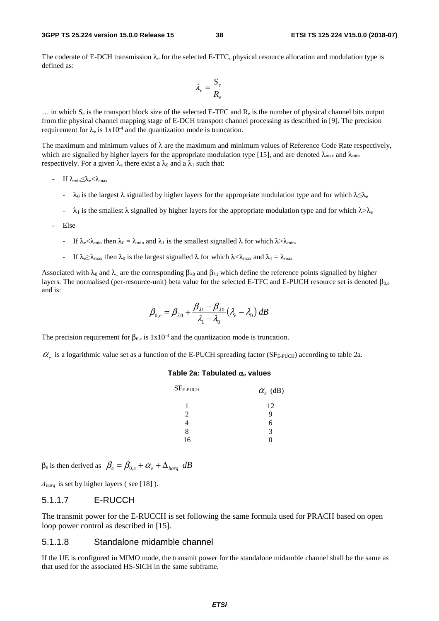#### **3GPP TS 25.224 version 15.0.0 Release 15 38 ETSI TS 125 224 V15.0.0 (2018-07)**

The coderate of E-DCH transmission  $\lambda_e$  for the selected E-TFC, physical resource allocation and modulation type is defined as:

$$
\lambda_e = \frac{S_e}{R_e}
$$

 $\ldots$  in which  $S_e$  is the transport block size of the selected E-TFC and  $R_e$  is the number of physical channel bits output from the physical channel mapping stage of E-DCH transport channel processing as described in [9]. The precision requirement for  $\lambda_e$  is  $1x10^{-4}$  and the quantization mode is truncation.

The maximum and minimum values of  $\lambda$  are the maximum and minimum values of Reference Code Rate respectively, which are signalled by higher layers for the appropriate modulation type [15], and are denoted  $\lambda_{\text{max}}$  and  $\lambda_{\text{min}}$ respectively. For a given  $\lambda_e$  there exist a  $\lambda_0$  and a  $\lambda_1$  such that:

- If  $\lambda_{\min} \leq \lambda_e < \lambda_{\max}$ 
	- $\lambda_0$  is the largest  $\lambda$  signalled by higher layers for the appropriate modulation type and for which  $\lambda \leq \lambda_e$
	- $-\lambda_1$  is the smallest  $\lambda$  signalled by higher layers for the appropriate modulation type and for which  $\lambda > \lambda_e$
- Else
	- If  $\lambda_e < \lambda_{\min}$  then  $\lambda_0 = \lambda_{\min}$  and  $\lambda_1$  is the smallest signalled  $\lambda$  for which  $\lambda > \lambda_{\min}$ .
	- If  $\lambda_e > \lambda_{\text{max}}$  then  $\lambda_0$  is the largest signalled  $\lambda$  for which  $\lambda < \lambda_{\text{max}}$  and  $\lambda_1 = \lambda_{\text{max}}$

Associated with  $\lambda_0$  and  $\lambda_1$  are the corresponding  $\beta_{\lambda_0}$  and  $\beta_{\lambda_1}$  which define the reference points signalled by higher layers. The normalised (per-resource-unit) beta value for the selected E-TFC and E-PUCH resource set is denoted  $\beta_{0,e}$ and is:

$$
\beta_{0,e} = \beta_{\lambda 0} + \frac{\beta_{\lambda 1} - \beta_{\lambda 0}}{\lambda_1 - \lambda_0} (\lambda_e - \lambda_0) dB
$$

The precision requirement for  $\beta_{0,e}$  is  $1x10^{-3}$  and the quantization mode is truncation.

 $\alpha_{e}$  is a logarithmic value set as a function of the E-PUCH spreading factor (SF<sub>E-PUCH</sub>) according to table 2a.

#### **Table 2a: Tabulated** α**e values**

| $SFE-PUCH$     | $\alpha_e$ (dB) |
|----------------|-----------------|
| 1              | 12              |
| $\mathfrak{D}$ | 9               |
|                | 6               |
| 8              | 3               |
| 16             |                 |

 $β<sub>e</sub>$  is then derived as  $β<sub>e</sub> = β<sub>0e</sub> + α<sub>e</sub> + Δ<sub>hara</sub> dB$ 

Δ*harq* is set by higher layers ( see [18] ).

#### 5.1.1.7 E-RUCCH

The transmit power for the E-RUCCH is set following the same formula used for PRACH based on open loop power control as described in [15].

#### 5.1.1.8 Standalone midamble channel

If the UE is configured in MIMO mode, the transmit power for the standalone midamble channel shall be the same as that used for the associated HS-SICH in the same subframe.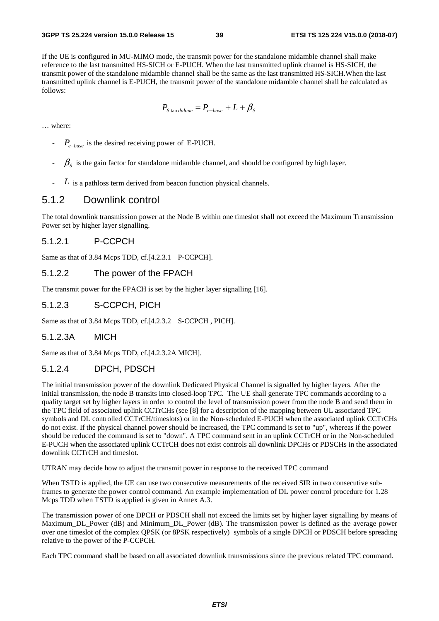If the UE is configured in MU-MIMO mode, the transmit power for the standalone midamble channel shall make reference to the last transmitted HS-SICH or E-PUCH. When the last transmitted uplink channel is HS-SICH, the transmit power of the standalone midamble channel shall be the same as the last transmitted HS-SICH.When the last transmitted uplink channel is E-PUCH, the transmit power of the standalone midamble channel shall be calculated as follows:

$$
P_{\text{S tan }dalone} = P_{e-base} + L + \beta_{\text{S}}
$$

… where:

- *P*<sub>e−base</sub> is the desired receiving power of E-PUCH.
- $\beta_{\rm s}$  is the gain factor for standalone midamble channel, and should be configured by high layer.
- $L$  is a pathloss term derived from beacon function physical channels.

#### 5.1.2 Downlink control

The total downlink transmission power at the Node B within one timeslot shall not exceed the Maximum Transmission Power set by higher layer signalling.

#### 5.1.2.1 P-CCPCH

Same as that of 3.84 Mcps TDD, cf.[4.2.3.1 P-CCPCH].

#### 5.1.2.2 The power of the FPACH

The transmit power for the FPACH is set by the higher layer signalling [16].

#### 5.1.2.3 S-CCPCH, PICH

Same as that of 3.84 Mcps TDD, cf.[4.2.3.2 S-CCPCH , PICH].

#### 5.1.2.3A MICH

Same as that of 3.84 Mcps TDD, cf.[4.2.3.2A MICH].

#### 5.1.2.4 DPCH, PDSCH

The initial transmission power of the downlink Dedicated Physical Channel is signalled by higher layers. After the initial transmission, the node B transits into closed-loop TPC. The UE shall generate TPC commands according to a quality target set by higher layers in order to control the level of transmission power from the node B and send them in the TPC field of associated uplink CCTrCHs (see [8] for a description of the mapping between UL associated TPC symbols and DL controlled CCTrCH/timeslots) or in the Non-scheduled E-PUCH when the associated uplink CCTrCHs do not exist. If the physical channel power should be increased, the TPC command is set to "up", whereas if the power should be reduced the command is set to "down". A TPC command sent in an uplink CCTrCH or in the Non-scheduled E-PUCH when the associated uplink CCTrCH does not exist controls all downlink DPCHs or PDSCHs in the associated downlink CCTrCH and timeslot.

UTRAN may decide how to adjust the transmit power in response to the received TPC command

When TSTD is applied, the UE can use two consecutive measurements of the received SIR in two consecutive subframes to generate the power control command. An example implementation of DL power control procedure for 1.28 Mcps TDD when TSTD is applied is given in Annex A.3.

The transmission power of one DPCH or PDSCH shall not exceed the limits set by higher layer signalling by means of Maximum\_DL\_Power (dB) and Minimum\_DL\_Power (dB). The transmission power is defined as the average power over one timeslot of the complex QPSK (or 8PSK respectively) symbols of a single DPCH or PDSCH before spreading relative to the power of the P-CCPCH.

Each TPC command shall be based on all associated downlink transmissions since the previous related TPC command.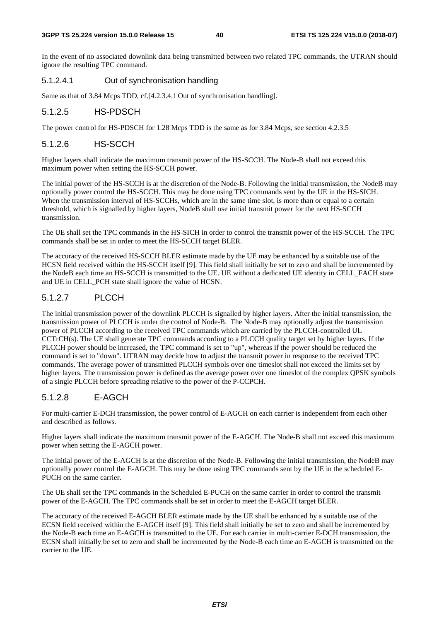#### **3GPP TS 25.224 version 15.0.0 Release 15 40 ETSI TS 125 224 V15.0.0 (2018-07)**

In the event of no associated downlink data being transmitted between two related TPC commands, the UTRAN should ignore the resulting TPC command.

#### 5.1.2.4.1 Out of synchronisation handling

Same as that of 3.84 Mcps TDD, cf.[4.2.3.4.1 Out of synchronisation handling].

#### 5.1.2.5 HS-PDSCH

The power control for HS-PDSCH for 1.28 Mcps TDD is the same as for 3.84 Mcps, see section 4.2.3.5

#### 5.1.2.6 HS-SCCH

Higher layers shall indicate the maximum transmit power of the HS-SCCH. The Node-B shall not exceed this maximum power when setting the HS-SCCH power.

The initial power of the HS-SCCH is at the discretion of the Node-B. Following the initial transmission, the NodeB may optionally power control the HS-SCCH. This may be done using TPC commands sent by the UE in the HS-SICH. When the transmission interval of HS-SCCHs, which are in the same time slot, is more than or equal to a certain threshold, which is signalled by higher layers, NodeB shall use initial transmit power for the next HS-SCCH transmission.

The UE shall set the TPC commands in the HS-SICH in order to control the transmit power of the HS-SCCH. The TPC commands shall be set in order to meet the HS-SCCH target BLER.

The accuracy of the received HS-SCCH BLER estimate made by the UE may be enhanced by a suitable use of the HCSN field received within the HS-SCCH itself [9]. This field shall initially be set to zero and shall be incremented by the NodeB each time an HS-SCCH is transmitted to the UE. UE without a dedicated UE identity in CELL\_FACH state and UE in CELL\_PCH state shall ignore the value of HCSN.

#### 5.1.2.7 PLCCH

The initial transmission power of the downlink PLCCH is signalled by higher layers. After the initial transmission, the transmission power of PLCCH is under the control of Node-B. The Node-B may optionally adjust the transmission power of PLCCH according to the received TPC commands which are carried by the PLCCH-controlled UL CCTrCH(s). The UE shall generate TPC commands according to a PLCCH quality target set by higher layers. If the PLCCH power should be increased, the TPC command is set to "up", whereas if the power should be reduced the command is set to "down". UTRAN may decide how to adjust the transmit power in response to the received TPC commands. The average power of transmitted PLCCH symbols over one timeslot shall not exceed the limits set by higher layers. The transmission power is defined as the average power over one timeslot of the complex QPSK symbols of a single PLCCH before spreading relative to the power of the P-CCPCH.

#### 5.1.2.8 E-AGCH

For multi-carrier E-DCH transmission, the power control of E-AGCH on each carrier is independent from each other and described as follows.

Higher layers shall indicate the maximum transmit power of the E-AGCH. The Node-B shall not exceed this maximum power when setting the E-AGCH power.

The initial power of the E-AGCH is at the discretion of the Node-B. Following the initial transmission, the NodeB may optionally power control the E-AGCH. This may be done using TPC commands sent by the UE in the scheduled E-PUCH on the same carrier.

The UE shall set the TPC commands in the Scheduled E-PUCH on the same carrier in order to control the transmit power of the E-AGCH. The TPC commands shall be set in order to meet the E-AGCH target BLER.

The accuracy of the received E-AGCH BLER estimate made by the UE shall be enhanced by a suitable use of the ECSN field received within the E-AGCH itself [9]. This field shall initially be set to zero and shall be incremented by the Node-B each time an E-AGCH is transmitted to the UE. For each carrier in multi-carrier E-DCH transmission, the ECSN shall initially be set to zero and shall be incremented by the Node-B each time an E-AGCH is transmitted on the carrier to the UE.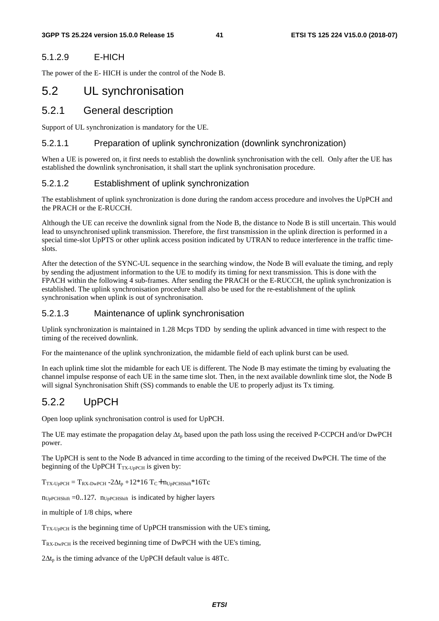#### 5.1.2.9 E-HICH

The power of the E- HICH is under the control of the Node B.

# 5.2 UL synchronisation

### 5.2.1 General description

Support of UL synchronization is mandatory for the UE.

#### 5.2.1.1 Preparation of uplink synchronization (downlink synchronization)

When a UE is powered on, it first needs to establish the downlink synchronisation with the cell. Only after the UE has established the downlink synchronisation, it shall start the uplink synchronisation procedure.

#### 5.2.1.2 Establishment of uplink synchronization

The establishment of uplink synchronization is done during the random access procedure and involves the UpPCH and the PRACH or the E-RUCCH.

Although the UE can receive the downlink signal from the Node B, the distance to Node B is still uncertain. This would lead to unsynchronised uplink transmission. Therefore, the first transmission in the uplink direction is performed in a special time-slot UpPTS or other uplink access position indicated by UTRAN to reduce interference in the traffic timeslots.

After the detection of the SYNC-UL sequence in the searching window, the Node B will evaluate the timing, and reply by sending the adjustment information to the UE to modify its timing for next transmission. This is done with the FPACH within the following 4 sub-frames. After sending the PRACH or the E-RUCCH, the uplink synchronization is established. The uplink synchronisation procedure shall also be used for the re-establishment of the uplink synchronisation when uplink is out of synchronisation.

#### 5.2.1.3 Maintenance of uplink synchronisation

Uplink synchronization is maintained in 1.28 Mcps TDD by sending the uplink advanced in time with respect to the timing of the received downlink.

For the maintenance of the uplink synchronization, the midamble field of each uplink burst can be used.

In each uplink time slot the midamble for each UE is different. The Node B may estimate the timing by evaluating the channel impulse response of each UE in the same time slot. Then, in the next available downlink time slot, the Node B will signal Synchronisation Shift (SS) commands to enable the UE to properly adjust its Tx timing.

## 5.2.2 UpPCH

Open loop uplink synchronisation control is used for UpPCH.

The UE may estimate the propagation delay  $\Delta t_p$  based upon the path loss using the received P-CCPCH and/or DwPCH power.

The UpPCH is sent to the Node B advanced in time according to the timing of the received DwPCH. The time of the beginning of the UpPCH  $T_{TX\text{-}UpPCH}$  is given by:

 $T_{TX\text{-}UpPCH} = T_{RX\text{-}DwPCH} - 2\Delta t_p + 12*16 T_C + n_{UpPCHShift}*16T_C$ 

 $n_{UpPCHShift} = 0.127$ ,  $n_{UpPCHShift}$  is indicated by higher layers

in multiple of 1/8 chips, where

TTX-UpPCH is the beginning time of UpPCH transmission with the UE's timing,

TRX-DwPCH is the received beginning time of DwPCH with the UE's timing,

 $2\Delta t_p$  is the timing advance of the UpPCH default value is 48Tc.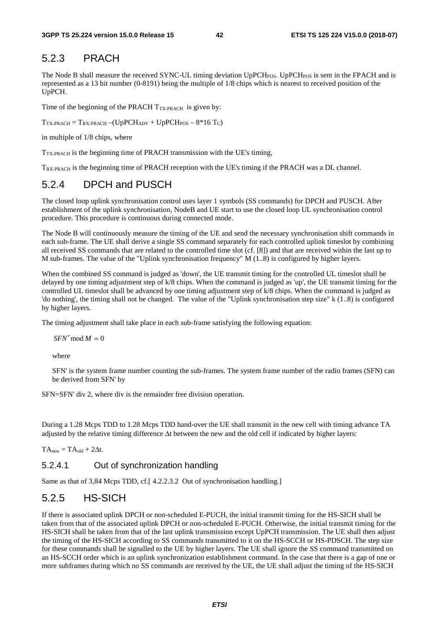### 5.2.3 PRACH

The Node B shall measure the received SYNC-UL timing deviation UpPCH<sub>POS</sub>. UpPCH<sub>POS</sub> is sent in the FPACH and is represented as a 13 bit number (0-8191) being the multiple of 1/8 chips which is nearest to received position of the UpPCH.

Time of the beginning of the PRACH  $T_{TX\text{-}PRACT}$  is given by:

 $T_{TX\text{-}PRACTH} = T_{RX\text{-}PRACTH} - (UpPCH_{ADV} + UpPCH_{POS} - 8*16 T_C)$ 

in multiple of 1/8 chips, where

 $T_{TX\text{-PRACT}}$  is the beginning time of PRACH transmission with the UE's timing,

TRX-PRACH is the beginning time of PRACH reception with the UE's timing if the PRACH was a DL channel.

# 5.2.4 DPCH and PUSCH

The closed loop uplink synchronisation control uses layer 1 symbols (SS commands) for DPCH and PUSCH. After establishment of the uplink synchronisation, NodeB and UE start to use the closed loop UL synchronisation control procedure. This procedure is continuous during connected mode.

The Node B will continuously measure the timing of the UE and send the necessary synchronisation shift commands in each sub-frame. The UE shall derive a single SS command separately for each controlled uplink timeslot by combining all received SS commands that are related to the controlled time slot (cf. [8]) and that are received within the last up to M sub-frames. The value of the "Uplink synchronisation frequency"  $M(1..8)$  is configured by higher layers.

When the combined SS command is judged as 'down', the UE transmit timing for the controlled UL timeslot shall be delayed by one timing adjustment step of k/8 chips. When the command is judged as 'up', the UE transmit timing for the controlled UL timeslot shall be advanced by one timing adjustment step of k/8 chips. When the command is judged as 'do nothing', the timing shall not be changed. The value of the "Uplink synchronisation step size" k (1..8) is configured by higher layers.

The timing adjustment shall take place in each sub-frame satisfying the following equation:

 $SFN' \mod M = 0$ 

where

SFN' is the system frame number counting the sub-frames. The system frame number of the radio frames (SFN) can be derived from SFN' by

SFN=SFN' div 2, where div is the remainder free division operation.

During a 1.28 Mcps TDD to 1.28 Mcps TDD hand-over the UE shall transmit in the new cell with timing advance TA adjusted by the relative timing difference Δt between the new and the old cell if indicated by higher layers:

 $TA<sub>new</sub> = TA<sub>old</sub> + 2\Delta t$ .

#### 5.2.4.1 Out of synchronization handling

Same as that of 3,84 Mcps TDD, cf.[ 4.2.2.3.2 Out of synchronisation handling.]

## 5.2.5 HS-SICH

If there is associated uplink DPCH or non-scheduled E-PUCH, the initial transmit timing for the HS-SICH shall be taken from that of the associated uplink DPCH or non-scheduled E-PUCH. Otherwise, the initial transmit timing for the HS-SICH shall be taken from that of the last uplink transmission except UpPCH transmission. The UE shall then adjust the timing of the HS-SICH according to SS commands transmitted to it on the HS-SCCH or HS-PDSCH. The step size for these commands shall be signalled to the UE by higher layers. The UE shall ignore the SS command transmitted on an HS-SCCH order which is an uplink synchronization establishment command. In the case that there is a gap of one or more subframes during which no SS commands are received by the UE, the UE shall adjust the timing of the HS-SICH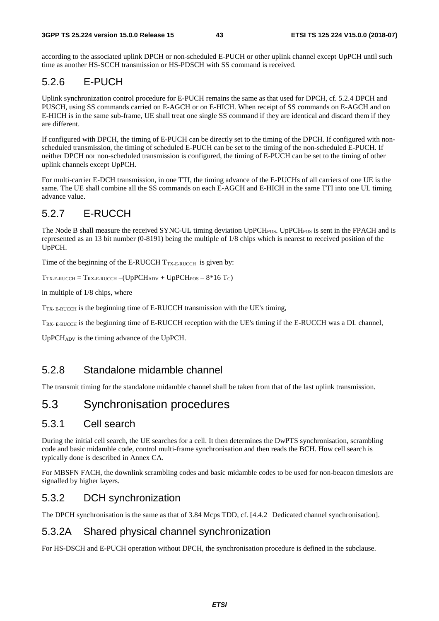according to the associated uplink DPCH or non-scheduled E-PUCH or other uplink channel except UpPCH until such time as another HS-SCCH transmission or HS-PDSCH with SS command is received.

# 5.2.6 E-PUCH

Uplink synchronization control procedure for E-PUCH remains the same as that used for DPCH, cf. 5.2.4 DPCH and PUSCH, using SS commands carried on E-AGCH or on E-HICH. When receipt of SS commands on E-AGCH and on E-HICH is in the same sub-frame, UE shall treat one single SS command if they are identical and discard them if they are different.

If configured with DPCH, the timing of E-PUCH can be directly set to the timing of the DPCH. If configured with nonscheduled transmission, the timing of scheduled E-PUCH can be set to the timing of the non-scheduled E-PUCH. If neither DPCH nor non-scheduled transmission is configured, the timing of E-PUCH can be set to the timing of other uplink channels except UpPCH.

For multi-carrier E-DCH transmission, in one TTI, the timing advance of the E-PUCHs of all carriers of one UE is the same. The UE shall combine all the SS commands on each E-AGCH and E-HICH in the same TTI into one UL timing advance value.

# 5.2.7 E-RUCCH

The Node B shall measure the received SYNC-UL timing deviation UpPCH<sub>POS</sub>. UpPCH<sub>POS</sub> is sent in the FPACH and is represented as an 13 bit number (0-8191) being the multiple of 1/8 chips which is nearest to received position of the UpPCH.

Time of the beginning of the E-RUCCH  $T_{TX-E-RUCCH}$  is given by:

 $T_{TX-E-RUCCH} = T_{RX-E-RUCCH} - (UpPCH_{ADV} + UpPCH_{POS} - 8*16 T_C)$ 

in multiple of 1/8 chips, where

T<sub>TX-E-RUCCH</sub> is the beginning time of E-RUCCH transmission with the UE's timing,

T<sub>RX- E-RUCCH</sub> is the beginning time of E-RUCCH reception with the UE's timing if the E-RUCCH was a DL channel,

UpPCHADV is the timing advance of the UpPCH.

# 5.2.8 Standalone midamble channel

The transmit timing for the standalone midamble channel shall be taken from that of the last uplink transmission.

# 5.3 Synchronisation procedures

## 5.3.1 Cell search

During the initial cell search, the UE searches for a cell. It then determines the DwPTS synchronisation, scrambling code and basic midamble code, control multi-frame synchronisation and then reads the BCH. How cell search is typically done is described in Annex CA.

For MBSFN FACH, the downlink scrambling codes and basic midamble codes to be used for non-beacon timeslots are signalled by higher layers.

# 5.3.2 DCH synchronization

The DPCH synchronisation is the same as that of 3.84 Mcps TDD, cf. [4.4.2 Dedicated channel synchronisation].

## 5.3.2A Shared physical channel synchronization

For HS-DSCH and E-PUCH operation without DPCH, the synchronisation procedure is defined in the subclause.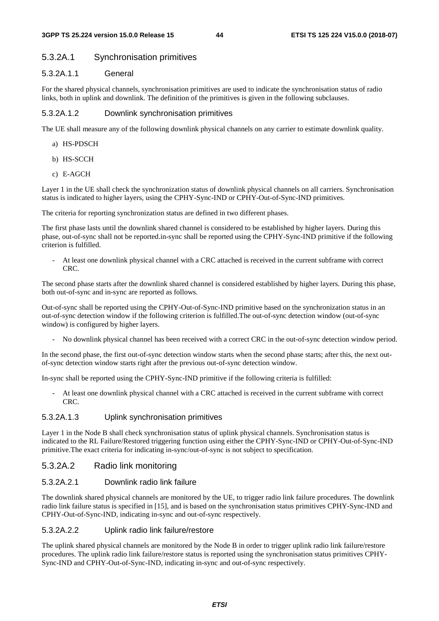#### 5.3.2A.1 Synchronisation primitives

#### 5.3.2A.1.1 General

For the shared physical channels, synchronisation primitives are used to indicate the synchronisation status of radio links, both in uplink and downlink. The definition of the primitives is given in the following subclauses.

#### 5.3.2A.1.2 Downlink synchronisation primitives

The UE shall measure any of the following downlink physical channels on any carrier to estimate downlink quality.

- a) HS-PDSCH
- b) HS-SCCH
- c) E-AGCH

Layer 1 in the UE shall check the synchronization status of downlink physical channels on all carriers. Synchronisation status is indicated to higher layers, using the CPHY-Sync-IND or CPHY-Out-of-Sync-IND primitives.

The criteria for reporting synchronization status are defined in two different phases.

The first phase lasts until the downlink shared channel is considered to be established by higher layers. During this phase, out-of-sync shall not be reported.in-sync shall be reported using the CPHY-Sync-IND primitive if the following criterion is fulfilled.

- At least one downlink physical channel with a CRC attached is received in the current subframe with correct CRC.

The second phase starts after the downlink shared channel is considered established by higher layers. During this phase, both out-of-sync and in-sync are reported as follows.

Out-of-sync shall be reported using the CPHY-Out-of-Sync-IND primitive based on the synchronization status in an out-of-sync detection window if the following criterion is fulfilled.The out-of-sync detection window (out-of-sync window) is configured by higher layers.

- No downlink physical channel has been received with a correct CRC in the out-of-sync detection window period.

In the second phase, the first out-of-sync detection window starts when the second phase starts; after this, the next outof-sync detection window starts right after the previous out-of-sync detection window.

In-sync shall be reported using the CPHY-Sync-IND primitive if the following criteria is fulfilled:

- At least one downlink physical channel with a CRC attached is received in the current subframe with correct CRC.

#### 5.3.2A.1.3 Uplink synchronisation primitives

Layer 1 in the Node B shall check synchronisation status of uplink physical channels. Synchronisation status is indicated to the RL Failure/Restored triggering function using either the CPHY-Sync-IND or CPHY-Out-of-Sync-IND primitive.The exact criteria for indicating in-sync/out-of-sync is not subject to specification.

#### 5.3.2A.2 Radio link monitoring

#### 5.3.2A.2.1 Downlink radio link failure

The downlink shared physical channels are monitored by the UE, to trigger radio link failure procedures. The downlink radio link failure status is specified in [15], and is based on the synchronisation status primitives CPHY-Sync-IND and CPHY-Out-of-Sync-IND, indicating in-sync and out-of-sync respectively.

#### 5.3.2A.2.2 Uplink radio link failure/restore

The uplink shared physical channels are monitored by the Node B in order to trigger uplink radio link failure/restore procedures. The uplink radio link failure/restore status is reported using the synchronisation status primitives CPHY-Sync-IND and CPHY-Out-of-Sync-IND, indicating in-sync and out-of-sync respectively.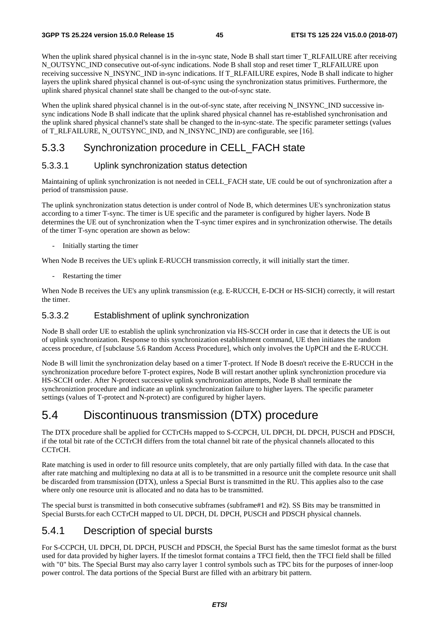When the uplink shared physical channel is in the in-sync state, Node B shall start timer T\_RLFAILURE after receiving N\_OUTSYNC\_IND consecutive out-of-sync indications. Node B shall stop and reset timer T\_RLFAILURE upon receiving successive N\_INSYNC\_IND in-sync indications. If T\_RLFAILURE expires, Node B shall indicate to higher layers the uplink shared physical channel is out-of-sync using the synchronization status primitives. Furthermore, the uplink shared physical channel state shall be changed to the out-of-sync state.

When the uplink shared physical channel is in the out-of-sync state, after receiving N\_INSYNC\_IND successive insync indications Node B shall indicate that the uplink shared physical channel has re-established synchronisation and the uplink shared physical channel's state shall be changed to the in-sync-state. The specific parameter settings (values of T\_RLFAILURE, N\_OUTSYNC\_IND, and N\_INSYNC\_IND) are configurable, see [16].

# 5.3.3 Synchronization procedure in CELL\_FACH state

#### 5.3.3.1 Uplink synchronization status detection

Maintaining of uplink synchronization is not needed in CELL\_FACH state, UE could be out of synchronization after a period of transmission pause.

The uplink synchronization status detection is under control of Node B, which determines UE's synchronization status according to a timer T-sync. The timer is UE specific and the parameter is configured by higher layers. Node B determines the UE out of synchronization when the T-sync timer expires and in synchronization otherwise. The details of the timer T-sync operation are shown as below:

- Initially starting the timer

When Node B receives the UE's uplink E-RUCCH transmission correctly, it will initially start the timer.

- Restarting the timer

When Node B receives the UE's any uplink transmission (e.g. E-RUCCH, E-DCH or HS-SICH) correctly, it will restart the timer.

#### 5.3.3.2 Establishment of uplink synchronization

Node B shall order UE to establish the uplink synchronization via HS-SCCH order in case that it detects the UE is out of uplink synchronization. Response to this synchronization establishment command, UE then initiates the random access procedure, cf [subclause 5.6 Random Access Procedure], which only involves the UpPCH and the E-RUCCH.

Node B will limit the synchronization delay based on a timer T-protect. If Node B doesn't receive the E-RUCCH in the synchronization procedure before T-protect expires, Node B will restart another uplink synchroniztion procedure via HS-SCCH order. After N-protect successive uplink synchronization attempts, Node B shall terminate the synchroniztion procedure and indicate an uplink synchronization failure to higher layers. The specific parameter settings (values of T-protect and N-protect) are configured by higher layers.

# 5.4 Discontinuous transmission (DTX) procedure

The DTX procedure shall be applied for CCTrCHs mapped to S-CCPCH, UL DPCH, DL DPCH, PUSCH and PDSCH, if the total bit rate of the CCTrCH differs from the total channel bit rate of the physical channels allocated to this CCTrCH.

Rate matching is used in order to fill resource units completely, that are only partially filled with data. In the case that after rate matching and multiplexing no data at all is to be transmitted in a resource unit the complete resource unit shall be discarded from transmission (DTX), unless a Special Burst is transmitted in the RU. This applies also to the case where only one resource unit is allocated and no data has to be transmitted.

The special burst is transmitted in both consecutive subframes (subframe#1 and #2). SS Bits may be transmitted in Special Bursts.for each CCTrCH mapped to UL DPCH, DL DPCH, PUSCH and PDSCH physical channels.

### 5.4.1 Description of special bursts

For S-CCPCH, UL DPCH, DL DPCH, PUSCH and PDSCH, the Special Burst has the same timeslot format as the burst used for data provided by higher layers. If the timeslot format contains a TFCI field, then the TFCI field shall be filled with "0" bits. The Special Burst may also carry layer 1 control symbols such as TPC bits for the purposes of inner-loop power control. The data portions of the Special Burst are filled with an arbitrary bit pattern.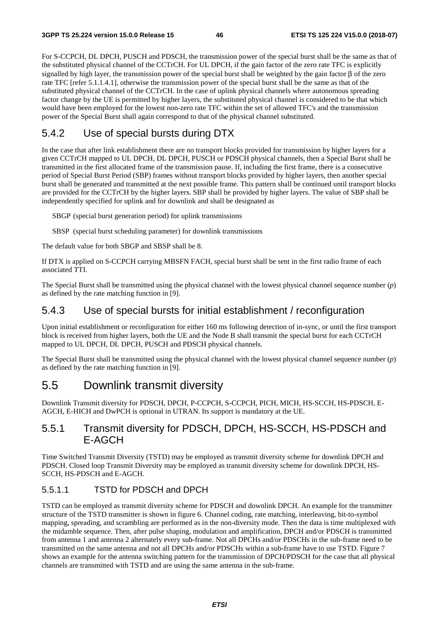For S-CCPCH, DL DPCH, PUSCH and PDSCH, the transmission power of the special burst shall be the same as that of the substituted physical channel of the CCTrCH. For UL DPCH, if the gain factor of the zero rate TFC is explicitly signalled by high layer, the transmission power of the special burst shall be weighted by the gain factor  $\beta$  of the zero rate TFC [refer 5.1.1.4.1], otherwise the transmission power of the special burst shall be the same as that of the substituted physical channel of the CCTrCH. In the case of uplink physical channels where autonomous spreading factor change by the UE is permitted by higher layers, the substituted physical channel is considered to be that which would have been employed for the lowest non-zero rate TFC within the set of allowed TFC's and the transmission power of the Special Burst shall again correspond to that of the physical channel substituted.

# 5.4.2 Use of special bursts during DTX

In the case that after link establishment there are no transport blocks provided for transmission by higher layers for a given CCTrCH mapped to UL DPCH, DL DPCH, PUSCH or PDSCH physical channels, then a Special Burst shall be transmitted in the first allocated frame of the transmission pause. If, including the first frame, there is a consecutive period of Special Burst Period (SBP) frames without transport blocks provided by higher layers, then another special burst shall be generated and transmitted at the next possible frame. This pattern shall be continued until transport blocks are provided for the CCTrCH by the higher layers. SBP shall be provided by higher layers. The value of SBP shall be independently specified for uplink and for downlink and shall be designated as

SBGP (special burst generation period) for uplink transmissions

SBSP (special burst scheduling parameter) for downlink transmissions

The default value for both SBGP and SBSP shall be 8.

If DTX is applied on S-CCPCH carrying MBSFN FACH, special burst shall be sent in the first radio frame of each associated TTI.

The Special Burst shall be transmitted using the physical channel with the lowest physical channel sequence number (*p*) as defined by the rate matching function in [9].

## 5.4.3 Use of special bursts for initial establishment / reconfiguration

Upon initial establishment or reconfiguration for either 160 ms following detection of in-sync, or until the first transport block is received from higher layers, both the UE and the Node B shall transmit the special burst for each CCTrCH mapped to UL DPCH, DL DPCH, PUSCH and PDSCH physical channels.

The Special Burst shall be transmitted using the physical channel with the lowest physical channel sequence number (*p*) as defined by the rate matching function in [9].

# 5.5 Downlink transmit diversity

Downlink Transmit diversity for PDSCH, DPCH, P-CCPCH, S-CCPCH, PICH, MICH, HS-SCCH, HS-PDSCH, E-AGCH, E-HICH and DwPCH is optional in UTRAN. Its support is mandatory at the UE.

# 5.5.1 Transmit diversity for PDSCH, DPCH, HS-SCCH, HS-PDSCH and E-AGCH

Time Switched Transmit Diversity (TSTD) may be employed as transmit diversity scheme for downlink DPCH and PDSCH. Closed loop Transmit Diversity may be employed as transmit diversity scheme for downlink DPCH, HS-SCCH, HS-PDSCH and E-AGCH.

### 5.5.1.1 TSTD for PDSCH and DPCH

TSTD can be employed as transmit diversity scheme for PDSCH and downlink DPCH. An example for the transmitter structure of the TSTD transmitter is shown in figure 6. Channel coding, rate matching, interleaving, bit-to-symbol mapping, spreading, and scrambling are performed as in the non-diversity mode. Then the data is time multiplexed with the midamble sequence. Then, after pulse shaping, modulation and amplification, DPCH and/or PDSCH is transmitted from antenna 1 and antenna 2 alternately every sub-frame. Not all DPCHs and/or PDSCHs in the sub-frame need to be transmitted on the same antenna and not all DPCHs and/or PDSCHs within a sub-frame have to use TSTD. Figure 7 shows an example for the antenna switching pattern for the transmission of DPCH/PDSCH for the case that all physical channels are transmitted with TSTD and are using the same antenna in the sub-frame.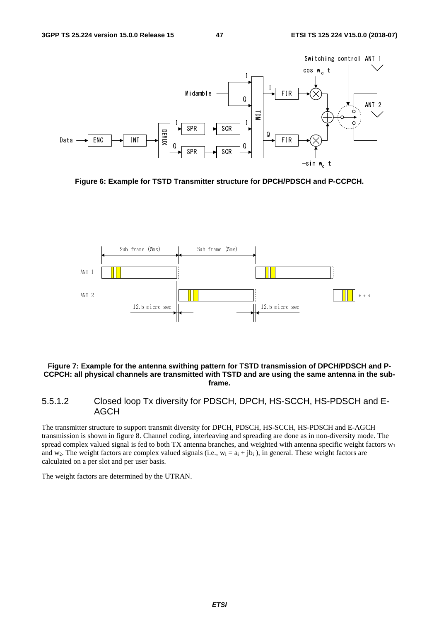

**Figure 6: Example for TSTD Transmitter structure for DPCH/PDSCH and P-CCPCH.** 



#### **Figure 7: Example for the antenna swithing pattern for TSTD transmission of DPCH/PDSCH and P-CCPCH: all physical channels are transmitted with TSTD and are using the same antenna in the subframe.**

#### 5.5.1.2 Closed loop Tx diversity for PDSCH, DPCH, HS-SCCH, HS-PDSCH and E-AGCH

The transmitter structure to support transmit diversity for DPCH, PDSCH, HS-SCCH, HS-PDSCH and E-AGCH transmission is shown in figure 8. Channel coding, interleaving and spreading are done as in non-diversity mode. The spread complex valued signal is fed to both TX antenna branches, and weighted with antenna specific weight factors  $w_1$ and w<sub>2</sub>. The weight factors are complex valued signals (i.e.,  $w_i = a_i + jb_i$ ), in general. These weight factors are calculated on a per slot and per user basis.

The weight factors are determined by the UTRAN.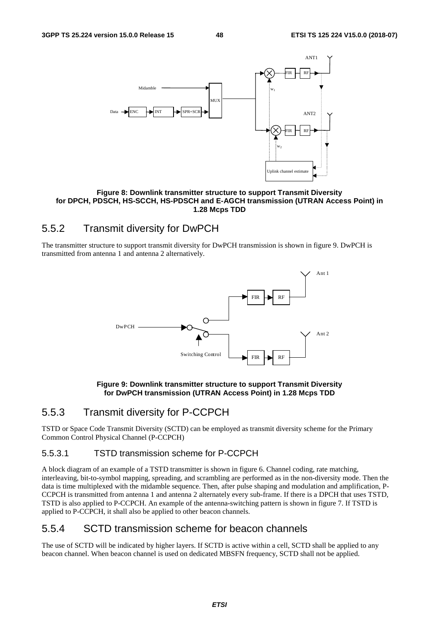

**Figure 8: Downlink transmitter structure to support Transmit Diversity for DPCH, PDSCH, HS-SCCH, HS-PDSCH and E-AGCH transmission (UTRAN Access Point) in 1.28 Mcps TDD** 

# 5.5.2 Transmit diversity for DwPCH

The transmitter structure to support transmit diversity for DwPCH transmission is shown in figure 9. DwPCH is transmitted from antenna 1 and antenna 2 alternatively.



#### **Figure 9: Downlink transmitter structure to support Transmit Diversity for DwPCH transmission (UTRAN Access Point) in 1.28 Mcps TDD**

### 5.5.3 Transmit diversity for P-CCPCH

TSTD or Space Code Transmit Diversity (SCTD) can be employed as transmit diversity scheme for the Primary Common Control Physical Channel (P-CCPCH)

#### 5.5.3.1 TSTD transmission scheme for P-CCPCH

A block diagram of an example of a TSTD transmitter is shown in figure 6. Channel coding, rate matching, interleaving, bit-to-symbol mapping, spreading, and scrambling are performed as in the non-diversity mode. Then the data is time multiplexed with the midamble sequence. Then, after pulse shaping and modulation and amplification, P-CCPCH is transmitted from antenna 1 and antenna 2 alternately every sub-frame. If there is a DPCH that uses TSTD, TSTD is also applied to P-CCPCH. An example of the antenna-switching pattern is shown in figure 7. If TSTD is applied to P-CCPCH, it shall also be applied to other beacon channels.

## 5.5.4 SCTD transmission scheme for beacon channels

The use of SCTD will be indicated by higher layers. If SCTD is active within a cell, SCTD shall be applied to any beacon channel. When beacon channel is used on dedicated MBSFN frequency, SCTD shall not be applied.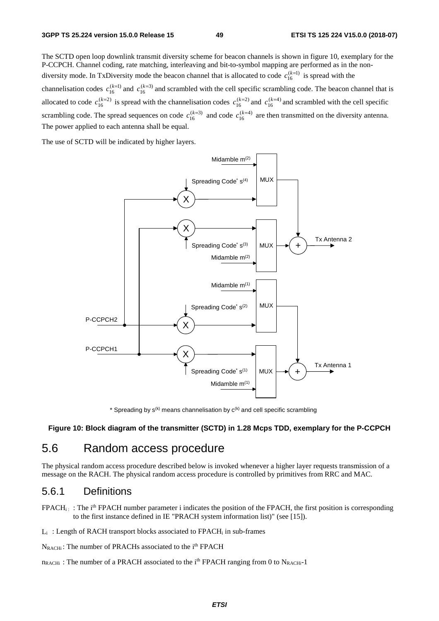The SCTD open loop downlink transmit diversity scheme for beacon channels is shown in figure 10, exemplary for the P-CCPCH. Channel coding, rate matching, interleaving and bit-to-symbol mapping are performed as in the nondiversity mode. In TxDiversity mode the beacon channel that is allocated to code  $c_{16}^{(k=1)}$  is spread with the channelisation codes  $c_{16}^{(k=1)}$  and  $c_{16}^{(k=3)}$  and scrambled with the cell specific scrambling code. The beacon channel that is allocated to code  $c_{16}^{(k=2)}$  is spread with the channelisation codes  $c_{16}^{(k=2)}$  and  $c_{16}^{(k=4)}$  and scrambled with the cell specific scrambling code. The spread sequences on code  $c_{16}^{(k=3)}$  and code  $c_{16}^{(k=4)}$  are then transmitted on the diversity antenna. The power applied to each antenna shall be equal.

The use of SCTD will be indicated by higher layers.



\* Spreading by  $s^{(k)}$  means channelisation by  $c^{(k)}$  and cell specific scrambling

#### **Figure 10: Block diagram of the transmitter (SCTD) in 1.28 Mcps TDD, exemplary for the P-CCPCH**

# 5.6 Random access procedure

The physical random access procedure described below is invoked whenever a higher layer requests transmission of a message on the RACH. The physical random access procedure is controlled by primitives from RRC and MAC.

#### 5.6.1 Definitions

 $FPACH_i$ : The i<sup>th</sup> FPACH number parameter i indicates the position of the FPACH, the first position is corresponding to the first instance defined in IE "PRACH system information list)" (see [15]).

 $L_i$ : Length of RACH transport blocks associated to FPACH<sub>i</sub> in sub-frames

N<sub>RACHi</sub>: The number of PRACHs associated to the i<sup>th</sup> FPACH

 $n_{RACHi}$ : The number of a PRACH associated to the i<sup>th</sup> FPACH ranging from 0 to N<sub>RACHi</sub>-1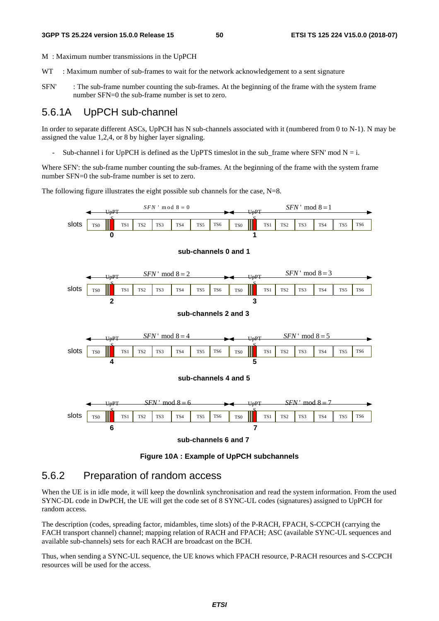M : Maximum number transmissions in the UpPCH

- WT : Maximum number of sub-frames to wait for the network acknowledgement to a sent signature
- SFN' : The sub-frame number counting the sub-frames. At the beginning of the frame with the system frame number SFN=0 the sub-frame number is set to zero.

### 5.6.1A UpPCH sub-channel

In order to separate different ASCs, UpPCH has N sub-channels associated with it (numbered from 0 to N-1). N may be assigned the value 1,2,4, or 8 by higher layer signaling.

Sub-channel i for UpPCH is defined as the UpPTS timeslot in the sub\_frame where SFN' mod  $N = i$ .

Where SFN': the sub-frame number counting the sub-frames. At the beginning of the frame with the system frame number SFN=0 the sub-frame number is set to zero.

The following figure illustrates the eight possible sub channels for the case,  $N=8$ .



**Figure 10A : Example of UpPCH subchannels** 

### 5.6.2 Preparation of random access

When the UE is in idle mode, it will keep the downlink synchronisation and read the system information. From the used SYNC-DL code in DwPCH, the UE will get the code set of 8 SYNC-UL codes (signatures) assigned to UpPCH for random access.

The description (codes, spreading factor, midambles, time slots) of the P-RACH, FPACH, S-CCPCH (carrying the FACH transport channel) channel; mapping relation of RACH and FPACH; ASC (available SYNC-UL sequences and available sub-channels) sets for each RACH are broadcast on the BCH.

Thus, when sending a SYNC-UL sequence, the UE knows which FPACH resource, P-RACH resources and S-CCPCH resources will be used for the access.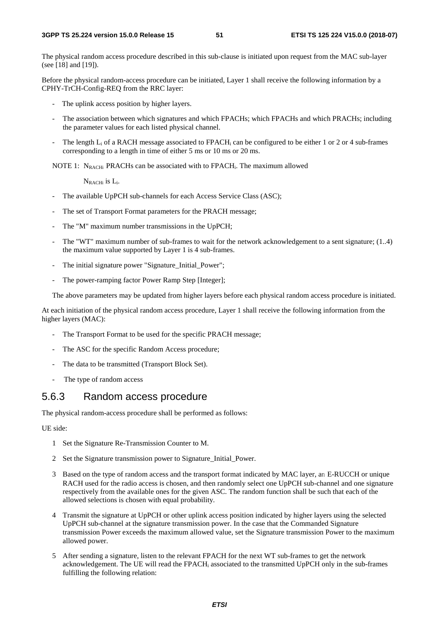The physical random access procedure described in this sub-clause is initiated upon request from the MAC sub-layer (see [18] and [19]).

Before the physical random-access procedure can be initiated, Layer 1 shall receive the following information by a CPHY-TrCH-Config-REQ from the RRC layer:

- The uplink access position by higher layers.
- The association between which signatures and which FPACHs; which FPACHs and which PRACHs; including the parameter values for each listed physical channel.
- The length  $L_i$  of a RACH message associated to FPACH<sub>i</sub> can be configured to be either 1 or 2 or 4 sub-frames corresponding to a length in time of either 5 ms or 10 ms or 20 ms.

NOTE 1:  $N_{RACHi}$  PRACHs can be associated with to FPACH<sub>i</sub>. The maximum allowed

NRACHi is Li.

- The available UpPCH sub-channels for each Access Service Class (ASC);
- The set of Transport Format parameters for the PRACH message;
- The "M" maximum number transmissions in the UpPCH;
- The "WT" maximum number of sub-frames to wait for the network acknowledgement to a sent signature; (1..4) the maximum value supported by Layer 1 is 4 sub-frames.
- The initial signature power "Signature\_Initial\_Power";
- The power-ramping factor Power Ramp Step [Integer];

The above parameters may be updated from higher layers before each physical random access procedure is initiated.

At each initiation of the physical random access procedure, Layer 1 shall receive the following information from the higher layers (MAC):

- The Transport Format to be used for the specific PRACH message;
- The ASC for the specific Random Access procedure;
- The data to be transmitted (Transport Block Set).
- The type of random access

#### 5.6.3 Random access procedure

The physical random-access procedure shall be performed as follows:

UE side:

- 1 Set the Signature Re-Transmission Counter to M.
- 2 Set the Signature transmission power to Signature\_Initial\_Power.
- 3 Based on the type of random access and the transport format indicated by MAC layer, an E-RUCCH or unique RACH used for the radio access is chosen, and then randomly select one UpPCH sub-channel and one signature respectively from the available ones for the given ASC. The random function shall be such that each of the allowed selections is chosen with equal probability.
- 4 Transmit the signature at UpPCH or other uplink access position indicated by higher layers using the selected UpPCH sub-channel at the signature transmission power. In the case that the Commanded Signature transmission Power exceeds the maximum allowed value, set the Signature transmission Power to the maximum allowed power.
- 5 After sending a signature, listen to the relevant FPACH for the next WT sub-frames to get the network acknowledgement. The UE will read the FPACH<sub>i</sub> associated to the transmitted UpPCH only in the sub-frames fulfilling the following relation: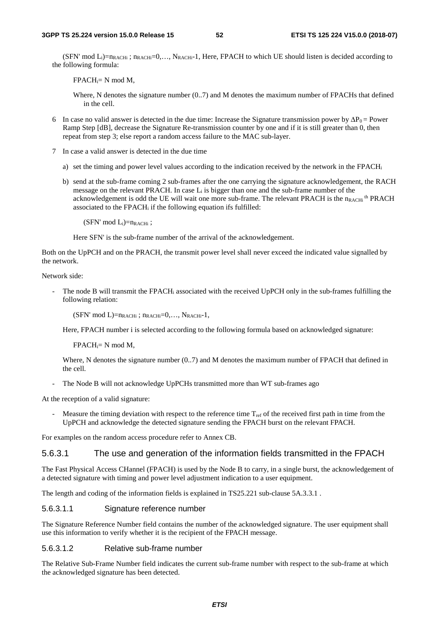(SFN' mod  $L_i$ )= $n_{RACHi}$ ;  $n_{RACHi}$ =0,...,  $N_{RACHi}$ -1, Here, FPACH to which UE should listen is decided according to the following formula:

 $FPACH_i = N \text{ mod } M$ ,

Where, N denotes the signature number (0..7) and M denotes the maximum number of FPACHs that defined in the cell.

- 6 In case no valid answer is detected in the due time: Increase the Signature transmission power by  $\Delta P_0$  = Power Ramp Step [dB], decrease the Signature Re-transmission counter by one and if it is still greater than 0, then repeat from step 3; else report a random access failure to the MAC sub-layer.
- 7 In case a valid answer is detected in the due time
	- a) set the timing and power level values according to the indication received by the network in the FPACHi
	- b) send at the sub-frame coming 2 sub-frames after the one carrying the signature acknowledgement, the RACH message on the relevant PRACH. In case  $L_i$  is bigger than one and the sub-frame number of the acknowledgement is odd the UE will wait one more sub-frame. The relevant PRACH is the  $n_{\rm RAGH}$ <sup>th</sup> PRACH associated to the FPACHi if the following equation ifs fulfilled:

 $(SFN' \mod L_i)=n_{RACHi}$ ;

Here SFN' is the sub-frame number of the arrival of the acknowledgement.

Both on the UpPCH and on the PRACH, the transmit power level shall never exceed the indicated value signalled by the network.

Network side:

The node B will transmit the FPACH<sub>i</sub> associated with the received UpPCH only in the sub-frames fulfilling the following relation:

 $(SFN' \text{ mod } L) = n_{RACHi}$ ;  $n_{RACHi} = 0, \ldots, N_{RACHi} - 1$ ,

Here, FPACH number i is selected according to the following formula based on acknowledged signature:

 $FPACH_i = N \mod M$ ,

Where, N denotes the signature number (0..7) and M denotes the maximum number of FPACH that defined in the cell.

The Node B will not acknowledge UpPCHs transmitted more than WT sub-frames ago

At the reception of a valid signature:

Measure the timing deviation with respect to the reference time  $T_{ref}$  of the received first path in time from the UpPCH and acknowledge the detected signature sending the FPACH burst on the relevant FPACH.

For examples on the random access procedure refer to Annex CB.

#### 5.6.3.1 The use and generation of the information fields transmitted in the FPACH

The Fast Physical Access CHannel (FPACH) is used by the Node B to carry, in a single burst, the acknowledgement of a detected signature with timing and power level adjustment indication to a user equipment.

The length and coding of the information fields is explained in TS25.221 sub-clause 5A.3.3.1.

#### 5.6.3.1.1 Signature reference number

The Signature Reference Number field contains the number of the acknowledged signature. The user equipment shall use this information to verify whether it is the recipient of the FPACH message.

#### 5.6.3.1.2 Relative sub-frame number

The Relative Sub-Frame Number field indicates the current sub-frame number with respect to the sub-frame at which the acknowledged signature has been detected.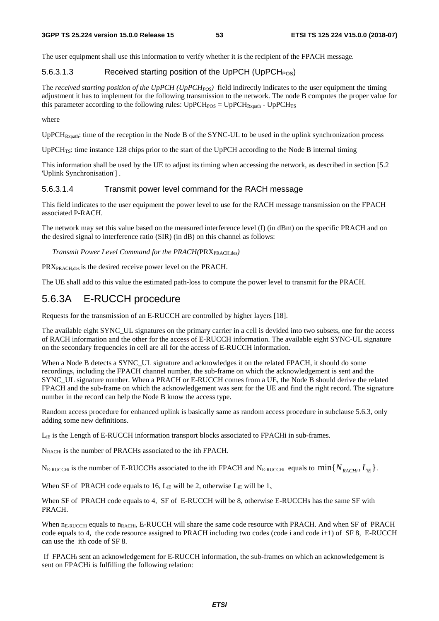The user equipment shall use this information to verify whether it is the recipient of the FPACH message.

#### 5.6.3.1.3 Received starting position of the UpPCH (UpPCH<sub>POS</sub>)

The *received starting position of the UpPCH (UpPCH<sub>POS</sub>)* field indirectly indicates to the user equipment the timing adjustment it has to implement for the following transmission to the network. The node B computes the proper value for this parameter according to the following rules:  $UpPCH_{POS} = UpPCH_{Rxpath} - UpPCH_{TS}$ 

#### where

 $UpPCH_{Rynath}:$  time of the reception in the Node B of the SYNC-UL to be used in the uplink synchronization process

UpPCH<sub>TS</sub>: time instance 128 chips prior to the start of the UpPCH according to the Node B internal timing

This information shall be used by the UE to adjust its timing when accessing the network, as described in section [5.2 'Uplink Synchronisation'] .

#### 5.6.3.1.4 Transmit power level command for the RACH message

This field indicates to the user equipment the power level to use for the RACH message transmission on the FPACH associated P-RACH.

The network may set this value based on the measured interference level (I) (in dBm) on the specific PRACH and on the desired signal to interference ratio (SIR) (in dB) on this channel as follows:

*Transmit Power Level Command for the PRACH(PRX<sub>PRACH,des</sub>)* 

PRX<sub>PRACH,des</sub> is the desired receive power level on the PRACH.

The UE shall add to this value the estimated path-loss to compute the power level to transmit for the PRACH.

# 5.6.3A E-RUCCH procedure

Requests for the transmission of an E-RUCCH are controlled by higher layers [18].

The available eight SYNC\_UL signatures on the primary carrier in a cell is devided into two subsets, one for the access of RACH information and the other for the access of E-RUCCH information. The available eight SYNC-UL signature on the secondary frequencies in cell are all for the access of E-RUCCH information.

When a Node B detects a SYNC\_UL signature and acknowledges it on the related FPACH, it should do some recordings, including the FPACH channel number, the sub-frame on which the acknowledgement is sent and the SYNC\_UL signature number. When a PRACH or E-RUCCH comes from a UE, the Node B should derive the related FPACH and the sub-frame on which the acknowledgement was sent for the UE and find the right record. The signature number in the record can help the Node B know the access type.

Random access procedure for enhanced uplink is basically same as random access procedure in subclause 5.6.3, only adding some new definitions.

L<sub>iE</sub> is the Length of E-RUCCH information transport blocks associated to FPACHi in sub-frames.

N<sub>RACHi</sub> is the number of PRACHs associated to the ith FPACH.

N<sub>E-RUCCHi</sub> is the number of E-RUCCHs associated to the ith FPACH and N<sub>E-RUCCHi</sub> equals to  $\min\{N_{RACHi}, L_{iE}\}\$ .

When SF of PRACH code equals to 16,  $L_i$  will be 2, otherwise  $L_i$  will be 1.

When SF of PRACH code equals to 4, SF of E-RUCCH will be 8, otherwise E-RUCCHs has the same SF with PRACH.

When n<sub>E-RUCCHi</sub> equals to n<sub>RACHi</sub>, E-RUCCH will share the same code resource with PRACH. And when SF of PRACH code equals to 4, the code resource assigned to PRACH including two codes (code i and code i+1) of SF 8, E-RUCCH can use the ith code of SF 8.

 If FPACHi sent an acknowledgement for E-RUCCH information, the sub-frames on which an acknowledgement is sent on FPACHi is fulfilling the following relation: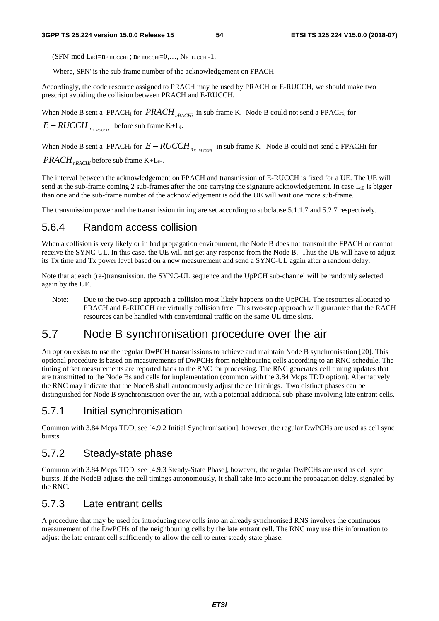$(SFN' \text{ mod } L_{iE}) = n_{E-RUCCHi}$ ;  $n_{E-RUCCHi} = 0, \ldots, N_{E-RUCCHi} - 1$ ,

Where, SFN' is the sub-frame number of the acknowledgement on FPACH

Accordingly, the code resource assigned to PRACH may be used by PRACH or E-RUCCH, we should make two prescript avoiding the collision between PRACH and E-RUCCH.

When Node B sent a FPACH<sub>i</sub> for  $PRACH<sub>nRACH<sub>i</sub></sub>$  in sub frame K, Node B could not send a FPACH<sub>i</sub> for  $E - RUCCH$ <sub>*RE\_RUCCHi*</sub> before sub frame K+L<sub>i</sub>;

When Node B sent a FPACH<sub>i</sub> for  $E - RUCCH$ <sub>*n*  $E - RUCCH$ </sub> in sub frame K, Node B could not send a FPACHi for *PRACH*<sub>nRACHi</sub> before sub frame K+L<sub>iE</sub>.

The interval between the acknowledgement on FPACH and transmission of E-RUCCH is fixed for a UE. The UE will send at the sub-frame coming 2 sub-frames after the one carrying the signature acknowledgement. In case  $L_{iE}$  is bigger than one and the sub-frame number of the acknowledgement is odd the UE will wait one more sub-frame.

The transmission power and the transmission timing are set according to subclause 5.1.1.7 and 5.2.7 respectively.

### 5.6.4 Random access collision

When a collision is very likely or in bad propagation environment, the Node B does not transmit the FPACH or cannot receive the SYNC-UL. In this case, the UE will not get any response from the Node B. Thus the UE will have to adjust its Tx time and Tx power level based on a new measurement and send a SYNC-UL again after a random delay.

Note that at each (re-)transmission, the SYNC-UL sequence and the UpPCH sub-channel will be randomly selected again by the UE.

Note: Due to the two-step approach a collision most likely happens on the UpPCH. The resources allocated to PRACH and E-RUCCH are virtually collision free. This two-step approach will guarantee that the RACH resources can be handled with conventional traffic on the same UL time slots.

# 5.7 Node B synchronisation procedure over the air

An option exists to use the regular DwPCH transmissions to achieve and maintain Node B synchronisation [20]. This optional procedure is based on measurements of DwPCHs from neighbouring cells according to an RNC schedule. The timing offset measurements are reported back to the RNC for processing. The RNC generates cell timing updates that are transmitted to the Node Bs and cells for implementation (common with the 3.84 Mcps TDD option). Alternatively the RNC may indicate that the NodeB shall autonomously adjust the cell timings. Two distinct phases can be distinguished for Node B synchronisation over the air, with a potential additional sub-phase involving late entrant cells.

## 5.7.1 Initial synchronisation

Common with 3.84 Mcps TDD, see [4.9.2 Initial Synchronisation], however, the regular DwPCHs are used as cell sync bursts.

### 5.7.2 Steady-state phase

Common with 3.84 Mcps TDD, see [4.9.3 Steady-State Phase], however, the regular DwPCHs are used as cell sync bursts. If the NodeB adjusts the cell timings autonomously, it shall take into account the propagation delay, signaled by the RNC.

## 5.7.3 Late entrant cells

A procedure that may be used for introducing new cells into an already synchronised RNS involves the continuous measurement of the DwPCHs of the neighbouring cells by the late entrant cell. The RNC may use this information to adjust the late entrant cell sufficiently to allow the cell to enter steady state phase.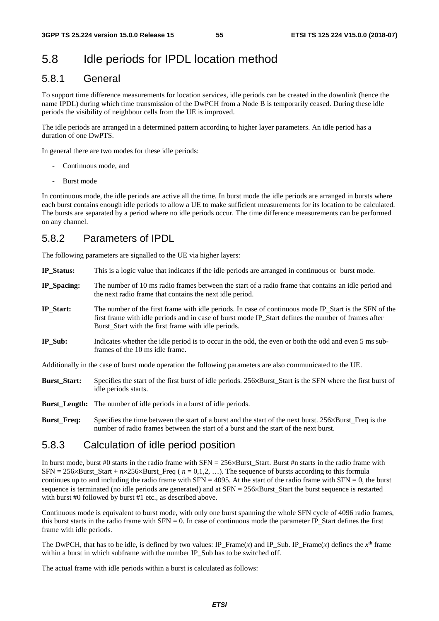# 5.8 Idle periods for IPDL location method

# 5.8.1 General

To support time difference measurements for location services, idle periods can be created in the downlink (hence the name IPDL) during which time transmission of the DwPCH from a Node B is temporarily ceased. During these idle periods the visibility of neighbour cells from the UE is improved.

The idle periods are arranged in a determined pattern according to higher layer parameters. An idle period has a duration of one DwPTS.

In general there are two modes for these idle periods:

- Continuous mode, and
- Burst mode

In continuous mode, the idle periods are active all the time. In burst mode the idle periods are arranged in bursts where each burst contains enough idle periods to allow a UE to make sufficient measurements for its location to be calculated. The bursts are separated by a period where no idle periods occur. The time difference measurements can be performed on any channel.

## 5.8.2 Parameters of IPDL

The following parameters are signalled to the UE via higher layers:

- **IP\_Status:** This is a logic value that indicates if the idle periods are arranged in continuous or burst mode.
- **IP\_Spacing:** The number of 10 ms radio frames between the start of a radio frame that contains an idle period and the next radio frame that contains the next idle period.
- **IP\_Start:** The number of the first frame with idle periods. In case of continuous mode IP\_Start is the SFN of the first frame with idle periods and in case of burst mode IP\_Start defines the number of frames after Burst\_Start with the first frame with idle periods.
- **IP\_Sub:** Indicates whether the idle period is to occur in the odd, the even or both the odd and even 5 ms subframes of the 10 ms idle frame.

Additionally in the case of burst mode operation the following parameters are also communicated to the UE.

- **Burst\_Start:** Specifies the start of the first burst of idle periods. 256×Burst\_Start is the SFN where the first burst of idle periods starts.
- **Burst\_Length:** The number of idle periods in a burst of idle periods.
- **Burst Freq:** Specifies the time between the start of a burst and the start of the next burst. 256×Burst Freq is the number of radio frames between the start of a burst and the start of the next burst.

### 5.8.3 Calculation of idle period position

In burst mode, burst #0 starts in the radio frame with SFN = 256×Burst\_Start. Burst #n starts in the radio frame with  $SFN = 256 \times Burst\_Start + n \times 256 \times Burst\_Freq$  ( $n = 0,1,2,...$ ). The sequence of bursts according to this formula continues up to and including the radio frame with  $SFN = 4095$ . At the start of the radio frame with  $SFN = 0$ , the burst sequence is terminated (no idle periods are generated) and at  $SFN = 256 \times Burst$  Start the burst sequence is restarted with burst #0 followed by burst #1 etc., as described above.

Continuous mode is equivalent to burst mode, with only one burst spanning the whole SFN cycle of 4096 radio frames, this burst starts in the radio frame with  $SFN = 0$ . In case of continuous mode the parameter IP\_Start defines the first frame with idle periods.

The DwPCH, that has to be idle, is defined by two values: IP\_Frame(*x*) and IP\_Sub. IP\_Frame(*x*) defines the  $x<sup>th</sup>$  frame within a burst in which subframe with the number IP\_Sub has to be switched off.

The actual frame with idle periods within a burst is calculated as follows: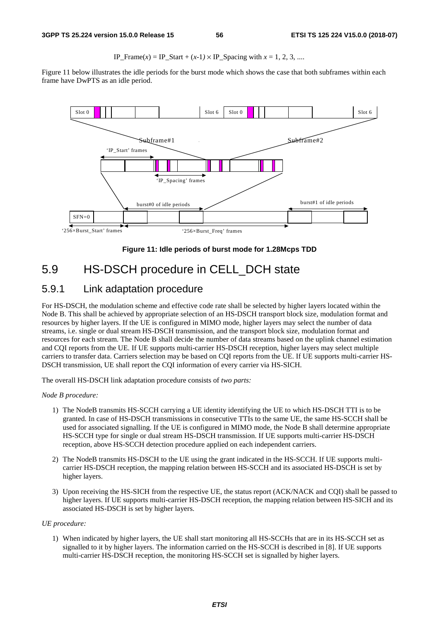IP\_Frame(*x*) = IP\_Start +  $(x-1) \times$  IP\_Spacing with  $x = 1, 2, 3, ...$ 

Figure 11 below illustrates the idle periods for the burst mode which shows the case that both subframes within each frame have DwPTS as an idle period.



**Figure 11: Idle periods of burst mode for 1.28Mcps TDD** 

# 5.9 HS-DSCH procedure in CELL\_DCH state

# 5.9.1 Link adaptation procedure

For HS-DSCH, the modulation scheme and effective code rate shall be selected by higher layers located within the Node B. This shall be achieved by appropriate selection of an HS-DSCH transport block size, modulation format and resources by higher layers. If the UE is configured in MIMO mode, higher layers may select the number of data streams, i.e. single or dual stream HS-DSCH transmission, and the transport block size, modulation format and resources for each stream. The Node B shall decide the number of data streams based on the uplink channel estimation and CQI reports from the UE. If UE supports multi-carrier HS-DSCH reception, higher layers may select multiple carriers to transfer data. Carriers selection may be based on CQI reports from the UE. If UE supports multi-carrier HS-DSCH transmission, UE shall report the CQI information of every carrier via HS-SICH.

The overall HS-DSCH link adaptation procedure consists of *two parts:* 

*Node B procedure:* 

- 1) The NodeB transmits HS-SCCH carrying a UE identity identifying the UE to which HS-DSCH TTI is to be granted. In case of HS-DSCH transmissions in consecutive TTIs to the same UE, the same HS-SCCH shall be used for associated signalling. If the UE is configured in MIMO mode, the Node B shall determine appropriate HS-SCCH type for single or dual stream HS-DSCH transmission. If UE supports multi-carrier HS-DSCH reception, above HS-SCCH detection procedure applied on each independent carriers.
- 2) The NodeB transmits HS-DSCH to the UE using the grant indicated in the HS-SCCH. If UE supports multicarrier HS-DSCH reception, the mapping relation between HS-SCCH and its associated HS-DSCH is set by higher layers.
- 3) Upon receiving the HS-SICH from the respective UE, the status report (ACK/NACK and CQI) shall be passed to higher layers. If UE supports multi-carrier HS-DSCH reception, the mapping relation between HS-SICH and its associated HS-DSCH is set by higher layers.

#### *UE procedure:*

1) When indicated by higher layers, the UE shall start monitoring all HS-SCCHs that are in its HS-SCCH set as signalled to it by higher layers. The information carried on the HS-SCCH is described in [8]. If UE supports multi-carrier HS-DSCH reception, the monitoring HS-SCCH set is signalled by higher layers.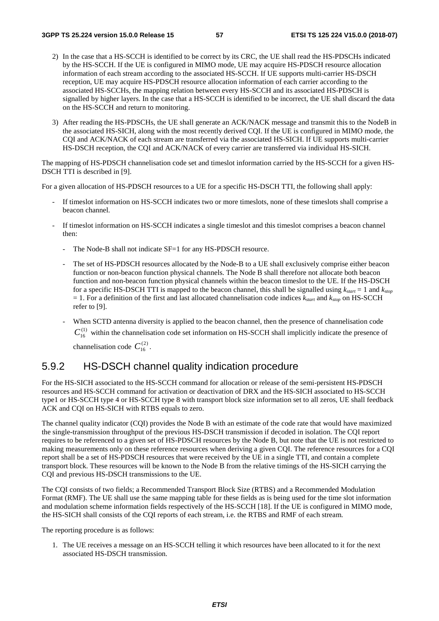- 2) In the case that a HS-SCCH is identified to be correct by its CRC, the UE shall read the HS-PDSCHs indicated by the HS-SCCH. If the UE is configured in MIMO mode, UE may acquire HS-PDSCH resource allocation information of each stream according to the associated HS-SCCH. If UE supports multi-carrier HS-DSCH reception, UE may acquire HS-PDSCH resource allocation information of each carrier according to the associated HS-SCCHs, the mapping relation between every HS-SCCH and its associated HS-PDSCH is signalled by higher layers. In the case that a HS-SCCH is identified to be incorrect, the UE shall discard the data on the HS-SCCH and return to monitoring.
- 3) After reading the HS-PDSCHs, the UE shall generate an ACK/NACK message and transmit this to the NodeB in the associated HS-SICH, along with the most recently derived CQI. If the UE is configured in MIMO mode, the CQI and ACK/NACK of each stream are transferred via the associated HS-SICH. If UE supports multi-carrier HS-DSCH reception, the CQI and ACK/NACK of every carrier are transferred via individual HS-SICH.

The mapping of HS-PDSCH channelisation code set and timeslot information carried by the HS-SCCH for a given HS-DSCH TTI is described in [9].

For a given allocation of HS-PDSCH resources to a UE for a specific HS-DSCH TTI, the following shall apply:

- If timeslot information on HS-SCCH indicates two or more timeslots, none of these timeslots shall comprise a beacon channel.
- If timeslot information on HS-SCCH indicates a single timeslot and this timeslot comprises a beacon channel then:
	- The Node-B shall not indicate SF=1 for any HS-PDSCH resource.
	- The set of HS-PDSCH resources allocated by the Node-B to a UE shall exclusively comprise either beacon function or non-beacon function physical channels. The Node B shall therefore not allocate both beacon function and non-beacon function physical channels within the beacon timeslot to the UE. If the HS-DSCH for a specific HS-DSCH TTI is mapped to the beacon channel, this shall be signalled using *kstart* = 1 and *kstop*  $= 1$ . For a definition of the first and last allocated channelisation code indices  $k_{start}$  and  $k_{stop}$  on HS-SCCH refer to [9].
	- When SCTD antenna diversity is applied to the beacon channel, then the presence of channelisation code  $C_{16}^{(1)}$  within the channelisation code set information on HS-SCCH shall implicitly indicate the presence of channelisation code  $C_{16}^{(2)}$ .

## 5.9.2 HS-DSCH channel quality indication procedure

For the HS-SICH associated to the HS-SCCH command for allocation or release of the semi-persistent HS-PDSCH resources and HS-SCCH command for activation or deactivation of DRX and the HS-SICH associated to HS-SCCH type1 or HS-SCCH type 4 or HS-SCCH type 8 with transport block size information set to all zeros, UE shall feedback ACK and CQI on HS-SICH with RTBS equals to zero.

The channel quality indicator (CQI) provides the Node B with an estimate of the code rate that would have maximized the single-transmission throughput of the previous HS-DSCH transmission if decoded in isolation. The CQI report requires to be referenced to a given set of HS-PDSCH resources by the Node B, but note that the UE is not restricted to making measurements only on these reference resources when deriving a given CQI. The reference resources for a CQI report shall be a set of HS-PDSCH resources that were received by the UE in a single TTI, and contain a complete transport block. These resources will be known to the Node B from the relative timings of the HS-SICH carrying the CQI and previous HS-DSCH transmissions to the UE.

The CQI consists of two fields; a Recommended Transport Block Size (RTBS) and a Recommended Modulation Format (RMF). The UE shall use the same mapping table for these fields as is being used for the time slot information and modulation scheme information fields respectively of the HS-SCCH [18]. If the UE is configured in MIMO mode, the HS-SICH shall consists of the CQI reports of each stream, i.e. the RTBS and RMF of each stream.

The reporting procedure is as follows:

1. The UE receives a message on an HS-SCCH telling it which resources have been allocated to it for the next associated HS-DSCH transmission.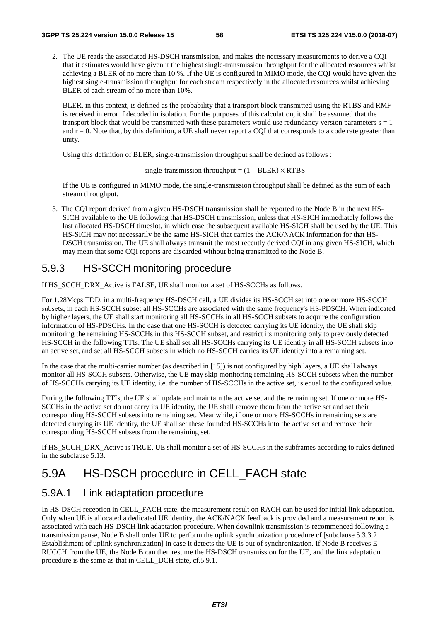2. The UE reads the associated HS-DSCH transmission, and makes the necessary measurements to derive a CQI that it estimates would have given it the highest single-transmission throughput for the allocated resources whilst achieving a BLER of no more than 10 %. If the UE is configured in MIMO mode, the CQI would have given the highest single-transmission throughput for each stream respectively in the allocated resources whilst achieving BLER of each stream of no more than 10%.

BLER, in this context, is defined as the probability that a transport block transmitted using the RTBS and RMF is received in error if decoded in isolation. For the purposes of this calculation, it shall be assumed that the transport block that would be transmitted with these parameters would use redundancy version parameters  $s = 1$ and  $r = 0$ . Note that, by this definition, a UE shall never report a CQI that corresponds to a code rate greater than unity.

Using this definition of BLER, single-transmission throughput shall be defined as follows :

single-transmission throughput =  $(1 - BLER) \times RTBS$ 

If the UE is configured in MIMO mode, the single-transmission throughput shall be defined as the sum of each stream throughput.

3. The CQI report derived from a given HS-DSCH transmission shall be reported to the Node B in the next HS-SICH available to the UE following that HS-DSCH transmission, unless that HS-SICH immediately follows the last allocated HS-DSCH timeslot, in which case the subsequent available HS-SICH shall be used by the UE. This HS-SICH may not necessarily be the same HS-SICH that carries the ACK/NACK information for that HS-DSCH transmission. The UE shall always transmit the most recently derived CQI in any given HS-SICH, which may mean that some CQI reports are discarded without being transmitted to the Node B.

## 5.9.3 HS-SCCH monitoring procedure

If HS\_SCCH\_DRX\_Active is FALSE, UE shall monitor a set of HS-SCCHs as follows.

For 1.28Mcps TDD, in a multi-frequency HS-DSCH cell, a UE divides its HS-SCCH set into one or more HS-SCCH subsets; in each HS-SCCH subset all HS-SCCHs are associated with the same frequency's HS-PDSCH. When indicated by higher layers, the UE shall start monitoring all HS-SCCHs in all HS-SCCH subsets to acquire the configuration information of HS-PDSCHs. In the case that one HS-SCCH is detected carrying its UE identity, the UE shall skip monitoring the remaining HS-SCCHs in this HS-SCCH subset, and restrict its monitoring only to previously detected HS-SCCH in the following TTIs. The UE shall set all HS-SCCHs carrying its UE identity in all HS-SCCH subsets into an active set, and set all HS-SCCH subsets in which no HS-SCCH carries its UE identity into a remaining set.

In the case that the multi-carrier number (as described in [15]) is not configured by high layers, a UE shall always monitor all HS-SCCH subsets. Otherwise, the UE may skip monitoring remaining HS-SCCH subsets when the number of HS-SCCHs carrying its UE identity, i.e. the number of HS-SCCHs in the active set, is equal to the configured value.

During the following TTIs, the UE shall update and maintain the active set and the remaining set. If one or more HS-SCCHs in the active set do not carry its UE identity, the UE shall remove them from the active set and set their corresponding HS-SCCH subsets into remaining set. Meanwhile, if one or more HS-SCCHs in remaining sets are detected carrying its UE identity, the UE shall set these founded HS-SCCHs into the active set and remove their corresponding HS-SCCH subsets from the remaining set.

If HS\_SCCH\_DRX\_Active is TRUE, UE shall monitor a set of HS-SCCHs in the subframes according to rules defined in the subclause 5.13.

# 5.9A HS-DSCH procedure in CELL\_FACH state

### 5.9A.1 Link adaptation procedure

In HS-DSCH reception in CELL\_FACH state, the measurement result on RACH can be used for initial link adaptation. Only when UE is allocated a dedicated UE identity, the ACK/NACK feedback is provided and a measurement report is associated with each HS-DSCH link adaptation procedure. When downlink transmission is recommenced following a transmission pause, Node B shall order UE to perform the uplink synchronization procedure cf [subclause 5.3.3.2 Establishment of uplink synchronization] in case it detects the UE is out of synchronization. If Node B receives E-RUCCH from the UE, the Node B can then resume the HS-DSCH transmission for the UE, and the link adaptation procedure is the same as that in CELL\_DCH state, cf.5.9.1.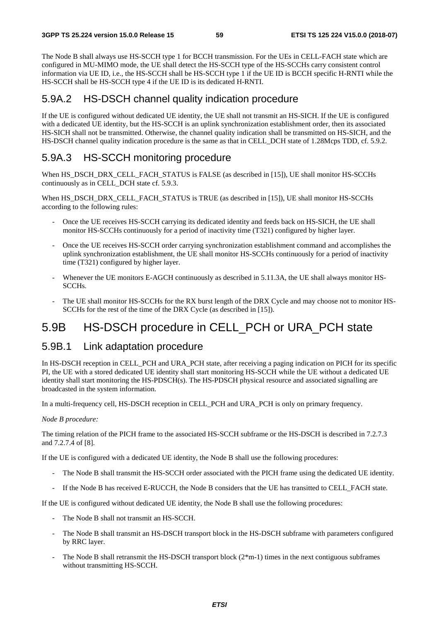The Node B shall always use HS-SCCH type 1 for BCCH transmission. For the UEs in CELL-FACH state which are configured in MU-MIMO mode, the UE shall detect the HS-SCCH type of the HS-SCCHs carry consistent control information via UE ID, i.e., the HS-SCCH shall be HS-SCCH type 1 if the UE ID is BCCH specific H-RNTI while the HS-SCCH shall be HS-SCCH type 4 if the UE ID is its dedicated H-RNTI.

# 5.9A.2 HS-DSCH channel quality indication procedure

If the UE is configured without dedicated UE identity, the UE shall not transmit an HS-SICH. If the UE is configured with a dedicated UE identity, but the HS-SCCH is an uplink synchronization establishment order, then its associated HS-SICH shall not be transmitted. Otherwise, the channel quality indication shall be transmitted on HS-SICH, and the HS-DSCH channel quality indication procedure is the same as that in CELL\_DCH state of 1.28Mcps TDD, cf. 5.9.2.

# 5.9A.3 HS-SCCH monitoring procedure

When HS\_DSCH\_DRX\_CELL\_FACH\_STATUS is FALSE (as described in [15]), UE shall monitor HS-SCCHs continuously as in CELL\_DCH state cf. 5.9.3.

When HS\_DSCH\_DRX\_CELL\_FACH\_STATUS is TRUE (as described in [15]), UE shall monitor HS-SCCHs according to the following rules:

- Once the UE receives HS-SCCH carrying its dedicated identity and feeds back on HS-SICH, the UE shall monitor HS-SCCHs continuously for a period of inactivity time (T321) configured by higher layer.
- Once the UE receives HS-SCCH order carrying synchronization establishment command and accomplishes the uplink synchronization establishment, the UE shall monitor HS-SCCHs continuously for a period of inactivity time (T321) configured by higher layer.
- Whenever the UE monitors E-AGCH continuously as described in 5.11.3A, the UE shall always monitor HS-SCCHs.
- The UE shall monitor HS-SCCHs for the RX burst length of the DRX Cycle and may choose not to monitor HS-SCCHs for the rest of the time of the DRX Cycle (as described in [15]).

# 5.9B HS-DSCH procedure in CELL\_PCH or URA\_PCH state

## 5.9B.1 Link adaptation procedure

In HS-DSCH reception in CELL\_PCH and URA\_PCH state, after receiving a paging indication on PICH for its specific PI, the UE with a stored dedicated UE identity shall start monitoring HS-SCCH while the UE without a dedicated UE identity shall start monitoring the HS-PDSCH(s). The HS-PDSCH physical resource and associated signalling are broadcasted in the system information.

In a multi-frequency cell, HS-DSCH reception in CELL\_PCH and URA\_PCH is only on primary frequency.

#### *Node B procedure:*

The timing relation of the PICH frame to the associated HS-SCCH subframe or the HS-DSCH is described in 7.2.7.3 and 7.2.7.4 of [8].

If the UE is configured with a dedicated UE identity, the Node B shall use the following procedures:

- The Node B shall transmit the HS-SCCH order associated with the PICH frame using the dedicated UE identity.
- If the Node B has received E-RUCCH, the Node B considers that the UE has transitted to CELL\_FACH state.

If the UE is configured without dedicated UE identity, the Node B shall use the following procedures:

- The Node B shall not transmit an HS-SCCH.
- The Node B shall transmit an HS-DSCH transport block in the HS-DSCH subframe with parameters configured by RRC layer.
- The Node B shall retransmit the HS-DSCH transport block ( $2*m-1$ ) times in the next contiguous subframes without transmitting HS-SCCH.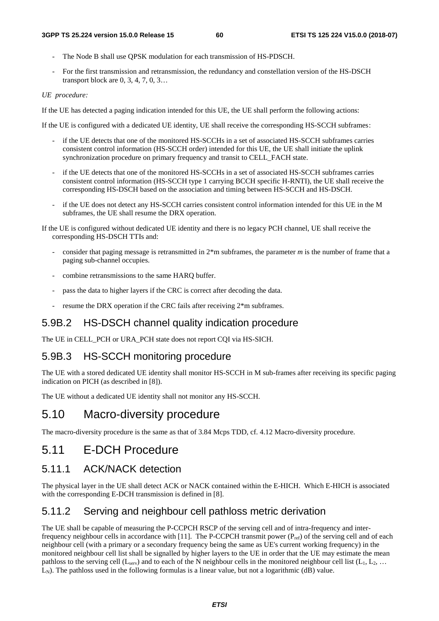- The Node B shall use OPSK modulation for each transmission of HS-PDSCH.
- For the first transmission and retransmission, the redundancy and constellation version of the HS-DSCH transport block are 0, 3, 4, 7, 0, 3…

#### *UE procedure:*

If the UE has detected a paging indication intended for this UE, the UE shall perform the following actions:

If the UE is configured with a dedicated UE identity, UE shall receive the corresponding HS-SCCH subframes:

- if the UE detects that one of the monitored HS-SCCHs in a set of associated HS-SCCH subframes carries consistent control information (HS-SCCH order) intended for this UE, the UE shall initiate the uplink synchronization procedure on primary frequency and transit to CELL\_FACH state.
- if the UE detects that one of the monitored HS-SCCHs in a set of associated HS-SCCH subframes carries consistent control information (HS-SCCH type 1 carrying BCCH specific H-RNTI), the UE shall receive the corresponding HS-DSCH based on the association and timing between HS-SCCH and HS-DSCH.
- if the UE does not detect any HS-SCCH carries consistent control information intended for this UE in the M subframes, the UE shall resume the DRX operation.
- If the UE is configured without dedicated UE identity and there is no legacy PCH channel, UE shall receive the corresponding HS-DSCH TTIs and:
	- consider that paging message is retransmitted in 2\*m subframes, the parameter *m* is the number of frame that a paging sub-channel occupies.
	- combine retransmissions to the same HARQ buffer.
	- pass the data to higher layers if the CRC is correct after decoding the data.
	- resume the DRX operation if the CRC fails after receiving  $2*$ m subframes.

#### 5.9B.2 HS-DSCH channel quality indication procedure

The UE in CELL\_PCH or URA\_PCH state does not report CQI via HS-SICH.

#### 5.9B.3 HS-SCCH monitoring procedure

The UE with a stored dedicated UE identity shall monitor HS-SCCH in M sub-frames after receiving its specific paging indication on PICH (as described in [8]).

The UE without a dedicated UE identity shall not monitor any HS-SCCH.

## 5.10 Macro-diversity procedure

The macro-diversity procedure is the same as that of 3.84 Mcps TDD, cf. 4.12 Macro-diversity procedure.

# 5.11 E-DCH Procedure

### 5.11.1 ACK/NACK detection

The physical layer in the UE shall detect ACK or NACK contained within the E-HICH. Which E-HICH is associated with the corresponding E-DCH transmission is defined in [8].

### 5.11.2 Serving and neighbour cell pathloss metric derivation

The UE shall be capable of measuring the P-CCPCH RSCP of the serving cell and of intra-frequency and interfrequency neighbour cells in accordance with [11]. The P-CCPCH transmit power (P<sub>ref</sub>) of the serving cell and of each neighbour cell (with a primary or a secondary frequency being the same as UE's current working frequency) in the monitored neighbour cell list shall be signalled by higher layers to the UE in order that the UE may estimate the mean pathloss to the serving cell  $(L<sub>serv</sub>)$  and to each of the N neighbour cells in the monitored neighbour cell list  $(L<sub>1</sub>, L<sub>2</sub>, ...$  $L_N$ ). The pathloss used in the following formulas is a linear value, but not a logarithmic (dB) value.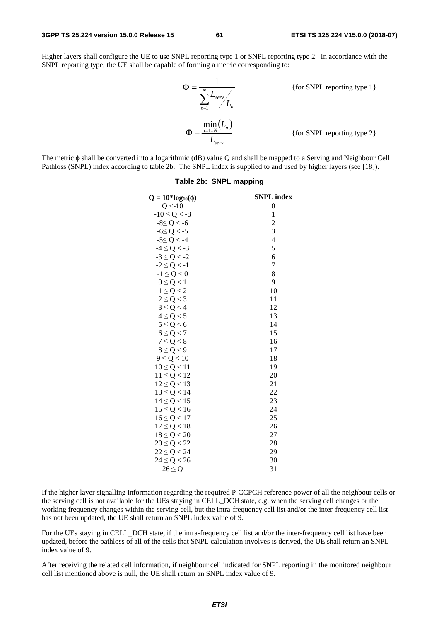Higher layers shall configure the UE to use SNPL reporting type 1 or SNPL reporting type 2. In accordance with the SNPL reporting type, the UE shall be capable of forming a metric corresponding to:

$$
\Phi = \frac{1}{\sum_{n=1}^{N} L_{serv} / L_n}
$$
 {for SNPL reporting type 1}  
\n
$$
\Phi = \frac{\min_{n=1..N} (L_n)}{L_{serv}}
$$
 {for SNPL reporting type 2}

The metric φ shall be converted into a logarithmic (dB) value Q and shall be mapped to a Serving and Neighbour Cell Pathloss (SNPL) index according to table 2b. The SNPL index is supplied to and used by higher layers (see [18]).

| $Q = 10*log_{10}(\phi)$ | <b>SNPL</b> index |
|-------------------------|-------------------|
| Q < 10                  | $\boldsymbol{0}$  |
| $-10 \le Q < -8$        | 1                 |
| $-8 \le Q < -6$         | $\overline{c}$    |
| $-6 \le Q < -5$         | 3                 |
| $-5 \le Q < -4$         | $\overline{4}$    |
| $-4 \le Q < -3$         | 5                 |
| $-3 \le Q < -2$         | 6                 |
| $-2 \le Q < -1$         | 7                 |
| $-1 \leq Q < 0$         | 8                 |
| $0 \leq Q < 1$          | 9                 |
| $1 \leq Q < 2$          | 10                |
| $2 \le Q < 3$           | 11                |
| $3 \le Q < 4$           | 12                |
| $4 \le Q < 5$           | 13                |
| $5 \le Q < 6$           | 14                |
| $6 \le Q < 7$           | 15                |
| $7 \le Q < 8$           | 16                |
| $8 \le Q < 9$           | 17                |
| $9 \le Q < 10$          | 18                |
| $10 \le Q < 11$         | 19                |
| $11 \le Q < 12$         | 20                |
| $12 \le Q < 13$         | 21                |
| $13 \le Q < 14$         | 22                |
| $14 \le Q < 15$         | 23                |
| $15 \le Q < 16$         | 24                |
| $16 \le Q < 17$         | 25                |
| $17 \le Q < 18$         | 26                |
| $18 \le Q < 20$         | 27                |
| $20 \le Q < 22$         | 28                |
| $22 \le Q < 24$         | 29                |
| $24 \le Q < 26$         | 30                |
| $26 \leq Q$             | 31                |
|                         |                   |

#### **Table 2b: SNPL mapping**

If the higher layer signalling information regarding the required P-CCPCH reference power of all the neighbour cells or the serving cell is not available for the UEs staying in CELL\_DCH state, e.g. when the serving cell changes or the working frequency changes within the serving cell, but the intra-frequency cell list and/or the inter-frequency cell list has not been updated, the UE shall return an SNPL index value of 9.

For the UEs staying in CELL\_DCH state, if the intra-frequency cell list and/or the inter-frequency cell list have been updated, before the pathloss of all of the cells that SNPL calculation involves is derived, the UE shall return an SNPL index value of 9.

After receiving the related cell information, if neighbour cell indicated for SNPL reporting in the monitored neighbour cell list mentioned above is null, the UE shall return an SNPL index value of 9.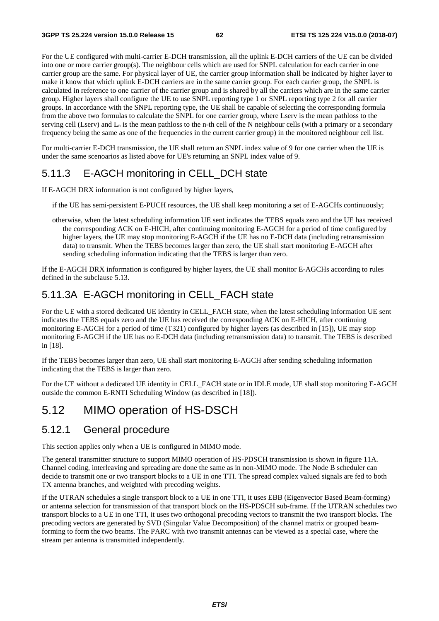For the UE configured with multi-carrier E-DCH transmission, all the uplink E-DCH carriers of the UE can be divided into one or more carrier group(s). The neighbour cells which are used for SNPL calculation for each carrier in one carrier group are the same. For physical layer of UE, the carrier group information shall be indicated by higher layer to make it know that which uplink E-DCH carriers are in the same carrier group. For each carrier group, the SNPL is calculated in reference to one carrier of the carrier group and is shared by all the carriers which are in the same carrier group. Higher layers shall configure the UE to use SNPL reporting type 1 or SNPL reporting type 2 for all carrier groups. In accordance with the SNPL reporting type, the UE shall be capable of selecting the corresponding formula from the above two formulas to calculate the SNPL for one carrier group, where Lserv is the mean pathloss to the serving cell (Lserv) and  $L_n$  is the mean pathloss to the n-th cell of the N neighbour cells (with a primary or a secondary frequency being the same as one of the frequencies in the current carrier group) in the monitored neighbour cell list.

For multi-carrier E-DCH transmission, the UE shall return an SNPL index value of 9 for one carrier when the UE is under the same scenoarios as listed above for UE's returning an SNPL index value of 9.

# 5.11.3 E-AGCH monitoring in CELL\_DCH state

If E-AGCH DRX information is not configured by higher layers,

if the UE has semi-persistent E-PUCH resources, the UE shall keep monitoring a set of E-AGCHs continuously;

otherwise, when the latest scheduling information UE sent indicates the TEBS equals zero and the UE has received the corresponding ACK on E-HICH, after continuing monitoring E-AGCH for a period of time configured by higher layers, the UE may stop monitoring E-AGCH if the UE has no E-DCH data (including retransmission data) to transmit. When the TEBS becomes larger than zero, the UE shall start monitoring E-AGCH after sending scheduling information indicating that the TEBS is larger than zero.

If the E-AGCH DRX information is configured by higher layers, the UE shall monitor E-AGCHs according to rules defined in the subclause 5.13.

# 5.11.3A E-AGCH monitoring in CELL\_FACH state

For the UE with a stored dedicated UE identity in CELL\_FACH state, when the latest scheduling information UE sent indicates the TEBS equals zero and the UE has received the corresponding ACK on E-HICH, after continuing monitoring E-AGCH for a period of time (T321) configured by higher layers (as described in [15]), UE may stop monitoring E-AGCH if the UE has no E-DCH data (including retransmission data) to transmit. The TEBS is described in [18].

If the TEBS becomes larger than zero, UE shall start monitoring E-AGCH after sending scheduling information indicating that the TEBS is larger than zero.

For the UE without a dedicated UE identity in CELL\_FACH state or in IDLE mode, UE shall stop monitoring E-AGCH outside the common E-RNTI Scheduling Window (as described in [18]).

# 5.12 MIMO operation of HS-DSCH

### 5.12.1 General procedure

This section applies only when a UE is configured in MIMO mode.

The general transmitter structure to support MIMO operation of HS-PDSCH transmission is shown in figure 11A. Channel coding, interleaving and spreading are done the same as in non-MIMO mode. The Node B scheduler can decide to transmit one or two transport blocks to a UE in one TTI. The spread complex valued signals are fed to both TX antenna branches, and weighted with precoding weights.

If the UTRAN schedules a single transport block to a UE in one TTI, it uses EBB (Eigenvector Based Beam-forming) or antenna selection for transmission of that transport block on the HS-PDSCH sub-frame. If the UTRAN schedules two transport blocks to a UE in one TTI, it uses two orthogonal precoding vectors to transmit the two transport blocks. The precoding vectors are generated by SVD (Singular Value Decomposition) of the channel matrix or grouped beamforming to form the two beams. The PARC with two transmit antennas can be viewed as a special case, where the stream per antenna is transmitted independently.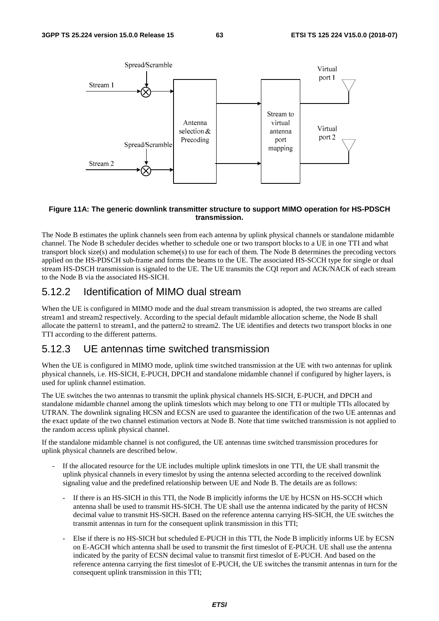

#### **Figure 11A: The generic downlink transmitter structure to support MIMO operation for HS-PDSCH transmission.**

The Node B estimates the uplink channels seen from each antenna by uplink physical channels or standalone midamble channel. The Node B scheduler decides whether to schedule one or two transport blocks to a UE in one TTI and what transport block size(s) and modulation scheme(s) to use for each of them. The Node B determines the precoding vectors applied on the HS-PDSCH sub-frame and forms the beams to the UE. The associated HS-SCCH type for single or dual stream HS-DSCH transmission is signaled to the UE. The UE transmits the CQI report and ACK/NACK of each stream to the Node B via the associated HS-SICH.

### 5.12.2 Identification of MIMO dual stream

When the UE is configured in MIMO mode and the dual stream transmission is adopted, the two streams are called stream1 and stream2 respectively. According to the special default midamble allocation scheme, the Node B shall allocate the pattern1 to stream1, and the pattern2 to stream2. The UE identifies and detects two transport blocks in one TTI according to the different patterns.

### 5.12.3 UE antennas time switched transmission

When the UE is configured in MIMO mode, uplink time switched transmission at the UE with two antennas for uplink physical channels, i.e. HS-SICH, E-PUCH, DPCH and standalone midamble channel if configured by higher layers, is used for uplink channel estimation.

The UE switches the two antennas to transmit the uplink physical channels HS-SICH, E-PUCH, and DPCH and standalone midamble channel among the uplink timeslots which may belong to one TTI or multiple TTIs allocated by UTRAN. The downlink signaling HCSN and ECSN are used to guarantee the identification of the two UE antennas and the exact update of the two channel estimation vectors at Node B. Note that time switched transmission is not applied to the random access uplink physical channel.

If the standalone midamble channel is not configured, the UE antennas time switched transmission procedures for uplink physical channels are described below.

- If the allocated resource for the UE includes multiple uplink timeslots in one TTI, the UE shall transmit the uplink physical channels in every timeslot by using the antenna selected according to the received downlink signaling value and the predefined relationship between UE and Node B. The details are as follows:
	- If there is an HS-SICH in this TTI, the Node B implicitly informs the UE by HCSN on HS-SCCH which antenna shall be used to transmit HS-SICH. The UE shall use the antenna indicated by the parity of HCSN decimal value to transmit HS-SICH. Based on the reference antenna carrying HS-SICH, the UE switches the transmit antennas in turn for the consequent uplink transmission in this TTI;
	- Else if there is no HS-SICH but scheduled E-PUCH in this TTI, the Node B implicitly informs UE by ECSN on E-AGCH which antenna shall be used to transmit the first timeslot of E-PUCH. UE shall use the antenna indicated by the parity of ECSN decimal value to transmit first timeslot of E-PUCH. And based on the reference antenna carrying the first timeslot of E-PUCH, the UE switches the transmit antennas in turn for the consequent uplink transmission in this TTI;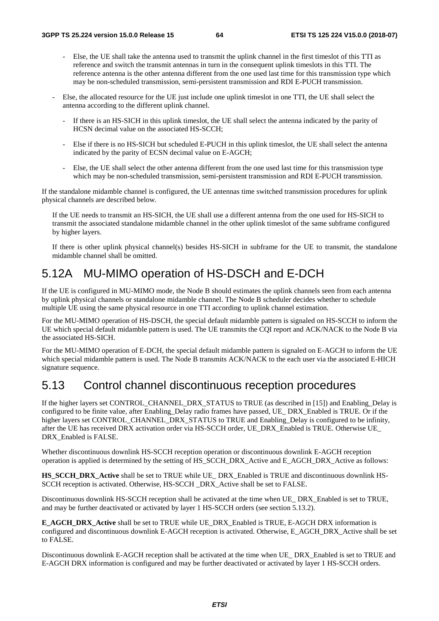- Else, the UE shall take the antenna used to transmit the uplink channel in the first timeslot of this TTI as reference and switch the transmit antennas in turn in the consequent uplink timeslots in this TTI. The reference antenna is the other antenna different from the one used last time for this transmission type which may be non-scheduled transmission, semi-persistent transmission and RDI E-PUCH transmission.
- Else, the allocated resource for the UE just include one uplink timeslot in one TTI, the UE shall select the antenna according to the different uplink channel.
	- If there is an HS-SICH in this uplink timeslot, the UE shall select the antenna indicated by the parity of HCSN decimal value on the associated HS-SCCH;
	- Else if there is no HS-SICH but scheduled E-PUCH in this uplink timeslot, the UE shall select the antenna indicated by the parity of ECSN decimal value on E-AGCH;
	- Else, the UE shall select the other antenna different from the one used last time for this transmission type which may be non-scheduled transmission, semi-persistent transmission and RDI E-PUCH transmission.

If the standalone midamble channel is configured, the UE antennas time switched transmission procedures for uplink physical channels are described below.

If the UE needs to transmit an HS-SICH, the UE shall use a different antenna from the one used for HS-SICH to transmit the associated standalone midamble channel in the other uplink timeslot of the same subframe configured by higher layers.

If there is other uplink physical channel(s) besides HS-SICH in subframe for the UE to transmit, the standalone midamble channel shall be omitted.

# 5.12A MU-MIMO operation of HS-DSCH and E-DCH

If the UE is configured in MU-MIMO mode, the Node B should estimates the uplink channels seen from each antenna by uplink physical channels or standalone midamble channel. The Node B scheduler decides whether to schedule multiple UE using the same physical resource in one TTI according to uplink channel estimation.

For the MU-MIMO operation of HS-DSCH, the special default midamble pattern is signaled on HS-SCCH to inform the UE which special default midamble pattern is used. The UE transmits the CQI report and ACK/NACK to the Node B via the associated HS-SICH.

For the MU-MIMO operation of E-DCH, the special default midamble pattern is signaled on E-AGCH to inform the UE which special midamble pattern is used. The Node B transmits ACK/NACK to the each user via the associated E-HICH signature sequence.

# 5.13 Control channel discontinuous reception procedures

If the higher layers set CONTROL\_CHANNEL\_DRX\_STATUS to TRUE (as described in [15]) and Enabling\_Delay is configured to be finite value, after Enabling\_Delay radio frames have passed, UE\_ DRX\_Enabled is TRUE. Or if the higher layers set CONTROL\_CHANNEL\_DRX\_STATUS to TRUE and Enabling Delay is configured to be infinity, after the UE has received DRX activation order via HS-SCCH order, UE\_DRX\_Enabled is TRUE. Otherwise UE\_ DRX Enabled is FALSE.

Whether discontinuous downlink HS-SCCH reception operation or discontinuous downlink E-AGCH reception operation is applied is determined by the setting of HS\_SCCH\_DRX\_Active and E\_AGCH\_DRX\_Active as follows:

**HS\_SCCH\_DRX\_Active** shall be set to TRUE while UE\_ DRX\_Enabled is TRUE and discontinuous downlink HS-SCCH reception is activated. Otherwise, HS-SCCH \_DRX\_Active shall be set to FALSE.

Discontinuous downlink HS-SCCH reception shall be activated at the time when UE\_ DRX\_Enabled is set to TRUE, and may be further deactivated or activated by layer 1 HS-SCCH orders (see section 5.13.2).

**E\_AGCH\_DRX\_Active** shall be set to TRUE while UE\_DRX\_Enabled is TRUE, E-AGCH DRX information is configured and discontinuous downlink E-AGCH reception is activated. Otherwise, E\_AGCH\_DRX\_Active shall be set to FALSE.

Discontinuous downlink E-AGCH reception shall be activated at the time when UE\_ DRX\_Enabled is set to TRUE and E-AGCH DRX information is configured and may be further deactivated or activated by layer 1 HS-SCCH orders.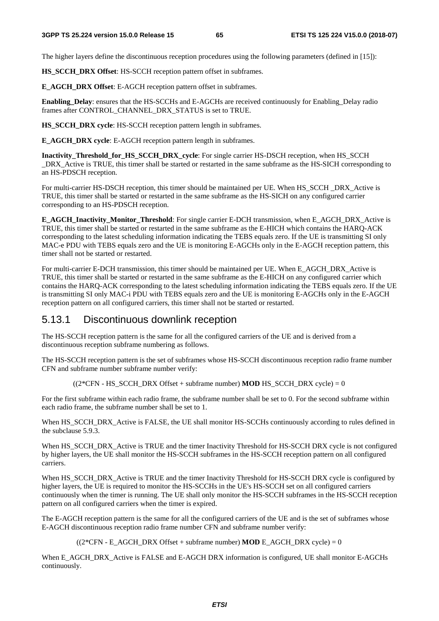The higher layers define the discontinuous reception procedures using the following parameters (defined in [15]):

**HS\_SCCH\_DRX Offset**: HS-SCCH reception pattern offset in subframes.

**E\_AGCH\_DRX Offset**: E-AGCH reception pattern offset in subframes.

**Enabling Delay**: ensures that the HS-SCCHs and E-AGCHs are received continuously for Enabling Delay radio frames after CONTROL\_CHANNEL\_DRX\_STATUS is set to TRUE.

**HS\_SCCH\_DRX cycle:** HS-SCCH reception pattern length in subframes.

**E\_AGCH\_DRX cycle**: E-AGCH reception pattern length in subframes.

**Inactivity\_Threshold\_for\_HS\_SCCH\_DRX\_cycle**: For single carrier HS-DSCH reception, when HS\_SCCH DRX Active is TRUE, this timer shall be started or restarted in the same subframe as the HS-SICH corresponding to an HS-PDSCH reception.

For multi-carrier HS-DSCH reception, this timer should be maintained per UE. When HS\_SCCH \_DRX\_Active is TRUE, this timer shall be started or restarted in the same subframe as the HS-SICH on any configured carrier corresponding to an HS-PDSCH reception.

**E\_AGCH\_Inactivity\_Monitor\_Threshold**: For single carrier E-DCH transmission, when E\_AGCH\_DRX\_Active is TRUE, this timer shall be started or restarted in the same subframe as the E-HICH which contains the HARQ-ACK corresponding to the latest scheduling information indicating the TEBS equals zero. If the UE is transmitting SI only MAC-e PDU with TEBS equals zero and the UE is monitoring E-AGCHs only in the E-AGCH reception pattern, this timer shall not be started or restarted.

For multi-carrier E-DCH transmission, this timer should be maintained per UE. When E\_AGCH\_DRX\_Active is TRUE, this timer shall be started or restarted in the same subframe as the E-HICH on any configured carrier which contains the HARQ-ACK corresponding to the latest scheduling information indicating the TEBS equals zero. If the UE is transmitting SI only MAC-i PDU with TEBS equals zero and the UE is monitoring E-AGCHs only in the E-AGCH reception pattern on all configured carriers, this timer shall not be started or restarted.

### 5.13.1 Discontinuous downlink reception

The HS-SCCH reception pattern is the same for all the configured carriers of the UE and is derived from a discontinuous reception subframe numbering as follows.

The HS-SCCH reception pattern is the set of subframes whose HS-SCCH discontinuous reception radio frame number CFN and subframe number subframe number verify:

 $((2*CFN - HS\_SCCH\_DRX \cdot 0)$  and  $HSSCCH\_DRX \cdot 0) = 0$ 

For the first subframe within each radio frame, the subframe number shall be set to 0. For the second subframe within each radio frame, the subframe number shall be set to 1.

When HS\_SCCH\_DRX\_Active is FALSE, the UE shall monitor HS-SCCHs continuously according to rules defined in the subclause 5.9.3.

When HS\_SCCH\_DRX\_Active is TRUE and the timer Inactivity Threshold for HS-SCCH DRX cycle is not configured by higher layers, the UE shall monitor the HS-SCCH subframes in the HS-SCCH reception pattern on all configured carriers.

When HS\_SCCH\_DRX\_Active is TRUE and the timer Inactivity Threshold for HS-SCCH DRX cycle is configured by higher layers, the UE is required to monitor the HS-SCCHs in the UE's HS-SCCH set on all configured carriers continuously when the timer is running. The UE shall only monitor the HS-SCCH subframes in the HS-SCCH reception pattern on all configured carriers when the timer is expired.

The E-AGCH reception pattern is the same for all the configured carriers of the UE and is the set of subframes whose E-AGCH discontinuous reception radio frame number CFN and subframe number verify:

 $((2*CFN - EAGCH) DRX$  Offset + subframe number) **MOD** E\_AGCH\_DRX cycle) = 0

When E\_AGCH\_DRX\_Active is FALSE and E-AGCH DRX information is configured, UE shall monitor E-AGCHs continuously.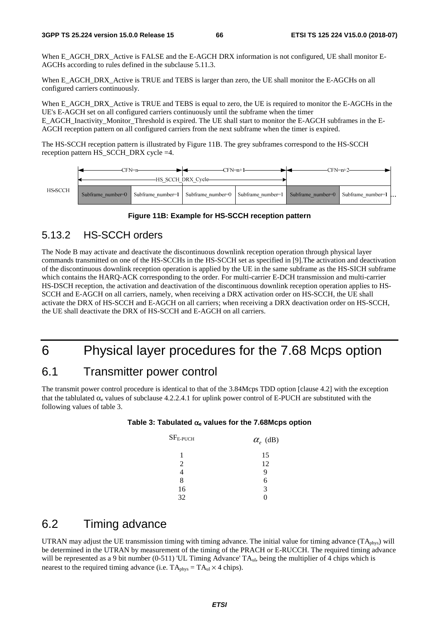When E\_AGCH\_DRX\_Active is FALSE and the E-AGCH DRX information is not configured, UE shall monitor E-AGCHs according to rules defined in the subclause 5.11.3.

When E\_AGCH\_DRX\_Active is TRUE and TEBS is larger than zero, the UE shall monitor the E-AGCHs on all configured carriers continuously.

When E\_AGCH\_DRX\_Active is TRUE and TEBS is equal to zero, the UE is required to monitor the E-AGCHs in the UE's E-AGCH set on all configured carriers continuously until the subframe when the timer E\_AGCH\_Inactivity\_Monitor\_Threshold is expired. The UE shall start to monitor the E-AGCH subframes in the E-

AGCH reception pattern on all configured carriers from the next subframe when the timer is expired.

The HS-SCCH reception pattern is illustrated by Figure 11B. The grey subframes correspond to the HS-SCCH reception pattern HS\_SCCH\_DRX cycle =4.





## 5.13.2 HS-SCCH orders

The Node B may activate and deactivate the discontinuous downlink reception operation through physical layer commands transmitted on one of the HS-SCCHs in the HS-SCCH set as specified in [9].The activation and deactivation of the discontinuous downlink reception operation is applied by the UE in the same subframe as the HS-SICH subframe which contains the HARQ-ACK corresponding to the order. For multi-carrier E-DCH transmission and multi-carrier HS-DSCH reception, the activation and deactivation of the discontinuous downlink reception operation applies to HS-SCCH and E-AGCH on all carriers, namely, when receiving a DRX activation order on HS-SCCH, the UE shall activate the DRX of HS-SCCH and E-AGCH on all carriers; when receiving a DRX deactivation order on HS-SCCH, the UE shall deactivate the DRX of HS-SCCH and E-AGCH on all carriers.

# 6 Physical layer procedures for the 7.68 Mcps option

# 6.1 Transmitter power control

The transmit power control procedure is identical to that of the 3.84Mcps TDD option [clause 4.2] with the exception that the tablulated  $\alpha_e$  values of subclause 4.2.2.4.1 for uplink power control of E-PUCH are substituted with the following values of table 3.

#### **Table 3: Tabulated** α**e values for the 7.68Mcps option**

| $SFE-PUCH$     | $\alpha_e$ (dB) |
|----------------|-----------------|
| 1              | 15              |
| $\mathfrak{D}$ | 12              |
|                | q               |
| 8              | 6               |
| 16             | 3               |
| 32             |                 |

# 6.2 Timing advance

UTRAN may adjust the UE transmission timing with timing advance. The initial value for timing advance  $(TA_{\text{phys}})$  will be determined in the UTRAN by measurement of the timing of the PRACH or E-RUCCH. The required timing advance will be represented as a 9 bit number (0-511) 'UL Timing Advance' TA<sub>ul</sub>, being the multiplier of 4 chips which is nearest to the required timing advance (i.e.  $TA<sub>phys</sub> = TA<sub>ul</sub> × 4 chips$ ).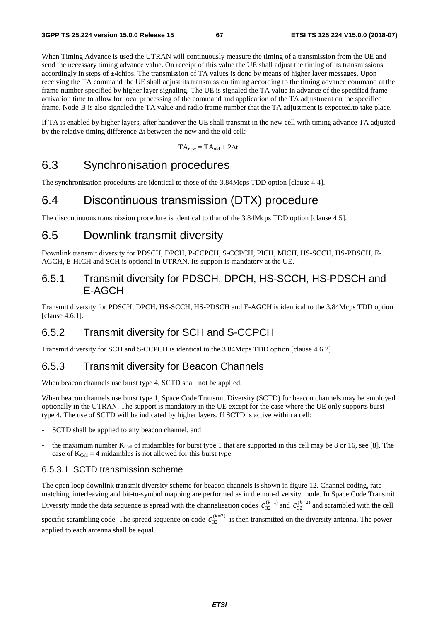When Timing Advance is used the UTRAN will continuously measure the timing of a transmission from the UE and send the necessary timing advance value. On receipt of this value the UE shall adjust the timing of its transmissions accordingly in steps of ±4chips. The transmission of TA values is done by means of higher layer messages. Upon receiving the TA command the UE shall adjust its transmission timing according to the timing advance command at the frame number specified by higher layer signaling. The UE is signaled the TA value in advance of the specified frame activation time to allow for local processing of the command and application of the TA adjustment on the specified frame. Node-B is also signaled the TA value and radio frame number that the TA adjustment is expected.to take place.

If TA is enabled by higher layers, after handover the UE shall transmit in the new cell with timing advance TA adjusted by the relative timing difference Δt between the new and the old cell:

$$
TA_{new} = TA_{old} + 2\Delta t.
$$

# 6.3 Synchronisation procedures

The synchronisation procedures are identical to those of the 3.84Mcps TDD option [clause 4.4].

# 6.4 Discontinuous transmission (DTX) procedure

The discontinuous transmission procedure is identical to that of the 3.84Mcps TDD option [clause 4.5].

# 6.5 Downlink transmit diversity

Downlink transmit diversity for PDSCH, DPCH, P-CCPCH, S-CCPCH, PICH, MICH, HS-SCCH, HS-PDSCH, E-AGCH, E-HICH and SCH is optional in UTRAN. Its support is mandatory at the UE.

## 6.5.1 Transmit diversity for PDSCH, DPCH, HS-SCCH, HS-PDSCH and E-AGCH

Transmit diversity for PDSCH, DPCH, HS-SCCH, HS-PDSCH and E-AGCH is identical to the 3.84Mcps TDD option [clause 4.6.1].

## 6.5.2 Transmit diversity for SCH and S-CCPCH

Transmit diversity for SCH and S-CCPCH is identical to the 3.84Mcps TDD option [clause 4.6.2].

### 6.5.3 Transmit diversity for Beacon Channels

When beacon channels use burst type 4, SCTD shall not be applied.

When beacon channels use burst type 1, Space Code Transmit Diversity (SCTD) for beacon channels may be employed optionally in the UTRAN. The support is mandatory in the UE except for the case where the UE only supports burst type 4. The use of SCTD will be indicated by higher layers. If SCTD is active within a cell:

- SCTD shall be applied to any beacon channel, and
- the maximum number  $K_{\text{Cell}}$  of midambles for burst type 1 that are supported in this cell may be 8 or 16, see [8]. The case of  $K_{Cell} = 4$  midambles is not allowed for this burst type.

#### 6.5.3.1 SCTD transmission scheme

The open loop downlink transmit diversity scheme for beacon channels is shown in figure 12. Channel coding, rate matching, interleaving and bit-to-symbol mapping are performed as in the non-diversity mode. In Space Code Transmit Diversity mode the data sequence is spread with the channelisation codes  $c_{32}^{(k=1)}$  and  $c_{32}^{(k=2)}$  and scrambled with the cell

specific scrambling code. The spread sequence on code  $c_{32}^{(k=2)}$  is then transmitted on the diversity antenna. The power applied to each antenna shall be equal.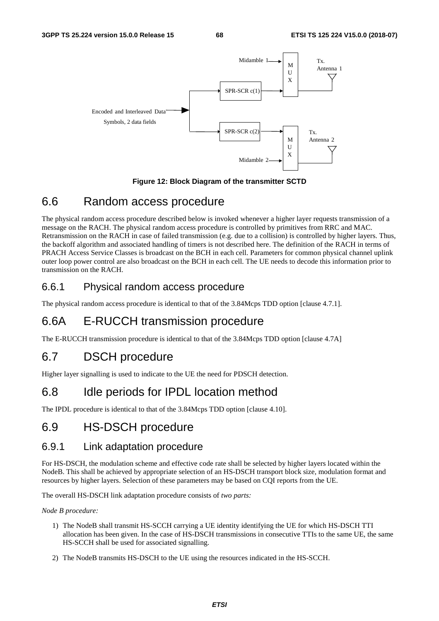

#### **Figure 12: Block Diagram of the transmitter SCTD**

# 6.6 Random access procedure

The physical random access procedure described below is invoked whenever a higher layer requests transmission of a message on the RACH. The physical random access procedure is controlled by primitives from RRC and MAC. Retransmission on the RACH in case of failed transmission (e.g. due to a collision) is controlled by higher layers. Thus, the backoff algorithm and associated handling of timers is not described here. The definition of the RACH in terms of PRACH Access Service Classes is broadcast on the BCH in each cell. Parameters for common physical channel uplink outer loop power control are also broadcast on the BCH in each cell. The UE needs to decode this information prior to transmission on the RACH.

# 6.6.1 Physical random access procedure

The physical random access procedure is identical to that of the 3.84Mcps TDD option [clause 4.7.1].

# 6.6A E-RUCCH transmission procedure

The E-RUCCH transmission procedure is identical to that of the 3.84Mcps TDD option [clause 4.7A]

# 6.7 DSCH procedure

Higher layer signalling is used to indicate to the UE the need for PDSCH detection.

# 6.8 Idle periods for IPDL location method

The IPDL procedure is identical to that of the 3.84Mcps TDD option [clause 4.10].

# 6.9 HS-DSCH procedure

### 6.9.1 Link adaptation procedure

For HS-DSCH, the modulation scheme and effective code rate shall be selected by higher layers located within the NodeB. This shall be achieved by appropriate selection of an HS-DSCH transport block size, modulation format and resources by higher layers. Selection of these parameters may be based on CQI reports from the UE.

The overall HS-DSCH link adaptation procedure consists of *two parts:* 

*Node B procedure:* 

- 1) The NodeB shall transmit HS-SCCH carrying a UE identity identifying the UE for which HS-DSCH TTI allocation has been given. In the case of HS-DSCH transmissions in consecutive TTIs to the same UE, the same HS-SCCH shall be used for associated signalling.
- 2) The NodeB transmits HS-DSCH to the UE using the resources indicated in the HS-SCCH.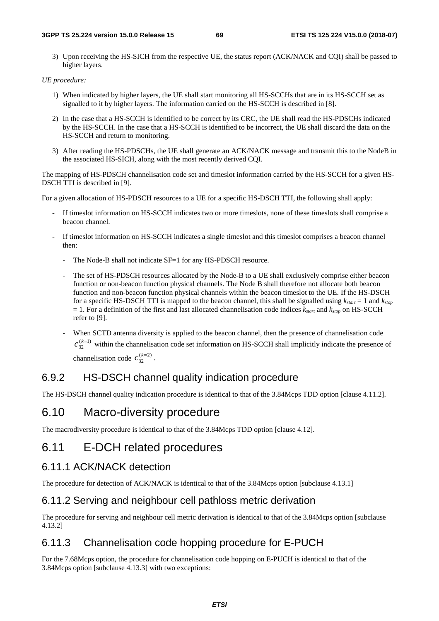3) Upon receiving the HS-SICH from the respective UE, the status report (ACK/NACK and CQI) shall be passed to higher layers.

#### *UE procedure:*

- 1) When indicated by higher layers, the UE shall start monitoring all HS-SCCHs that are in its HS-SCCH set as signalled to it by higher layers. The information carried on the HS-SCCH is described in [8].
- 2) In the case that a HS-SCCH is identified to be correct by its CRC, the UE shall read the HS-PDSCHs indicated by the HS-SCCH. In the case that a HS-SCCH is identified to be incorrect, the UE shall discard the data on the HS-SCCH and return to monitoring.
- 3) After reading the HS-PDSCHs, the UE shall generate an ACK/NACK message and transmit this to the NodeB in the associated HS-SICH, along with the most recently derived CQI.

The mapping of HS-PDSCH channelisation code set and timeslot information carried by the HS-SCCH for a given HS-DSCH TTI is described in [9].

For a given allocation of HS-PDSCH resources to a UE for a specific HS-DSCH TTI, the following shall apply:

- If timeslot information on HS-SCCH indicates two or more timeslots, none of these timeslots shall comprise a beacon channel.
- If timeslot information on HS-SCCH indicates a single timeslot and this timeslot comprises a beacon channel then:
	- The Node-B shall not indicate SF=1 for any HS-PDSCH resource.
	- The set of HS-PDSCH resources allocated by the Node-B to a UE shall exclusively comprise either beacon function or non-beacon function physical channels. The Node B shall therefore not allocate both beacon function and non-beacon function physical channels within the beacon timeslot to the UE. If the HS-DSCH for a specific HS-DSCH TTI is mapped to the beacon channel, this shall be signalled using *kstart* = 1 and *kstop*  $= 1$ . For a definition of the first and last allocated channelisation code indices  $k_{start}$  and  $k_{stop}$  on HS-SCCH refer to [9].
	- When SCTD antenna diversity is applied to the beacon channel, then the presence of channelisation code  $(k=1)$  $c_{32}^{(k=1)}$  within the channelisation code set information on HS-SCCH shall implicitly indicate the presence of channelisation code  $c_{32}^{(k=2)}$ .

## 6.9.2 HS-DSCH channel quality indication procedure

The HS-DSCH channel quality indication procedure is identical to that of the 3.84Mcps TDD option [clause 4.11.2].

# 6.10 Macro-diversity procedure

The macrodiversity procedure is identical to that of the 3.84Mcps TDD option [clause 4.12].

# 6.11 E-DCH related procedures

### 6.11.1 ACK/NACK detection

The procedure for detection of ACK/NACK is identical to that of the 3.84Mcps option [subclause 4.13.1]

## 6.11.2 Serving and neighbour cell pathloss metric derivation

The procedure for serving and neighbour cell metric derivation is identical to that of the 3.84Mcps option [subclause 4.13.2]

# 6.11.3 Channelisation code hopping procedure for E-PUCH

For the 7.68Mcps option, the procedure for channelisation code hopping on E-PUCH is identical to that of the 3.84Mcps option [subclause 4.13.3] with two exceptions: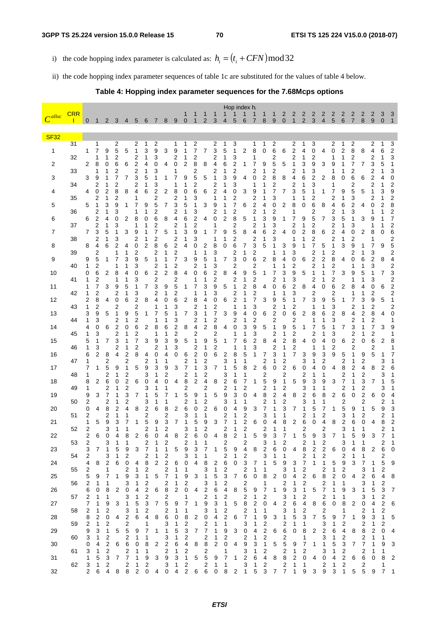i) the code hopping index parameter is calculated as:  $h_i = (t_i + CFN) \text{mod } 32$ 

ii) the code hopping index parameter sequences of table 1c are substituted for the values of table 4 below.

#### **Table 4: Hopping index parameter sequences for the 7.68Mcps options**

| $\overline{C^{alloc}}$ | <b>CRR</b> |        |                     |                     |        |                |                     |                              |                     |                         |                                           | 1                   |                              |                | 1      |                              | Hop index $h_i$     |                              |                     |        |                     | 2                            | 2                            | 2                            | 2                            | $\overline{\mathbf{c}}$      | 2                            | $\overline{\mathbf{c}}$ | 2                   | 2                            | 2      | 3      | 3                            |
|------------------------|------------|--------|---------------------|---------------------|--------|----------------|---------------------|------------------------------|---------------------|-------------------------|-------------------------------------------|---------------------|------------------------------|----------------|--------|------------------------------|---------------------|------------------------------|---------------------|--------|---------------------|------------------------------|------------------------------|------------------------------|------------------------------|------------------------------|------------------------------|-------------------------|---------------------|------------------------------|--------|--------|------------------------------|
|                        |            | 0      | 1                   | 2                   | 3      | 4              | 5                   | 6                            | 7                   | 8                       | 9                                         | $\overline{0}$      |                              | $\overline{2}$ | 3      | 4                            | 5                   | 6                            | 7                   | 8      | 9                   | $\mathbf 0$                  | $\mathbf{1}$                 | $\overline{2}$               | 3                            | $\overline{4}$               | 5                            | $6\phantom{1}6$         | $\overline{7}$      | 8                            | 9      | 0      | $\mathbf{1}$                 |
| <b>SF32</b>            | 31         |        | 1                   |                     |        |                |                     |                              |                     |                         |                                           | 1                   |                              |                | 2      |                              |                     |                              |                     |        |                     |                              |                              |                              |                              |                              |                              | 1                       |                     |                              | 2      | 1      |                              |
| 1                      |            | 1      | 7                   | 9                   | 2<br>5 | 5              | 2<br>1              | 1<br>3                       | 2<br>9              | 3                       | 1<br>9                                    | 1                   | 2<br>7                       | 7              | 3      | 1<br>5                       | 3<br>1              | $\overline{2}$               | 1<br>8              | 1<br>0 | 2<br>6              | 6                            | 2<br>$\overline{c}$          | 1<br>4                       | 3<br>0                       | 4                            | 2<br>0                       | $\overline{c}$          | 2<br>8              | 8                            | 4      | 6      | 3<br>$\overline{\mathbf{c}}$ |
| 2                      | 32         | 2      | 1<br>8              | 1<br>0              | 2<br>6 | 6              | 2<br>2              | 1<br>4                       | 3<br>0              | 4                       | $\overline{c}$<br>0                       | 1<br>2              | $\overline{\mathbf{c}}$<br>8 | 8              | 2<br>4 | 6                            | 3<br>2              | 1                            | 1<br>7              | 9      | 2<br>5              | 5                            | 2                            | 1<br>3                       | 2<br>9                       | 3                            | 1<br>9                       | 1<br>1                  | $\overline{c}$<br>7 | 7                            | 2<br>3 | 5      | 3<br>1                       |
| 3                      | 33         | 3      | 1<br>9              | 1<br>1              | 2<br>7 | 7              | $\overline{c}$<br>3 | 1<br>5                       | 3<br>1              | 1                       | 1<br>7                                    | 9                   | 2<br>5                       | 5              | 2<br>1 | 3                            | 2<br>9              | 4                            | $\overline{c}$<br>0 | 1<br>2 | 2<br>8              | 8                            | 2<br>4                       | 1<br>6                       | 3<br>2                       | 2                            | 1<br>8                       | 1<br>0                  | 2<br>6              | 6                            | 2<br>2 |        | 3<br>0                       |
| 4                      | 34         | 4      | 2<br>0              | 1<br>2              | 2<br>8 | 8              | 2<br>4              | 1<br>6                       | 3<br>2              | 2                       | 1<br>8                                    | 1<br>0              | 2<br>6                       | 6              | 2<br>2 | 4                            | 3<br>0              | 3                            | 1<br>9              | 1      | $\overline{c}$<br>7 | 7                            | 2<br>3                       | 1<br>5                       | 3<br>1                       | 1                            | 1<br>7                       | 9                       | 2<br>5              | 5                            | 2      | 3      | $\overline{\mathbf{c}}$<br>9 |
| 5                      | 35         | 5      | 2<br>1              | 1<br>3              | 2<br>9 | 1              | 1<br>7              | 9                            | 2<br>5              | 7                       | $\overline{\mathbf{c}}$<br>3              | 1<br>5              | 3<br>1                       | 3              | 1<br>9 |                              | 2<br>7              | 6                            | 2<br>$\overline{c}$ | 4      | 3<br>0              | 2                            | 1<br>8                       | 0                            | 2<br>6                       | 8                            | 2<br>4                       | 1<br>6                  | 3<br>2              | 4                            | 2<br>0 | 2      | 2<br>8                       |
| 6                      | 36         | 6      | 2<br>2              | 1<br>4              | 3<br>0 | 2              | 1<br>8              | 1<br>0                       | 2<br>6              | 8                       | 2<br>4                                    | 1<br>6              | 3<br>2                       | 4              | 2<br>0 | 1<br>2                       | 2<br>8              | 5                            | $\overline{c}$<br>1 | 1<br>3 | $\overline{c}$<br>9 | 1                            | 1                            | 9                            | 2<br>5                       | 7                            | $\overline{\mathbf{c}}$<br>3 | 1<br>5                  | 3<br>1              | 3                            | 1<br>9 |        | $\overline{\mathbf{c}}$<br>7 |
| 7                      | 37         | 7      | 2<br>3              | 1<br>5              | 3<br>1 | 3              | 1<br>9              |                              | 2<br>7              | 5                       | 2<br>1                                    | 1<br>3              | 2<br>9                       | 1              | 1      | 9                            | 2<br>5              | 8                            | 2<br>4              | 1<br>6 | 3<br>2              | 4                            | 2<br>0                       | 1<br>2                       | 2<br>8                       | 6                            | 2<br>$\overline{c}$          | 1<br>4                  | 3<br>0              | 2                            | 1<br>8 | 0      | $\overline{\mathbf{c}}$<br>6 |
|                        | 38         |        | 2                   | 1                   | 3      |                | 2                   | 1                            | $\overline{c}$      |                         | 2                                         | 1                   | 3                            |                | 1      | 1                            | 2                   |                              | 2                   | 1      | 3<br>1              |                              | 1                            | 1                            | 2                            |                              | 2                            | 1                       | 2                   |                              | 1      |        | 2                            |
| 8                      | 39         | 8      | 4<br>2              | 6                   | 2<br>1 | 4<br>1         | 0<br>2              | 2                            | 8<br>$\overline{c}$ | 6<br>1                  | $\overline{c}$<br>$\overline{\mathbf{c}}$ | 4                   | 0<br>1                       | 2<br>1         | 8<br>3 | 0                            | 6<br>2              | 7<br>1                       | 3<br>2              | 5      | 1                   | 3<br>1                       | 9<br>3                       | 1                            | 7<br>2                       | 5<br>1                       | 1<br>2                       | 3                       | 9<br>2              | 1<br>1                       | 7<br>3 | 9      | 5<br>2                       |
| 9                      | 40         | 9<br>1 | 5<br>2              | 1                   | 7<br>1 | 3<br>1         | 9<br>3              | 5                            | 1<br>2              | 1<br>1                  | 7<br>2                                    | 3                   | 9<br>2                       | 5<br>1         | 3      | 7                            | 3<br>2              | 0                            | 6<br>2              | 2      | 8<br>1              | 4<br>1                       | 0<br>2                       | 6                            | $\overline{\mathbf{c}}$<br>2 | 2<br>1                       | 8<br>$\overline{\mathbf{c}}$ | 4                       | 0<br>1              | 6                            | 2<br>3 | 8      | 4<br>$\overline{\mathbf{c}}$ |
| 10                     | 41         | 0<br>1 | 6<br>2              | 2                   | 8<br>1 | 4<br>1         | 0<br>3              | 6                            | $\overline{c}$<br>2 | 2                       | 8<br>$\overline{\mathbf{c}}$              | 4                   | 0<br>1                       | 6<br>1         | 2<br>2 | 8                            | 4<br>2              | 9<br>1                       | 5<br>2              | 1      | 7<br>2              | 3                            | 9<br>3                       | 5                            | 1<br>2                       | 1<br>1                       | 7<br>2                       | 3                       | 9<br>1              | 5                            | 1<br>3 | 7      | 3<br>$\overline{\mathbf{c}}$ |
| 11                     | 42         | 1<br>1 | 7<br>2              | 3                   | 9<br>2 | 5<br>1         | 3                   | 7                            | 3<br>2              | 9<br>1                  | 5<br>$\overline{c}$                       | 1                   | 7<br>1                       | 3              | 9<br>3 | 5                            | 1<br>2              | 2                            | 8<br>$\overline{c}$ | 4      | 0<br>1              | 6<br>1                       | $\overline{c}$<br>3          | 8                            | 4<br>2                       | 0                            | 6<br>2                       | 2                       | 8<br>1              |                              | 0<br>2 | 6      | $\overline{c}$<br>2          |
| 12                     | 43         | 2<br>1 | 8<br>2              | 4                   | 0<br>2 | 6              | 2<br>2              | 8                            | 4<br>1              | 0<br>1                  | 6<br>3                                    | $\overline{c}$      | 8<br>2                       | 4              | 0<br>2 | 6                            | $\overline{c}$<br>1 | 1                            | 7<br>3              | 3      | 9<br>2              | 5<br>1                       | 1<br>2                       | 7                            | 3<br>1                       | 9<br>1                       | 5<br>3                       | 1                       | 7<br>2              | 3                            | 9<br>2 | 5      | 1<br>2                       |
| 13                     |            | 3<br>1 | 9<br>3              | 5                   | 1      | 9<br>1         | 5                   | 1                            | 7<br>1              | 5<br>1                  | 1<br>3                                    | 7                   | 3<br>2                       | 1              |        | 3                            | 9                   | 4<br>1                       | 0                   | 6      | $\overline{c}$      | 0                            | 6                            | 2                            | 8                            | 6<br>1                       | 2<br>3                       | 8                       | 4<br>$\overline{c}$ | 1                            | 8      | 4      | 0                            |
| 14                     | 44         | 4      | 0                   | 6                   | 2<br>2 | 0              | 2<br>6              | 2                            | 8                   | 6                       | 2                                         | 8                   | 4                            | 2              | 2<br>8 | 4                            | 2<br>0              | 3                            | 2<br>9              | 5      | 2<br>1              | 9                            | 2<br>5                       | 1                            | 1<br>7                       | 5                            | 1                            | 7                       | 3                   |                              | 2<br>7 | 3      | 1<br>9                       |
| 15                     | 45         | 1<br>5 | 3<br>1              | 7                   | 2<br>3 | 1<br>1         | 2<br>7              | 3                            | 1<br>9              | 1<br>3                  | 2<br>9                                    | 5                   | 2<br>1                       | 9              | 2<br>5 | 1                            | 1<br>7              | 1<br>6                       | 3<br>2              | 8      | 2<br>4              | 1<br>2                       | 2<br>8                       | 4                            | 2<br>0                       | 1<br>4                       | 3<br>0                       | 6                       | 2<br>2              | 0                            | 2<br>6 | 2      | 1<br>8                       |
| 16                     | 46         | 1<br>6 | 3<br>$\overline{c}$ | 8                   | 2<br>4 | 1<br>2         | 2<br>8              | 4                            | 2<br>0              | 1<br>4                  | 3<br>0                                    | 6                   | 2<br>2                       | 1<br>0         | 2<br>6 | 2                            | 1<br>8              | 1<br>5                       | 3<br>1              | 7      | 2<br>3              | 1<br>1                       | 2<br>7                       | 3                            | 1<br>9                       | 1<br>3                       | 2<br>9                       | 5                       | $\overline{c}$<br>1 | 9                            | 2<br>5 |        | 1<br>7                       |
| 17                     | 47         | 1<br>7 | 1                   | $\overline{2}$<br>5 | 9      | $\overline{c}$ | 5                   | 2<br>9                       | 1<br>3              | 1<br>9                  | 3                                         | 2<br>7              | 1<br>1                       | 2<br>3         | 7      | 3<br>1                       | 1<br>5              | 1<br>8                       | $\overline{2}$      | 2<br>6 | 1<br>0              | 2<br>2                       | 6                            | 3<br>0                       | 1<br>4                       | $\overline{c}$<br>0          | 4                            | 2<br>8                  | 1<br>2              | 2<br>4                       | 8      | 3<br>2 | 1<br>6                       |
| 18                     | 48         | 1<br>8 | 2                   | 2<br>6              | 1<br>0 | 2<br>2         | 6                   | 3<br>0                       | 1<br>4              | $\overline{c}$<br>0     | 4                                         | 2<br>8              | 1<br>2                       | 2<br>4         | 8      | 3<br>2                       | 1<br>6              | 1<br>7                       | 1                   | 2<br>5 | 9                   | 2<br>1                       | 5                            | 2<br>9                       | 1<br>3                       | 1<br>9                       | 3                            | 2<br>7                  | 1                   | 2<br>3                       | 7      | 3      | 1<br>5                       |
| 19                     | 49         | 1<br>9 | 3                   | 2<br>7              | 1<br>1 | 2<br>3         | 7                   | 3<br>1                       | 1<br>5              | 1<br>7                  | 1                                         | 2<br>5              | 9                            | 2<br>1         | 5      | 2<br>9                       | 1<br>3              | 2<br>0                       | 4                   | 2<br>8 | 1<br>2              | 2<br>4                       | 8                            | 3<br>2                       | 1<br>6                       | 1<br>8                       | 2                            | 2<br>6                  | 0                   | 2<br>2                       | 6      | 3<br>0 | 1<br>4                       |
|                        | 50         | 2<br>0 | 4                   | 2<br>8              | 1<br>2 | 2<br>4         |                     | 3                            | 1<br>6              | 1<br>8                  |                                           | 2<br>6              | 1                            | 2<br>2         |        | 3                            | 1                   | 1                            | 3                   | 2<br>7 | 1                   | 2<br>3                       |                              | 3<br>1                       | 1<br>5                       | 1<br>7                       | 1                            | 2<br>5                  |                     | 2                            | 5      | 2      | 1                            |
| 20                     | 51         | 2      |                     | 2                   | 1      | 1              | 8                   | 2<br>2                       |                     | 2                       | 2                                         | 3                   | 0<br>1                       | 1              | 6      | 0<br>2                       | 4<br>1              | 9<br>$\overline{\mathbf{c}}$ |                     | 3      |                     |                              | 7                            | $\overline{\mathbf{c}}$      | 1                            | $\overline{\mathbf{c}}$      |                              | 3                       | 9<br>1              | 2                            |        | 9<br>2 | 3<br>1                       |
| 21                     | 52         | 1<br>2 | 5                   | 9<br>3              | 3<br>1 | 7<br>1         | 1                   | 5<br>2                       | 9<br>1              | 3<br>2                  | 7                                         | 1<br>3              | 5<br>1                       | 9<br>2         | 3      | $\overline{7}$<br>2          | 1<br>1              | 2<br>2                       | 6                   | 0<br>2 | 4<br>1              | 8<br>1                       | 2                            | 6<br>2                       | 0                            | 4<br>2                       | 8                            | $\overline{2}$<br>3     | 6<br>1              | 0<br>1                       | 4      | 8<br>2 | 2<br>1                       |
| 22                     | 53         | 2<br>2 | 6                   | 0<br>3              | 4<br>1 | 8<br>1         | 2                   | 6<br>2                       | 0<br>1              | 4<br>2                  | 8                                         | 2<br>2              | 6<br>1                       | 0<br>1         | 4      | 8<br>2                       | 2                   | 1<br>2                       | 5                   | 9<br>3 | 3<br>1              | 7<br>2                       | 1                            | 5<br>2                       | 9<br>1                       | 3<br>$\overline{\mathbf{c}}$ | 7                            | 3                       | 5<br>1              | 9<br>1                       | 3      | 7<br>2 | 1<br>1                       |
| 23                     | 54         | 3<br>2 | 7                   | 1<br>3              | 5<br>1 | 9<br>2         | 3                   | 7<br>2                       | 1<br>1              | 1<br>2                  | 5                                         | 9<br>3              | 3<br>1                       | 7<br>1         | 1      | 5<br>2                       | 9<br>1              | 4<br>2                       | 8                   | 2<br>3 | 6<br>1              | 0<br>1                       | 4                            | 8<br>$\overline{\mathbf{c}}$ | 2<br>1                       | 2<br>2                       | 6                            | 0<br>2                  | 4<br>1              | 8<br>1                       | 2      | 6<br>2 | 0                            |
| 24                     | 55         | 4<br>2 | 8                   | $\overline{2}$<br>1 | 6      | 0<br>2         | 4<br>1              | 8<br>$\overline{\mathbf{c}}$ | 2                   | $\overline{c}$<br>2     | 6<br>1                                    | 0<br>1              | 4                            | 8<br>3         | 2<br>1 | 6<br>2                       | 0                   | 3<br>$\overline{\mathbf{c}}$ | 7<br>1              | 1<br>1 | 5                   | 9<br>3                       | 3<br>1                       | 7<br>$\overline{\mathbf{c}}$ | 1                            | 1<br>$\overline{\mathbf{c}}$ | 5<br>1                       | 9<br>2                  | 3                   | 7<br>3                       | 1<br>1 | 5<br>2 | 9                            |
| 25                     | 56         | 5      | 9                   | 7<br>1              | 1      | 9              | 3                   | 1                            | 5                   | 7                       | 1                                         | 9                   | 3                            |                | 5      | 3                            | 7                   | 6                            | 0                   | 8      | 2                   | 0                            | 4                            | 2                            | 6                            | 8                            | 2                            | 0                       | 4                   | 2                            | 6      | 4      | 8                            |
| 26                     |            | 2<br>6 | 1<br>0              | 8                   | 2      | 3<br>0         | 1<br>4              | 2<br>2                       | 6                   | 2<br>8                  | 1<br>2                                    | 2<br>0              | 4                            | 3<br>2         | 1<br>6 | 2<br>4                       | 8                   | 2<br>5                       | 9                   | 1<br>7 | 1                   | 2<br>9                       | 1<br>3                       | 2<br>1                       | 5                            | 2<br>7                       | 1<br>1                       | 1<br>9                  | 3                   | 3<br>1                       | 1<br>5 | 2<br>3 | 7                            |
| 27                     | 57         | 2<br>7 | 1<br>1              | 1<br>9              | 3      | 3<br>1         | 1<br>5              | $\overline{\mathbf{c}}$<br>3 | 7                   | 2<br>5                  | 9                                         | 1                   | 1                            | 2<br>9         | 1<br>3 | 2<br>1                       | 5                   | 2<br>8                       | 1<br>2              | 2<br>0 | 4                   | 3<br>2                       | 1<br>6                       | $\overline{\mathbf{c}}$<br>4 | 8                            | $\overline{\mathbf{c}}$<br>6 | 1<br>0                       | 1<br>8                  | 2                   | 3<br>0                       | 1<br>4 | 2<br>2 | 6                            |
| 28                     | 58         | 2<br>8 | 1<br>2              | 2<br>0              | 4      | 3<br>2         | 1<br>6              | $\overline{\mathbf{c}}$<br>4 | 8                   | 2<br>6                  | 1<br>0                                    | 1<br>8              | 2                            | 3<br>0         | 1<br>4 | $\overline{\mathbf{c}}$<br>2 | 6                   | 2<br>7                       | 1<br>1              | 1<br>9 | 3                   | 3<br>1                       | 1<br>5                       | $\overline{\mathbf{c}}$<br>3 | 7                            | $\overline{\mathbf{c}}$<br>5 | 9                            | 1<br>7                  | 1                   | $\overline{\mathbf{c}}$<br>9 | 1<br>3 | 2<br>1 | 5                            |
| 29                     | 59         | 2<br>9 | 1<br>3              | 2<br>1              | 5      | 2<br>5         | 9                   | 1<br>7                       | 1                   | 3<br>1                  | 1<br>5                                    | 2<br>3              | 7                            | 2<br>7         | 1<br>1 | 1<br>9                       | 3                   | 3<br>0                       | 1<br>4              | 2<br>2 | 6                   | $\overline{\mathbf{c}}$<br>6 | 1<br>0                       | 1<br>8                       | 2                            | 3<br>$\overline{\mathbf{c}}$ | 1<br>6                       | 2<br>4                  | 8                   | 2<br>8                       | 1<br>2 | 2<br>0 | 4                            |
| 30                     | 60         | 3<br>0 | 1<br>4              | 2<br>2              | 6      | 2<br>6         | 1<br>0              | 1<br>8                       | 2                   | 3<br>2                  | 1<br>6                                    | 2<br>4              | 8                            | 2<br>8         | 1<br>2 | 2<br>0                       | 4                   | 2<br>9                       | 1<br>3              | 2<br>1 | 5                   | 2<br>5                       | 9                            | 1<br>7                       | 1                            | 3<br>1                       | 1<br>5                       | 2<br>3                  | 7                   | 2<br>7                       | 1<br>1 | 1<br>9 | 3                            |
|                        | 61         | 3      | 1                   | 2                   |        | 2              | 1                   | 1                            |                     | $\overline{\mathbf{c}}$ | 1                                         | 2                   |                              | 2              |        | 1                            |                     | 3                            | 1                   | 2      |                     | 2                            | 1                            | $\overline{c}$               |                              | 3                            | 1                            | 2                       |                     | 2                            | 1      | 1      |                              |
| 31                     | 62         | 1<br>3 | 5<br>1              | 3<br>2              | 7      | 7<br>2         | 1<br>1              | 9<br>2                       | 3                   | 9<br>3                  | 3<br>1                                    | 1<br>$\overline{c}$ | 5                            | 5<br>2         | 9<br>1 | 7<br>1                       | 1                   | $\overline{\mathbf{c}}$<br>3 | 6<br>1              | 4<br>2 | 8                   | 8<br>$\overline{\mathbf{c}}$ | $\overline{\mathbf{c}}$<br>1 | 0<br>1                       | 4                            | 0<br>$\overline{\mathbf{c}}$ | 4<br>1                       | 2<br>2                  | 6                   | 6<br>$\overline{\mathbf{c}}$ | 0      | 8<br>1 | 2                            |
| 32                     |            | 2      | 6                   | 4                   | 8      | 8              | 2                   | 0                            | 4                   | 0                       | 4                                         | 2                   | 6                            | 6              | 0      | 8                            | 2                   | 1                            | 5                   | 3      | 7                   | 7                            | 1                            | 9                            | 3                            | 9                            | 3                            | 1                       | 5                   | 5                            | 9      | 7      | 1                            |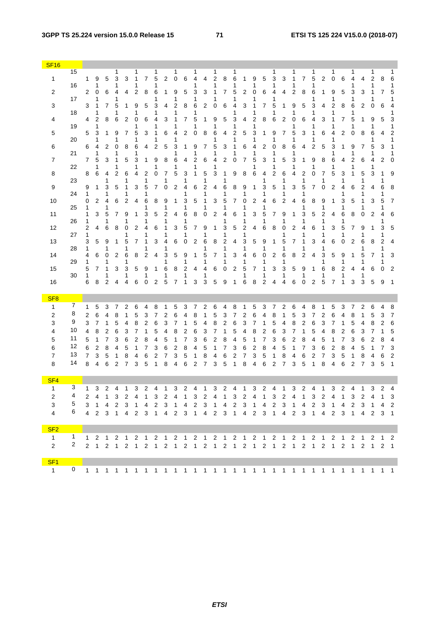#### **3GPP TS 25.224 version 15.0.0 Release 15 71 ETSI TS 125 224 V15.0.0 (2018-07)**

| <b>SF16</b>                    |              |        |             |                |             |        |        |        |        |        |             |        |        |        |        |        |             |        |        |                |        |        |        |        |             |        |             |        |             |        |        |                                                                                                                                    |                     |
|--------------------------------|--------------|--------|-------------|----------------|-------------|--------|--------|--------|--------|--------|-------------|--------|--------|--------|--------|--------|-------------|--------|--------|----------------|--------|--------|--------|--------|-------------|--------|-------------|--------|-------------|--------|--------|------------------------------------------------------------------------------------------------------------------------------------|---------------------|
| 1                              | 15           | 1      | 9           | 5              | 1<br>3      | 3      | 1<br>1 | 7      | 1<br>5 | 2      | 1<br>0      | 6      | 1<br>4 | 4      | 1<br>2 | 8      | 1<br>6      | 1      | 9      | 5              | 3      | 3      | 1      | 7      | 1<br>5      | 2      | 1<br>0      | 6      | 1<br>4      | 4      | 1<br>2 | 8                                                                                                                                  | 1<br>6              |
| 2                              | 16           | 2      | 1<br>0      | 6              | 1<br>4      | 4      | 2      | 8      | 6      | 1      | 9           | 5      | 3      | 3      |        | 7      | 1<br>5      | 2      | 1<br>0 | 6              | 1<br>4 | 4      | 1<br>2 | 8      | 1<br>6      | 1      | 9           | 5      | 3           | 3      | 1<br>1 | 7                                                                                                                                  | 1<br>5              |
| 3                              | 17<br>18     | 3      | 1<br>1<br>1 | 7              | 1<br>5<br>1 | 1      | 9<br>1 | 5      | 3<br>1 | 4      | 1<br>2<br>1 | 8      | 1<br>6 | 2      | 0      | 6      | 1<br>4<br>1 | 3      | 1<br>1 | 7              | 5<br>1 | 1      | 9<br>1 | 5      | 1<br>3<br>1 | 4      | 1<br>2<br>1 | 8      | 1<br>6<br>1 | 2      | 1<br>0 | 6                                                                                                                                  | 1<br>4<br>1         |
| 4                              | 19           | 4      | 2<br>1      | 8              | 6           | 2      | 0<br>1 | 6      | 4<br>1 | 3      | 1<br>1      | 7      | 5<br>1 | 1      | 9<br>1 | 5      | 3<br>1      | 4      | 2<br>1 | 8              | 6      | 2      | 0<br>1 | 6      | 4<br>1      | 3      | 1           | 7      | 5<br>1      | 1      | 9<br>1 | 5                                                                                                                                  | 3<br>1              |
| 5                              | 20           | 5      | 3<br>1      | 1              | 9<br>1      | 7      | 5<br>1 | 3      | 1<br>1 | 6      | 4<br>1      | 2      | 0      | 8      | 6      | 4      | 2<br>1      | 5      | 3<br>1 | 1              | 9<br>1 | 7      | 5<br>1 | 3      | 1<br>1      | 6      | 4<br>1      | 2      | 0           | 8      | 6<br>1 | 4                                                                                                                                  | 2<br>1              |
| 6                              | 21           | 6      | 4<br>1      | 2              | 0<br>1      | 8      | 6<br>1 | 4      | 2      | 5      | 3<br>1      | 1      | 9<br>1 | 7      | 5<br>1 | 3      | 1<br>1      | 6      | 4<br>1 | 2              | 0<br>1 | 8      | 6<br>1 | 4      | 2           | 5      | 3<br>1      |        | 9<br>1      | 7      | 5<br>1 | 3                                                                                                                                  | 1<br>1              |
| $\overline{7}$                 | 22           | 7      | 5<br>1      | 3              | 1<br>1      | 5      | 3<br>1 | 1      | 9<br>1 | 8      | 6<br>1      | 4      | 2<br>1 | 6      | 4<br>1 | 2      | 0           | 7      | 5<br>1 | 3              | 1<br>1 | 5      | 3<br>1 | 1      | 9<br>1      | 8      | 6<br>1      | 4      | 2<br>1      | 6      | 4<br>1 | 2                                                                                                                                  | 0                   |
| 8                              | 23           | 8      | 6           | 4<br>1         | 2           | 6<br>1 | 4      | 2<br>1 | 0      | 7<br>1 | 5           | 3<br>1 | 1      | 5<br>1 | 3      | 1      | 9           | 8      | 6      | 4<br>1         | 2      | 6<br>1 | 4      | 2<br>1 | 0           | 7<br>1 | 5           | 3<br>1 | 1           | 5<br>1 | 3      | 1<br>1                                                                                                                             | 9                   |
| 9                              | 24           | 9<br>1 | 1           | 3<br>1         | 5           | 1<br>1 | 3      | 5      | 7      | 0      | 2           | 4<br>1 | 6      | 2      | 4      | 6<br>1 | 8           | 9<br>1 | 1      | 3<br>1         | 5      | 1<br>1 | 3      | 5<br>1 | 7           | 0      | 2           | 4      | 6           | 2<br>1 | 4      | 6<br>1                                                                                                                             | 8                   |
| 10                             | 25           | 0<br>1 | 2           | 4<br>1         | 6           | 2      | 4      | 6<br>1 | 8      | 9<br>1 | 1           | 3<br>1 | 5      | 1      | 3      | 5<br>1 | 7           | 0<br>1 | 2      | 4<br>1         | 6      | 2      | 4      | 6<br>1 | 8           | 9<br>1 | 1           | 3<br>1 | 5           | 1<br>1 | 3      | 5<br>1                                                                                                                             | 7                   |
| 11                             | 26           | 1<br>1 | 3           | 5<br>1         | 7           | 9<br>1 | 1      | 3      | 5      | 2<br>1 | 4           | 6<br>1 | 8      | 0      | 2      | 4<br>1 | 6           | 1      | 3      | 5<br>1         | 7      | 9<br>1 | 1      | 3<br>1 | 5           | 2<br>1 | 4           | 6<br>1 | 8           | 0      | 2      | 4<br>1                                                                                                                             | 6                   |
| 12                             | 27           | 2<br>1 | 4           | 6              | 8           | 0<br>1 | 2      | 4      | 6      | 1<br>1 | 3           | 5<br>1 | 7      | 9<br>1 | 1      | 3<br>1 | 5           | 2<br>1 | 4      | 6              | 8      | 0<br>1 | 2      | 4<br>1 | 6           | 1<br>1 | 3           | 5<br>1 | 7           | 9<br>1 | 1      | 3<br>1                                                                                                                             | 5                   |
| 13                             | 28           | 3<br>1 | 5           | 9<br>1         | 1           | 5<br>1 | 7      | 1      | 3      | 4<br>1 | 6           | 0      | 2      | 6      | 8      | 2<br>1 | 4           | 3<br>1 | 5      | 9<br>1         | 1      | 5<br>1 | 7      | 1<br>1 | 3           | 4<br>1 | 6           | 0      | 2           | 6<br>1 | 8      | 2<br>1                                                                                                                             | 4                   |
| 14                             | 29           | 4<br>1 | 6           | 0<br>1         | 2           | 6<br>1 | 8      | 2      | 4      | 3<br>1 | 5           | 9<br>1 | 1      |        | 7      | 1      | 3           | 4<br>1 | 6      | 0<br>1         | 2      | 6<br>1 | 8      | 2      | 4           | 3<br>1 | 5           | 9<br>1 | 1           | 5<br>1 | 7      | 1<br>1                                                                                                                             | 3                   |
| 15                             | 30           | 5<br>1 | 7           | 1<br>1         | 3           | 3<br>1 | 5      | 9<br>1 | 1      | 6<br>1 | 8           | 2<br>1 | 4      | 4      | 6      | 0      | 2           | 5<br>1 | 7      | 1<br>1         | 3      | 3<br>1 | 5      | 9<br>1 | 1           | 6<br>1 | 8           | 2<br>1 | 4           | 4<br>1 | 6      | 0                                                                                                                                  | $\overline{2}$      |
| 16                             |              | 6      | 8           | 2              | 4           | 4      | 6      | 0      | 2      | 5      | 7           | 1      | 3      | 3      | 5      | 9      | 1           | 6      | 8      | $\overline{2}$ | 4      | 4      | 6      | 0      | 2           | 5      | 7           | 1      | 3           | 3      | 5      | 9                                                                                                                                  | 1                   |
| SF <sub>8</sub>                |              |        |             |                |             |        |        |        |        |        |             |        |        |        |        |        |             |        |        |                |        |        |        |        |             |        |             |        |             |        |        |                                                                                                                                    |                     |
| 1<br>2                         | 7<br>8       | 1<br>2 | 5<br>6      | 3<br>4         | 8           | 2      | 6<br>5 | 3      | 8<br>7 | 2      | 5<br>6      | 3<br>4 | 8      | 2      | 6<br>5 | 4<br>3 | 8<br>7      | 2      | 5<br>6 | З<br>4         | 8      | 2<br>1 | 6<br>5 | 4<br>3 | 8<br>7      | 1<br>2 | 5<br>6      | 3<br>4 | 8           | 2<br>1 | 6<br>5 | 3                                                                                                                                  | 8<br>$\overline{7}$ |
| 3                              | 9            | 3      | 7           | 1              | 5           | 4      | 8      | 2      | 6      | 3      | 7           | 1      | 5      | 4      | 8      | 2      | 6           | 3      | 7      | 1              | 5      | 4      | 8      | 2      | 6           | 3      | 7           |        | 5           | 4      | 8      | 2                                                                                                                                  | 6                   |
| 4                              | 10           | 4      | 8           | 2              | 6           | 3      | 7      | 1      | 5      | 4      | 8           | 2      | 6      | 3      |        |        | 5           | 4      | 8      | 2              | 6      | 3      | 7      | 1      | 5           | 4      | 8           | 2      | 6           | 3      | 7      |                                                                                                                                    | 5                   |
| 5<br>6                         | 11<br>12     | 5<br>6 | 1<br>2      | 7<br>8         | 3<br>4      | 6<br>5 | 2<br>1 | 8<br>7 | 4<br>3 | 5<br>6 | 1<br>2      | 7<br>8 | 3<br>4 | 6<br>5 | 2      | 8<br>7 | 4<br>3      | 5<br>6 | 2      | 8              | 3<br>4 | 6<br>5 | 2<br>1 | 8<br>7 | 4<br>3      | 5<br>6 | 2           | 8      | 3<br>4      | 6<br>5 | 2<br>1 | 8<br>7                                                                                                                             | 4<br>3              |
| 7                              | 13           | 7      | 3           | 5              |             | 8      | 4      | 6      | 2      | 7      | 3           | 5      |        | 8      | 4      | 6      | 2           | 7      | 3      | 5              |        | 8      | 4      | 6      | 2           | 7      | 3           | 5      |             | 8      | 4      | 6                                                                                                                                  | 2                   |
| 8                              | 14           | 8      | 4           | 6              | 2           | 7      | 3      | 5      | 1      | 8      | 4           | 6      | 2      | 7      | 3      | 5      | 1           | 8      | 4      | 6              | 2      | 7      | 3      | 5      | 1           | 8      | 4           | 6      | 2           | 7      | 3      | 5                                                                                                                                  | 1                   |
| SF <sub>4</sub>                |              |        |             |                |             |        |        |        |        |        |             |        |        |        |        |        |             |        |        |                |        |        |        |        |             |        |             |        |             |        |        |                                                                                                                                    |                     |
| $\mathbf{1}$                   | 3            | 1      | 3           | 2              | 4           | 1      | 3      | 2      | 4      | 1      | 3           | 2      | 4      | 1      | 3      | 2      | 4           | 1      | 3      | 2              | 4      | 1      | 3      | 2      | 4           | 1      | 3           | 2      | 4           | 1      | 3      | 2                                                                                                                                  | 4                   |
| $\overline{2}$<br>3            | 5            | 2      | 4           | $\overline{1}$ |             |        |        |        |        |        |             |        |        |        |        |        |             |        |        |                |        |        |        |        |             |        |             |        |             |        |        | 3 2 4 1 3 2 4 1 3 2 4 1 3 2 4 1 3 2 4 1 3 2 4 1 3 2 4 1 3                                                                          |                     |
| $\overline{4}$                 | 6            |        |             |                |             |        |        |        |        |        |             |        |        |        |        |        |             |        |        |                |        |        |        |        |             |        |             |        |             |        |        | 3 1 4 2 3 1 4 2 3 1 4 2 3 1 4 2 3 1 4 2 3 1 4 2 3 1 4 2 3 1 4 2<br>4 2 3 1 4 2 3 1 4 2 3 1 4 2 3 1 4 2 3 1 4 2 3 1 4 2 3 1 4 2 3 1 |                     |
|                                |              |        |             |                |             |        |        |        |        |        |             |        |        |        |        |        |             |        |        |                |        |        |        |        |             |        |             |        |             |        |        |                                                                                                                                    |                     |
| SF <sub>2</sub>                | $\mathbf{1}$ |        |             |                |             |        |        |        |        |        |             |        |        |        |        |        |             |        |        |                |        |        |        |        |             |        |             |        |             |        |        |                                                                                                                                    |                     |
| $\mathbf{1}$<br>$\overline{2}$ | $\mathbf{2}$ |        |             |                |             |        |        |        |        |        |             |        |        |        |        |        |             |        |        |                |        |        |        |        |             |        |             |        |             |        |        |                                                                                                                                    |                     |
| SF <sub>1</sub>                |              |        |             |                |             |        |        |        |        |        |             |        |        |        |        |        |             |        |        |                |        |        |        |        |             |        |             |        |             |        |        |                                                                                                                                    |                     |
|                                |              |        |             |                |             |        |        |        |        |        |             |        |        |        |        |        |             |        |        |                |        |        |        |        |             |        |             |        |             |        |        |                                                                                                                                    |                     |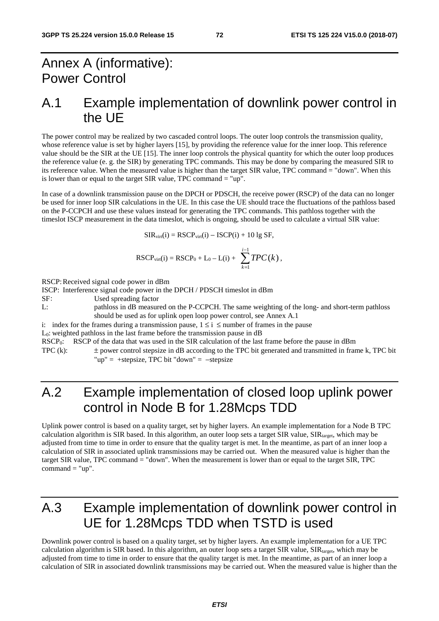# Annex A (informative): Power Control

### A.1 Example implementation of downlink power control in the UE

The power control may be realized by two cascaded control loops. The outer loop controls the transmission quality, whose reference value is set by higher layers [15], by providing the reference value for the inner loop. This reference value should be the SIR at the UE [15]. The inner loop controls the physical quantity for which the outer loop produces the reference value (e. g. the SIR) by generating TPC commands. This may be done by comparing the measured SIR to its reference value. When the measured value is higher than the target SIR value, TPC command = "down". When this is lower than or equal to the target SIR value, TPC command  $=$  "up".

In case of a downlink transmission pause on the DPCH or PDSCH, the receive power (RSCP) of the data can no longer be used for inner loop SIR calculations in the UE. In this case the UE should trace the fluctuations of the pathloss based on the P-CCPCH and use these values instead for generating the TPC commands. This pathloss together with the timeslot ISCP measurement in the data timeslot, which is ongoing, should be used to calculate a virtual SIR value:

$$
SIR_{virt}(i) = RSCP_{virt}(i) - ISCP(i) + 10
$$
lg SF,

$$
RSCP_{\text{virt}}(i) = RSCP_0 + L_0 - L(i) + \sum_{k=1}^{i-1} TPC(k),
$$

RSCP: Received signal code power in dBm

ISCP: Interference signal code power in the DPCH / PDSCH timeslot in dBm

SF: Used spreading factor<br>L: bathloss in dB measur

pathloss in dB measured on the P-CCPCH. The same weighting of the long- and short-term pathloss should be used as for uplink open loop power control, see Annex A.1

i: index for the frames during a transmission pause,  $1 \le i \le$  number of frames in the pause

L0: weighted pathloss in the last frame before the transmission pause in dB

RSCP<sub>0</sub>: RSCP of the data that was used in the SIR calculation of the last frame before the pause in dBm

TPC (k): ± power control stepsize in dB according to the TPC bit generated and transmitted in frame k, TPC bit "up" = +stepsize, TPC bit "down" =  $-$ stepsize

# A.2 Example implementation of closed loop uplink power control in Node B for 1.28Mcps TDD

Uplink power control is based on a quality target, set by higher layers. An example implementation for a Node B TPC calculation algorithm is SIR based. In this algorithm, an outer loop sets a target SIR value,  $\text{SIR}_{\text{target}}$ , which may be adjusted from time to time in order to ensure that the quality target is met. In the meantime, as part of an inner loop a calculation of SIR in associated uplink transmissions may be carried out. When the measured value is higher than the target SIR value, TPC command = "down". When the measurement is lower than or equal to the target SIR, TPC command  $=$  "up".

# A.3 Example implementation of downlink power control in UE for 1.28Mcps TDD when TSTD is used

Downlink power control is based on a quality target, set by higher layers. An example implementation for a UE TPC calculation algorithm is SIR based. In this algorithm, an outer loop sets a target SIR value,  $\text{SIR}_{\text{target}}$ , which may be adjusted from time to time in order to ensure that the quality target is met. In the meantime, as part of an inner loop a calculation of SIR in associated downlink transmissions may be carried out. When the measured value is higher than the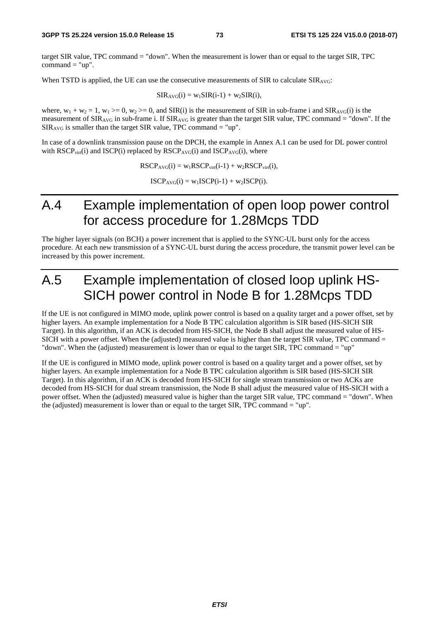target SIR value, TPC command = "down". When the measurement is lower than or equal to the target SIR, TPC command  $=$  "up".

When TSTD is applied, the UE can use the consecutive measurements of SIR to calculate  $\text{SIR}_{\text{AVG}}$ :

 $SIR_{AVG}(i) = w_1SIR(i-1) + w_2SIR(i),$ 

where,  $w_1 + w_2 = 1$ ,  $w_1 \ge 0$ ,  $w_2 \ge 0$ , and SIR(i) is the measurement of SIR in sub-frame i and SIR<sub>AVG</sub>(i) is the measurement of  $SIR_{AVG}$  in sub-frame i. If  $SIR_{AVG}$  is greater than the target SIR value, TPC command = "down". If the  $SIR_{AVG}$  is smaller than the target SIR value, TPC command = "up".

In case of a downlink transmission pause on the DPCH, the example in Annex A.1 can be used for DL power control with  $\text{RSCP}_{\text{virt}}(i)$  and  $\text{ISCP}(i)$  replaced by  $\text{RSCP}_{\text{AVG}}(i)$  and  $\text{ISCP}_{\text{AVG}}(i)$ , where

 $RSCP_{AVG}(i) = w_1RSCP_{virt}(i-1) + w_2RSCP_{virt}(i),$ 

 $ISCP<sub>AVG</sub>(i) = w<sub>1</sub>ISCP(i-1) + w<sub>2</sub>ISCP(i).$ 

## A.4 Example implementation of open loop power control for access procedure for 1.28Mcps TDD

The higher layer signals (on BCH) a power increment that is applied to the SYNC-UL burst only for the access procedure. At each new transmission of a SYNC-UL burst during the access procedure, the transmit power level can be increased by this power increment.

# A.5 Example implementation of closed loop uplink HS-SICH power control in Node B for 1.28Mcps TDD

If the UE is not configured in MIMO mode, uplink power control is based on a quality target and a power offset, set by higher layers. An example implementation for a Node B TPC calculation algorithm is SIR based (HS-SICH SIR Target). In this algorithm, if an ACK is decoded from HS-SICH, the Node B shall adjust the measured value of HS-SICH with a power offset. When the (adjusted) measured value is higher than the target SIR value, TPC command = "down". When the (adjusted) measurement is lower than or equal to the target SIR, TPC command = "up"

If the UE is configured in MIMO mode, uplink power control is based on a quality target and a power offset, set by higher layers. An example implementation for a Node B TPC calculation algorithm is SIR based (HS-SICH SIR Target). In this algorithm, if an ACK is decoded from HS-SICH for single stream transmission or two ACKs are decoded from HS-SICH for dual stream transmission, the Node B shall adjust the measured value of HS-SICH with a power offset. When the (adjusted) measured value is higher than the target SIR value, TPC command = "down". When the (adjusted) measurement is lower than or equal to the target SIR, TPC command = "up".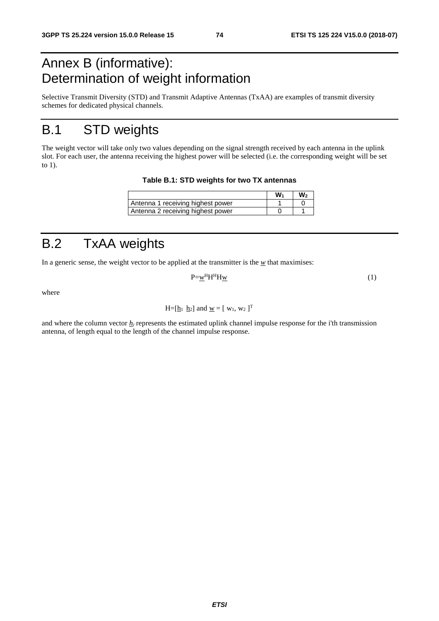# Annex B (informative): Determination of weight information

Selective Transmit Diversity (STD) and Transmit Adaptive Antennas (TxAA) are examples of transmit diversity schemes for dedicated physical channels.

# B.1 STD weights

The weight vector will take only two values depending on the signal strength received by each antenna in the uplink slot. For each user, the antenna receiving the highest power will be selected (i.e. the corresponding weight will be set to 1).

**Table B.1: STD weights for two TX antennas** 

|                                   | w. | w۰ |
|-----------------------------------|----|----|
| Antenna 1 receiving highest power |    |    |
| Antenna 2 receiving highest power |    |    |

# B.2 TxAA weights

In a generic sense, the weight vector to be applied at the transmitter is the  $w$  that maximises:

$$
P=\underline{w}^H H^H H \underline{w} \tag{1}
$$

where

$$
H=[\underline{h}_1 \ \underline{h}_2]
$$
 and  $\underline{w}=[w_1, w_2]^T$ 

and where the column vector  $h_i$  represents the estimated uplink channel impulse response for the i'th transmission antenna, of length equal to the length of the channel impulse response.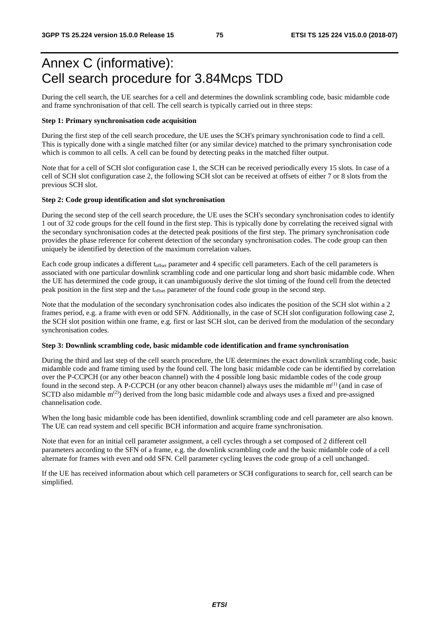# Annex C (informative): Cell search procedure for 3.84Mcps TDD

During the cell search, the UE searches for a cell and determines the downlink scrambling code, basic midamble code and frame synchronisation of that cell. The cell search is typically carried out in three steps:

### **Step 1: Primary synchronisation code acquisition**

During the first step of the cell search procedure, the UE uses the SCH's primary synchronisation code to find a cell. This is typically done with a single matched filter (or any similar device) matched to the primary synchronisation code which is common to all cells. A cell can be found by detecting peaks in the matched filter output.

Note that for a cell of SCH slot configuration case 1, the SCH can be received periodically every 15 slots. In case of a cell of SCH slot configuration case 2, the following SCH slot can be received at offsets of either 7 or 8 slots from the previous SCH slot.

### **Step 2: Code group identification and slot synchronisation**

During the second step of the cell search procedure, the UE uses the SCH's secondary synchronisation codes to identify 1 out of 32 code groups for the cell found in the first step. This is typically done by correlating the received signal with the secondary synchronisation codes at the detected peak positions of the first step. The primary synchronisation code provides the phase reference for coherent detection of the secondary synchronisation codes. The code group can then uniquely be identified by detection of the maximum correlation values.

Each code group indicates a different toffset parameter and 4 specific cell parameters. Each of the cell parameters is associated with one particular downlink scrambling code and one particular long and short basic midamble code. When the UE has determined the code group, it can unambiguously derive the slot timing of the found cell from the detected peak position in the first step and the toffset parameter of the found code group in the second step.

Note that the modulation of the secondary synchronisation codes also indicates the position of the SCH slot within a 2 frames period, e.g. a frame with even or odd SFN. Additionally, in the case of SCH slot configuration following case 2, the SCH slot position within one frame, e.g. first or last SCH slot, can be derived from the modulation of the secondary synchronisation codes.

### **Step 3: Downlink scrambling code, basic midamble code identification and frame synchronisation**

During the third and last step of the cell search procedure, the UE determines the exact downlink scrambling code, basic midamble code and frame timing used by the found cell. The long basic midamble code can be identified by correlation over the P-CCPCH (or any other beacon channel) with the 4 possible long basic midamble codes of the code group found in the second step. A P-CCPCH (or any other beacon channel) always uses the midamble  $m^{(1)}$  (and in case of SCTD also midamble  $m^{(2)}$ ) derived from the long basic midamble code and always uses a fixed and pre-assigned channelisation code.

When the long basic midamble code has been identified, downlink scrambling code and cell parameter are also known. The UE can read system and cell specific BCH information and acquire frame synchronisation.

Note that even for an initial cell parameter assignment, a cell cycles through a set composed of 2 different cell parameters according to the SFN of a frame, e.g. the downlink scrambling code and the basic midamble code of a cell alternate for frames with even and odd SFN. Cell parameter cycling leaves the code group of a cell unchanged.

If the UE has received information about which cell parameters or SCH configurations to search for, cell search can be simplified.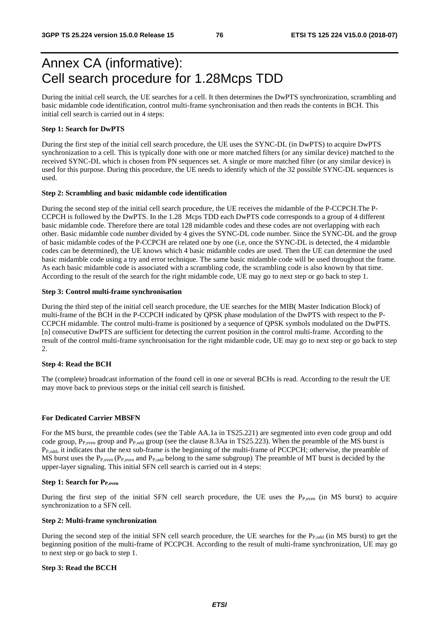# Annex CA (informative): Cell search procedure for 1.28Mcps TDD

During the initial cell search, the UE searches for a cell. It then determines the DwPTS synchronization, scrambling and basic midamble code identification, control multi-frame synchronisation and then reads the contents in BCH. This initial cell search is carried out in 4 steps:

### **Step 1: Search for DwPTS**

During the first step of the initial cell search procedure, the UE uses the SYNC-DL (in DwPTS) to acquire DwPTS synchronization to a cell. This is typically done with one or more matched filters (or any similar device) matched to the received SYNC-DL which is chosen from PN sequences set. A single or more matched filter (or any similar device) is used for this purpose. During this procedure, the UE needs to identify which of the 32 possible SYNC-DL sequences is used.

#### **Step 2: Scrambling and basic midamble code identification**

During the second step of the initial cell search procedure, the UE receives the midamble of the P-CCPCH.The P-CCPCH is followed by the DwPTS. In the 1.28 Mcps TDD each DwPTS code corresponds to a group of 4 different basic midamble code. Therefore there are total 128 midamble codes and these codes are not overlapping with each other. Basic midamble code number divided by 4 gives the SYNC-DL code number. Since the SYNC-DL and the group of basic midamble codes of the P-CCPCH are related one by one (i.e, once the SYNC-DL is detected, the 4 midamble codes can be determined), the UE knows which 4 basic midamble codes are used. Then the UE can determine the used basic midamble code using a try and error technique. The same basic midamble code will be used throughout the frame. As each basic midamble code is associated with a scrambling code, the scrambling code is also known by that time. According to the result of the search for the right midamble code, UE may go to next step or go back to step 1.

### **Step 3: Control multi-frame synchronisation**

During the third step of the initial cell search procedure, the UE searches for the MIB( Master Indication Block) of multi-frame of the BCH in the P-CCPCH indicated by QPSK phase modulation of the DwPTS with respect to the P-CCPCH midamble. The control multi-frame is positioned by a sequence of QPSK symbols modulated on the DwPTS. [n] consecutive DwPTS are sufficient for detecting the current position in the control multi-frame. According to the result of the control multi-frame synchronisation for the right midamble code, UE may go to next step or go back to step 2.

### **Step 4: Read the BCH**

The (complete) broadcast information of the found cell in one or several BCHs is read. According to the result the UE may move back to previous steps or the initial cell search is finished.

### **For Dedicated Carrier MBSFN**

For the MS burst, the preamble codes (see the Table AA.1a in TS25.221) are segmented into even code group and odd code group, P<sub>P,even</sub> group and P<sub>P,odd</sub> group (see the clause 8.3Aa in TS25.223). When the preamble of the MS burst is PP,odd, it indicates that the next sub-frame is the beginning of the multi-frame of PCCPCH; otherwise, the preamble of MS burst uses the  $P_{P,even}$  ( $P_{P,even}$  and  $P_{P,odd}$  belong to the same subgroup). The preamble of MT burst is decided by the upper-layer signaling. This initial SFN cell search is carried out in 4 steps:

### **Step 1: Search for PP,even**

During the first step of the initial SFN cell search procedure, the UE uses the  $P_{P,even}$  (in MS burst) to acquire synchronization to a SFN cell.

### **Step 2: Multi-frame synchronization**

During the second step of the initial SFN cell search procedure, the UE searches for the P<sub>P,odd</sub> (in MS burst) to get the beginning position of the multi-frame of PCCPCH. According to the result of multi-frame synchronization, UE may go to next step or go back to step 1.

### **Step 3: Read the BCCH**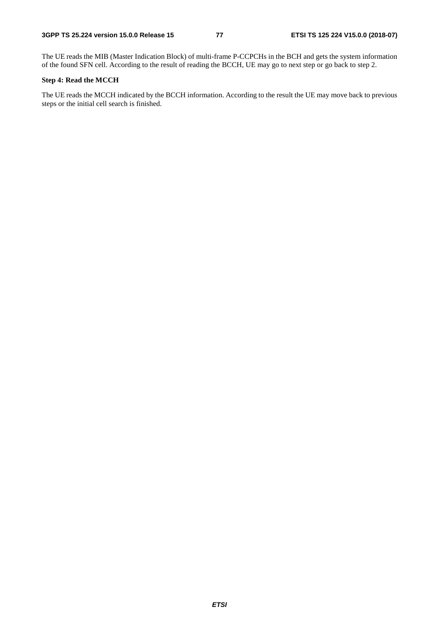The UE reads the MIB (Master Indication Block) of multi-frame P-CCPCHs in the BCH and gets the system information of the found SFN cell. According to the result of reading the BCCH, UE may go to next step or go back to step 2.

### **Step 4: Read the MCCH**

The UE reads the MCCH indicated by the BCCH information. According to the result the UE may move back to previous steps or the initial cell search is finished.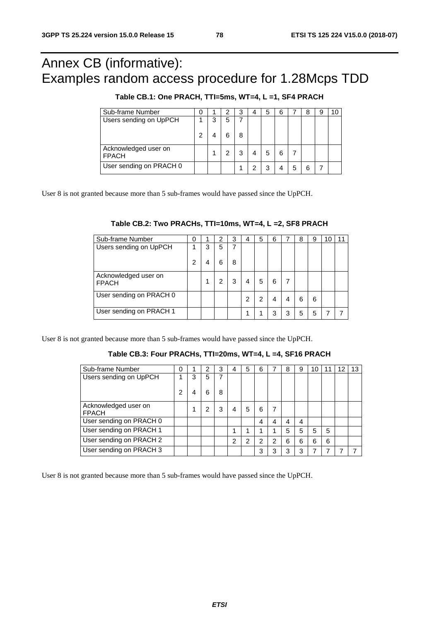# Annex CB (informative): Examples random access procedure for 1.28Mcps TDD

| Sub-frame Number                     | O |   | З | 4 | 5 | 6 |   | 8 | 9 |  |
|--------------------------------------|---|---|---|---|---|---|---|---|---|--|
| Users sending on UpPCH               |   | 5 |   |   |   |   |   |   |   |  |
|                                      |   |   | 8 |   |   |   |   |   |   |  |
| Acknowledged user on<br><b>FPACH</b> |   |   | 3 |   | 5 | 6 |   |   |   |  |
| User sending on PRACH 0              |   |   |   |   | 3 |   | 5 |   |   |  |

User 8 is not granted because more than 5 sub-frames would have passed since the UpPCH.

| Sub-frame Number                     | 0 |   | 2 | 3 | 4 | 5 | 6 |   | 8 | 9 |  |
|--------------------------------------|---|---|---|---|---|---|---|---|---|---|--|
| Users sending on UpPCH               |   | 3 | 5 |   |   |   |   |   |   |   |  |
|                                      | 2 |   |   | 8 |   |   |   |   |   |   |  |
| Acknowledged user on<br><b>FPACH</b> |   |   |   |   |   | 5 | 6 |   |   |   |  |
| User sending on PRACH 0              |   |   |   |   | 2 |   |   |   | 6 | 6 |  |
| User sending on PRACH 1              |   |   |   |   |   |   | っ | 3 | 5 | 5 |  |

User 8 is not granted because more than 5 sub-frames would have passed since the UpPCH.

### **Table CB.3: Four PRACHs, TTI=20ms, WT=4, L =4, SF16 PRACH**

| Sub-frame Number                     | 0 |   | 2 | 3 | 4 | 5              | 6 |               | 8 | 9 | 10 |   | 12 | 13 |
|--------------------------------------|---|---|---|---|---|----------------|---|---------------|---|---|----|---|----|----|
| Users sending on UpPCH               |   | 3 | 5 |   |   |                |   |               |   |   |    |   |    |    |
|                                      | 2 | 4 | 6 | 8 |   |                |   |               |   |   |    |   |    |    |
| Acknowledged user on<br><b>FPACH</b> |   |   |   | 3 | 4 | 5              | 6 |               |   |   |    |   |    |    |
| User sending on PRACH 0              |   |   |   |   |   |                | 4 | 4             |   | 4 |    |   |    |    |
| User sending on PRACH 1              |   |   |   |   |   |                | 4 |               | 5 | 5 | 5  | 5 |    |    |
| User sending on PRACH 2              |   |   |   |   | っ | $\overline{2}$ | 2 | $\mathcal{P}$ | 6 | 6 | 6  | 6 |    |    |
| User sending on PRACH 3              |   |   |   |   |   |                | 3 | 3             | વ | 3 | 7  |   |    |    |

User 8 is not granted because more than 5 sub-frames would have passed since the UpPCH.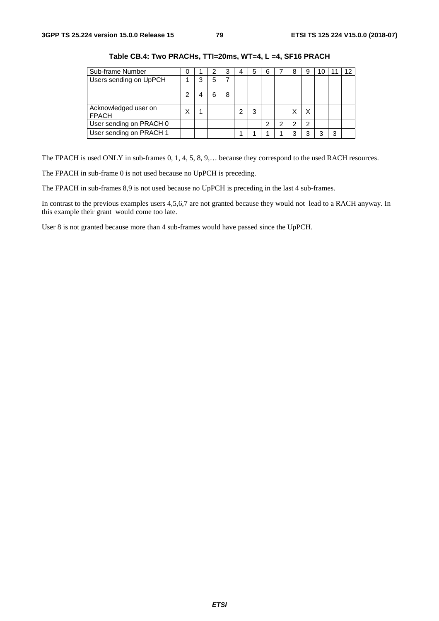| Sub-frame Number                     | O |   |   | 3 | 4 | 5 | 6 |   | 8 |   |   | 12 |
|--------------------------------------|---|---|---|---|---|---|---|---|---|---|---|----|
| Users sending on UpPCH               |   | 3 | 5 |   |   |   |   |   |   |   |   |    |
|                                      | 2 |   |   | 8 |   |   |   |   |   |   |   |    |
| Acknowledged user on<br><b>FPACH</b> | Χ |   |   |   |   | 3 |   |   |   |   |   |    |
| User sending on PRACH 0              |   |   |   |   |   |   | 2 | ົ | ົ | 2 |   |    |
| User sending on PRACH 1              |   |   |   |   |   |   |   |   |   |   | 3 |    |

**Table CB.4: Two PRACHs, TTI=20ms, WT=4, L =4, SF16 PRACH** 

The FPACH is used ONLY in sub-frames 0, 1, 4, 5, 8, 9,… because they correspond to the used RACH resources.

The FPACH in sub-frame 0 is not used because no UpPCH is preceding.

The FPACH in sub-frames 8,9 is not used because no UpPCH is preceding in the last 4 sub-frames.

In contrast to the previous examples users 4,5,6,7 are not granted because they would not lead to a RACH anyway. In this example their grant would come too late.

User 8 is not granted because more than 4 sub-frames would have passed since the UpPCH.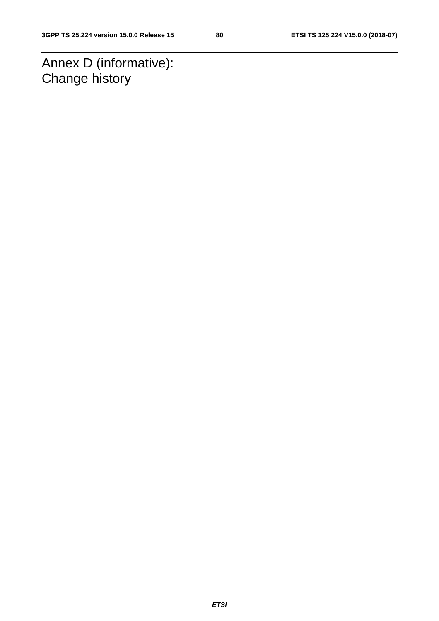Annex D (informative): Change history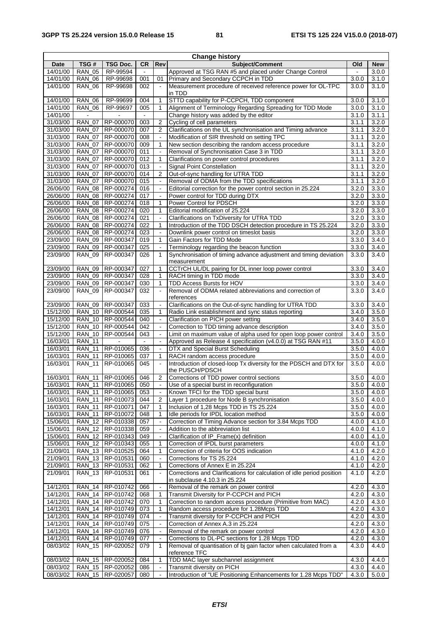| <b>Change history</b> |                                |                                          |                             |                                              |                                                                                                        |                |                |
|-----------------------|--------------------------------|------------------------------------------|-----------------------------|----------------------------------------------|--------------------------------------------------------------------------------------------------------|----------------|----------------|
| Date                  | TSG#                           | <b>TSG Doc.</b>                          | <b>CR</b>                   | Rev                                          | Subject/Comment                                                                                        | Old            | <b>New</b>     |
| 14/01/00              | <b>RAN 05</b>                  | RP-99594                                 | $\blacksquare$              |                                              | Approved at TSG RAN #5 and placed under Change Control                                                 | $\blacksquare$ | 3.0.0          |
| 14/01/00              | <b>RAN_06</b>                  | RP-99698                                 | 001                         | 01                                           | Primary and Secondary CCPCH in TDD                                                                     | 3.0.0          | 3.1.0          |
| 14/01/00              | <b>RAN_06</b>                  | RP-99698                                 | 002                         |                                              | Measurement procedure of received reference power for OL-TPC<br>in TDD                                 | 3.0.0          | 3.1.0          |
| 14/01/00              | <b>RAN 06</b>                  | RP-99699                                 | 004                         | 1                                            | STTD capability for P-CCPCH, TDD component                                                             | 3.0.0          | 3.1.0          |
| 14/01/00              | <b>RAN_06</b>                  | RP-99697                                 | 005                         | 1                                            | Alignment of Terminology Regarding Spreading for TDD Mode                                              | 3.0.0          | 3.1.0          |
| 14/01/00              |                                |                                          |                             |                                              | Change history was added by the editor                                                                 | 3.1.0          | 3.1.1          |
| 31/03/00              | <b>RAN_07</b>                  | RP-000070                                | 003                         | $\overline{2}$                               | Cycling of cell parameters                                                                             | 3.1.1          | 3.2.0          |
| 31/03/00              | <b>RAN 07</b>                  | RP-000070                                | 007                         | $\overline{2}$                               | Clarifications on the UL synchronisation and Timing advance                                            | 3.1.1          | 3.2.0          |
| 31/03/00              | <b>RAN 07</b>                  | RP-000070                                | 008                         | $\Box$                                       | Modification of SIR threshold on setting TPC                                                           | 3.1.1          | 3.2.0          |
| 31/03/00              | <b>RAN_07</b>                  | RP-000070                                | 009                         | 1                                            | New section describing the random access procedure                                                     | 3.1.1          | 3.2.0          |
| 31/03/00              | <b>RAN 07</b>                  | RP-000070                                | 011                         | $\ddot{\phantom{a}}$                         | Removal of Synchronisation Case 3 in TDD                                                               | 3.1.1          | 3.2.0          |
| 31/03/00              | <b>RAN_07</b>                  | RP-000070                                | 012                         | 1                                            | Clarifications on power control procedures                                                             | 3.1.1          | 3.2.0          |
| 31/03/00              | <b>RAN_07</b>                  | RP-000070                                | 013                         | $\ddot{\phantom{a}}$                         | <b>Signal Point Constellation</b>                                                                      | 3.1.1          | 3.2.0          |
| 31/03/00              | <b>RAN 07</b>                  | RP-000070                                | 014                         | $\overline{2}$                               | Out-of-sync handling for UTRA TDD                                                                      | 3.1.1          | 3.2.0          |
| 31/03/00              | <b>RAN_07</b>                  | RP-000070                                | 015                         | $\blacksquare$                               | Removal of ODMA from the TDD specifications                                                            | 3.1.1          | 3.2.0          |
| 26/06/00              | <b>RAN_08</b>                  | RP-000274                                | 016                         | $\ddot{\phantom{1}}$<br>$\ddot{\phantom{a}}$ | Editorial correction for the power control section in 25.224                                           | 3.2.0          | 3.3.0          |
| 26/06/00<br>26/06/00  | <b>RAN_08</b><br><b>RAN_08</b> | RP-000274<br>RP-000274                   | 017<br>018                  | 1                                            | Power control for TDD during DTX<br>Power Control for PDSCH                                            | 3.2.0<br>3.2.0 | 3.3.0<br>3.3.0 |
| 26/06/00              | <b>RAN_08</b>                  | RP-000274                                | 020                         | 1                                            | Editorial modification of 25.224                                                                       | 3.2.0          | 3.3.0          |
| 26/06/00              | <b>RAN 08</b>                  | RP-000274                                | 021                         | $\ddot{\phantom{a}}$                         | Clarifications on TxDiversity for UTRA TDD                                                             | 3.2.0          | 3.3.0          |
| 26/06/00              | <b>RAN_08</b>                  | RP-000274                                | 022                         | 1                                            | Introduction of the TDD DSCH detection procedure in TS 25.224                                          | 3.2.0          | 3.3.0          |
| 26/06/00              | <b>RAN_08</b>                  | RP-000274                                | 023                         | $\blacksquare$                               | Downlink power control on timeslot basis                                                               | 3.2.0          | 3.3.0          |
| 23/09/00              | <b>RAN 09</b>                  | RP-000347                                | 019                         | $\mathbf{1}$                                 | Gain Factors for TDD Mode                                                                              | 3.3.0          | 3.4.0          |
| 23/09/00              | <b>RAN_09</b>                  | RP-000347                                | 025                         | $\Box$                                       | Terminology regarding the beacon function                                                              | 3.3.0          | 3.4.0          |
| 23/09/00              | <b>RAN_09</b>                  | RP-000347                                | 026                         | 1                                            | Synchronisation of timing advance adjustment and timing deviation                                      | 3.3.0          | 3.4.0          |
|                       |                                |                                          |                             |                                              | measurement                                                                                            |                |                |
| 23/09/00              | <b>RAN_09</b>                  | RP-000347                                | 027                         | 1                                            | CCTrCH UL/DL pairing for DL inner loop power control                                                   | 3.3.0          | 3.4.0          |
| 23/09/00              | <b>RAN 09</b>                  | RP-000347                                | 028                         | $\mathbf{1}$                                 | RACH timing in TDD mode                                                                                | 3.3.0          | 3.4.0          |
| 23/09/00              | <b>RAN_09</b>                  | RP-000347                                | 030                         | 1                                            | TDD Access Bursts for HOV                                                                              | 3.3.0          | 3.4.0          |
| 23/09/00              | <b>RAN_09</b>                  | RP-000347                                | 032                         |                                              | Removal of ODMA related abbreviations and correction of                                                | 3.3.0          | 3.4.0          |
| 23/09/00              | <b>RAN_09</b>                  | RP-000347                                | 033                         | $\blacksquare$                               | references<br>Clarifications on the Out-of-sync handling for UTRA TDD                                  | 3.3.0          | 3.4.0          |
| 15/12/00              | <b>RAN 10</b>                  | RP-000544                                | 035                         | 1                                            | Radio Link establishment and sync status reporting                                                     | 3.4.0          | 3.5.0          |
| 15/12/00              | <b>RAN 10</b>                  | RP-000544                                | 040                         | $\Box$                                       | Clarification on PICH power setting                                                                    | 3.4.0          | 3.5.0          |
| 15/12/00              | <b>RAN_10</b>                  | RP-000544                                | 042                         | $\blacksquare$                               | Correction to TDD timing advance description                                                           | 3.4.0          | 3.5.0          |
| 15/12/00              | <b>RAN 10</b>                  | RP-000544                                | 043                         | $\blacksquare$                               | Limit on maximum value of alpha used for open loop power control                                       | 3.4.0          | 3.5.0          |
| 16/03/01              | $RAN_11$                       |                                          | $\mathcal{L}_{\mathcal{A}}$ | $\blacksquare$                               | Approved as Release 4 specification (v4.0.0) at TSG RAN #11                                            | 3.5.0          | 4.0.0          |
| 16/03/01              | <b>RAN_11</b>                  | RP-010065                                | 036                         | $\Box$                                       | DTX and Special Burst Scheduling                                                                       | 3.5.0          | 4.0.0          |
| 16/03/01              | <b>RAN 11</b>                  | RP-010065                                | 037                         | 1                                            | RACH random access procedure                                                                           | 3.5.0          | 4.0.0          |
| 16/03/01              | <b>RAN_11</b>                  | RP-010065                                | 045                         |                                              | Introduction of closed-loop Tx diversity for the PDSCH and DTX for                                     | 3.5.0          | 4.0.0          |
|                       |                                |                                          |                             |                                              | the PUSCH/PDSCH                                                                                        |                |                |
| 16/03/01              | <b>RAN_11</b>                  | RP-010065                                | 046                         | $\overline{2}$                               | Corrections of TDD power control sections                                                              | 3.5.0          | 4.0.0          |
| 16/03/01              |                                | RAN_11   RP-010065                       | 050                         |                                              | Use of a special burst in reconfiguration                                                              | 3.5.0          | 4.0.0          |
| 16/03/01              | <b>RAN_11</b>                  | RP-010065                                | 053                         |                                              | Known TFCI for the TDD special burst                                                                   | 3.5.0          | 4.0.0          |
| 16/03/01              | <b>RAN_11</b>                  | RP-010073                                | 044                         | $\overline{2}$                               | Layer 1 procedure for Node B synchronisation                                                           | 3.5.0          | 4.0.0          |
| 16/03/01<br>16/03/01  | <b>RAN_11</b><br><b>RAN_11</b> | RP-010071<br>RP-010072                   | 047<br>048                  | 1<br>1                                       | Inclusion of 1,28 Mcps TDD in TS 25.224<br>Idle periods for IPDL location method                       | 3.5.0<br>3.5.0 | 4.0.0<br>4.0.0 |
| 15/06/01              | <b>RAN_12</b>                  | RP-010338                                | 057                         | $\Box$                                       | Correction of Timing Advance section for 3.84 Mcps TDD                                                 | 4.0.0          | 4.1.0          |
| 15/06/01              | <b>RAN_12</b>                  | RP-010338                                | 059                         | $\qquad \qquad \blacksquare$                 | Addition to the abbreviation list                                                                      | 4.0.0          | 4.1.0          |
| 15/06/01              | <b>RAN_12</b>                  | RP-010343                                | 049                         |                                              | Clarification of IP_Frame(x) definition                                                                | 4.0.0          | 4.1.0          |
| 15/06/01              |                                | RAN_12   RP-010343                       | 055                         | $\mathbf{1}$                                 | Correction of IPDL burst parameters                                                                    | 4.0.0          | 4.1.0          |
| 21/09/01              | <b>RAN_13</b>                  | RP-010525                                | 064                         | 1                                            | Correction of criteria for OOS indication                                                              | 4.1.0          | 4.2.0          |
| 21/09/01              |                                | RAN_13 RP-010531                         | 060                         |                                              | Corrections for TS 25.224                                                                              | 4.1.0          | 4.2.0          |
| 21/09/01              |                                | RAN_13  RP-010531                        | 062                         | $\mathbf{1}$                                 | Corrections of Annex E in 25.224                                                                       | 4.1.0          | 4.2.0          |
| 21/09/01              | <b>RAN_13</b>                  | RP-010531                                | 061                         |                                              | Corrections and Clarifications for calculation of idle period position                                 | 4.1.0          | 4.2.0          |
|                       |                                |                                          |                             |                                              | in subclause 4.10.3 in 25.224                                                                          |                |                |
| 14/12/01              | <b>RAN_14</b>                  | RP-010742                                | 066                         | $\ddot{\phantom{1}}$                         | Removal of the remark on power control                                                                 | 4.2.0          | 4.3.0          |
| 14/12/01              |                                | RAN_14 RP-010742                         | 068                         | $\mathbf{1}$                                 | Transmit Diversity for P-CCPCH and PICH                                                                | 4.2.0          | 4.3.0          |
| 14/12/01<br>14/12/01  |                                | RAN_14   RP-010742<br>RAN_14   RP-010749 | 070<br>073                  | 1<br>1                                       | Correction to random access procedure (Primitive from MAC)<br>Random access procedure for 1.28Mcps TDD | 4.2.0<br>4.2.0 | 4.3.0<br>4.3.0 |
| 14/12/01              | <b>RAN_14</b>                  | RP-010749                                | 074                         | $\blacksquare$                               | Transmit diversity for P-CCPCH and PICH                                                                | 4.2.0          | 4.3.0          |
| 14/12/01              | <b>RAN_14</b>                  | RP-010749                                | 075                         | $\ddot{\phantom{1}}$                         | Correction of Annex A.3 in 25.224                                                                      | 4.2.0          | 4.3.0          |
| 14/12/01              |                                | RAN_14   RP-010749                       | 076                         | $\Box$                                       | Removal of the remark on power control                                                                 | 4.2.0          | 4.3.0          |
| 14/12/01              | <b>RAN_14</b>                  | RP-010749                                | 077                         | $\blacksquare$                               | Corrections to DL-PC sections for 1.28 Mcps TDD                                                        | 4.2.0          | 4.3.0          |
| 08/03/02              | <b>RAN_15</b>                  | RP-020052                                | 079                         | 1                                            | Removal of quantisation of bj gain factor when calculated from a                                       | 4.3.0          | 4.4.0          |
|                       |                                |                                          |                             |                                              | reference TFC                                                                                          |                |                |
| 08/03/02              |                                | RAN_15  RP-020052                        | 084                         | 1                                            | TDD MAC layer subchannel assignment                                                                    | 4.3.0          | 4.4.0          |
| 08/03/02              |                                | RAN_15 RP-020052                         | 086                         | $\Box$                                       | Transmit diversity on PICH                                                                             | 4.3.0          | 4.4.0          |
| 08/03/02              |                                | RAN_15  RP-020057                        | 080                         | $\blacksquare$                               | Introduction of "UE Positioning Enhancements for 1.28 Mcps TDD"                                        | 4.3.0          | 5.0.0          |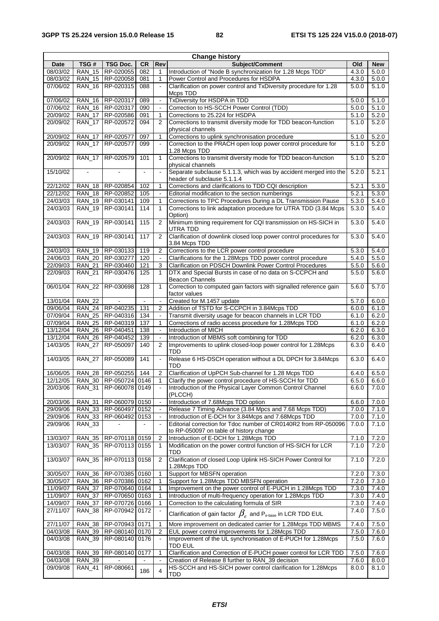| <b>Change history</b> |                                |                                  |           |                          |                                                                                                                        |                |                |
|-----------------------|--------------------------------|----------------------------------|-----------|--------------------------|------------------------------------------------------------------------------------------------------------------------|----------------|----------------|
| Date                  | TSG#                           | TSG Doc.                         | <b>CR</b> | Rev                      | Subject/Comment                                                                                                        | Old            | <b>New</b>     |
| 08/03/02              | <b>RAN 15</b>                  | RP-020055                        | 082       | 1                        | Introduction of "Node B synchronization for 1.28 Mcps TDD"                                                             | 4.3.0          | 5.0.0          |
| 08/03/02              | <b>RAN_15</b>                  | RP-020058                        | 081       | 1                        | Power Control and Procedures for HSDPA                                                                                 | 4.3.0          | 5.0.0          |
| 07/06/02              | <b>RAN_16</b>                  | RP-020315                        | 088       |                          | Clarification on power control and TxDiversity procedure for 1.28<br>Mcps TDD                                          | 5.0.0          | 5.1.0          |
| 07/06/02              | <b>RAN 16</b>                  | RP-020317                        | 089       | $\blacksquare$           | TxDiversity for HSDPA in TDD                                                                                           | 5.0.0          | 5.1.0          |
| 07/06/02              |                                | RAN 16 RP-020317                 | 090       | $\Box$                   | Correction to HS-SCCH Power Control (TDD)                                                                              | 5.0.0          | 5.1.0          |
| 20/09/02              | $RAN_17$                       | RP-020586                        | 091       | 1                        | Corrections to 25.224 for HSDPA                                                                                        | 5.1.0          | 5.2.0          |
| 20/09/02              | <b>RAN 17</b>                  | RP-020572                        | 094       | 2                        | Corrections to transmit diversity mode for TDD beacon-function<br>physical channels                                    | 5.1.0          | 5.2.0          |
| 20/09/02              | <b>RAN 17</b>                  | RP-020577                        | 097       | 1                        | Corrections to uplink synchronisation procedure                                                                        | 5.1.0          | 5.2.0          |
| 20/09/02              | <b>RAN 17</b>                  | RP-020577                        | 099       |                          | Correction to the PRACH open loop power control procedure for<br>1.28 Mcps TDD                                         | 5.1.0          | 5.2.0          |
| 20/09/02              | <b>RAN 17</b>                  | RP-020579                        | 101       | 1                        | Corrections to transmit diversity mode for TDD beacon-function<br>physical channels                                    | 5.1.0          | 5.2.0          |
| 15/10/02              |                                |                                  |           |                          | Separate subclause 5.1.1.3, which was by accident merged into the<br>header of subclause 5.1.1.4                       | 5.2.0          | 5.2.1          |
| 22/12/02              | <b>RAN 18</b>                  | RP-020854                        | 102       | 1                        | Corrections and clarifications to TDD CQI description                                                                  | 5.2.1          | 5.3.0          |
| 22/12/02              | <b>RAN 18</b>                  | RP-020852                        | 105       | $\sim$                   | Editorial modification to the section numberings                                                                       | 5.2.1          | 5.3.0          |
| 24/03/03              | <b>RAN 19</b>                  | RP-030141                        | 109       | 1                        | Corrections to TPC Procedures During a DL Transmission Pause                                                           | 5.3.0          | 5.4.0          |
| 24/03/03              | <b>RAN_19</b>                  | RP-030141                        | 114       | $\mathbf{1}$             | Corrections to link adaptation procedure for UTRA TDD (3.84 Mcps<br>Option)                                            | 5.3.0          | 5.4.0          |
| 24/03/03              | <b>RAN_19</b>                  | RP-030141                        | 115       | $\overline{2}$           | Minimum timing requirement for CQI transmission on HS-SICH in<br>UTRA TDD                                              | 5.3.0          | 5.4.0          |
| 24/03/03              | <b>RAN_19</b>                  | RP-030141                        | 117       | $\overline{2}$           | Clarification of downlink closed loop power control procedures for<br>3.84 Mcps TDD                                    | 5.3.0          | 5.4.0          |
| 24/03/03              |                                | RAN_19 RP-030133                 | 119       | $\overline{2}$           | Corrections to the LCR power control procedure                                                                         | 5.3.0          | 5.4.0          |
| 24/06/03              |                                | RAN 20 RP-030277                 | 120       | $\mathbb{Z}^2$           | Clarifications for the 1.28Mcps TDD power control procedure                                                            | 5.4.0          | 5.5.0          |
| 22/09/03              | <b>RAN_21</b>                  | RP-030460                        | 121       | 3                        | Clarification on PDSCH Downlink Power Control Procedures                                                               | 5.5.0          | 5.6.0          |
| 22/09/03              | <b>RAN 21</b>                  | RP-030476                        | 125       | $\mathbf{1}$             | DTX and Special Bursts in case of no data on S-CCPCH and<br><b>Beacon Channels</b>                                     | 5.5.0          | 5.6.0          |
| 06/01/04              | <b>RAN 22</b>                  | RP-030698                        | 128       | 1                        | Correction to computed gain factors with signalled reference gain<br>factor values                                     | 5.6.0          | 5.7.0          |
| 13/01/04              | <b>RAN 22</b>                  |                                  |           | $\blacksquare$           | Created for M.1457 update                                                                                              | 5.7.0          | 6.0.0          |
| 09/06/04              |                                | RAN_24 RP-040235                 | 131       | $\overline{2}$           | Addition of TSTD for S-CCPCH in 3.84Mcps TDD                                                                           | 6.0.0          | 6.1.0          |
| 07/09/04              | <b>RAN 25</b>                  | RP-040316                        | 134       | $\omega$                 | Transmit diversity usage for beacon channels in LCR TDD                                                                | 6.1.0          | 6.2.0          |
| 07/09/04              | $RAN_25$                       | RP-040319                        | 137       | 1                        | Corrections of radio access procedure for 1.28Mcps TDD                                                                 | 6.1.0          | 6.2.0          |
| 13/12/04              | <b>RAN_26</b>                  | RP-040451                        | 138       |                          | Introduction of MICH                                                                                                   | 6.2.0          | 6.3.0          |
| 13/12/04              | <b>RAN 26</b>                  | RP-040452                        | 139       | $\overline{\phantom{a}}$ | Introduction of MBMS soft combining for TDD                                                                            | 6.2.0          | 6.3.0          |
| 14/03/05              | <b>RAN_27</b>                  | RP-050097                        | 140       | 2                        | Improvements to uplink closed-loop power control for 1.28Mcps<br>TDD                                                   | 6.3.0          | 6.4.0          |
| 14/03/05              | <b>RAN_27</b>                  | RP-050089                        | 141       | $\ddot{\phantom{1}}$     | Release 6 HS-DSCH operation without a DL DPCH for 3.84Mcps<br>TDD                                                      | 6.3.0          | 6.4.0          |
| 16/06/05              |                                | RAN 28 RP-050255                 | 144       | $\overline{2}$           | Clarification of UpPCH Sub-channel for 1.28 Mcps TDD                                                                   | 6.4.0          | 6.5.0          |
| 12/12/05              |                                | RAN_30 RP-050724 0146            |           | 1                        | Clarify the power control procedure of HS-SCCH for TDD                                                                 | 6.5.0          | 6.6.0          |
| 20/03/06              | <b>RAN_31</b>                  | RP-060078 0149                   |           |                          | Introduction of the Physical Layer Common Control Channel<br>(PLCCH)                                                   | 6.6.0          | 7.0.0          |
| 20/03/06              | <b>RAN_31</b>                  | RP-060079 0150                   |           |                          | Introduction of 7.68Mcps TDD option                                                                                    | 6.6.0          | 7.0.0          |
| 29/09/06              | <b>RAN_33</b>                  | RP-060497 0152                   |           | $\blacksquare$           | Release 7 Timing Advance (3.84 Mpcs and 7.68 Mcps TDD)                                                                 | 7.0.0          | 7.1.0          |
| 29/09/06<br>29/09/06  | <b>RAN_33</b><br><b>RAN_33</b> | RP-060492 0153                   |           | $\overline{\phantom{a}}$ | Introduction of E-DCH for 3.84Mcps and 7.68Mcps TDD<br>Editorial correction for Tdoc number of CR0140R2 from RP-050096 | 7.0.0<br>7.0.0 | 7.1.0<br>7.1.0 |
|                       |                                |                                  |           |                          | to RP-050097 on table of history change                                                                                |                |                |
| 13/03/07              | <b>RAN_35</b>                  | RP-070118 0159                   |           | 2                        | Introduction of E-DCH for 1.28Mcps TDD                                                                                 | 7.1.0          | 7.2.0          |
| 13/03/07              | <b>RAN_35</b>                  | RP-070113 0155                   |           | 1                        | Modification on the power control function of HS-SICH for LCR<br>TDD                                                   | 7.1.0          | 7.2.0          |
| 13/03/07              | <b>RAN_35</b>                  | RP-070113 0158                   |           | 2                        | Clarification of closed Loop Uplink HS-SICH Power Control for<br>1.28Mcps TDD                                          | 7.1.0          | 7.2.0          |
| 30/05/07              | <b>RAN_36</b>                  | RP-070385 0160                   |           | 1                        | Support for MBSFN operation                                                                                            | 7.2.0          | 7.3.0          |
| 30/05/07              | RAN_36                         | RP-070386 0162                   |           | 1                        | Support for 1.28Mcps TDD MBSFN operation                                                                               | 7.2.0          | 7.3.0          |
| 11/09/07              | <b>RAN_37</b>                  | RP-070640 0164                   |           | 1                        | Improvement on the power control of E-PUCH in 1.28Mcps TDD                                                             | 7.3.0          | 7.4.0          |
| 11/09/07              | <b>RAN_37</b>                  | RP-070650 0163                   |           | 1<br>1                   | Introduction of multi-frequency operation for 1.28Mcps TDD<br>Correction to the calculating formula of SIR             | 7.3.0<br>7.3.0 | 7.4.0          |
| 14/09/07<br>27/11/07  | <b>RAN_37</b><br><b>RAN_38</b> | RP-070726 0166<br>RP-070942 0172 |           |                          | Clarification of gain factor $\,\beta_{_e}\,$ and P $_{\textrm{\tiny{e-base}}}$ in LCR TDD EUL                         | 7.4.0          | 7.4.0<br>7.5.0 |
| 27/11/07              | <b>RAN_38</b>                  | RP-070943 0171                   |           |                          | More improvement on dedicated carrier for 1.28Mcps TDD MBMS                                                            | 7.4.0          | 7.5.0          |
| 04/03/08              | <b>RAN_39</b>                  | RP-080140 0170                   |           | 1<br>2                   | EUL power control improvements for 1.28Mcps TDD                                                                        | 7.5.0          | 7.6.0          |
| 04/03/08              | <b>RAN_39</b>                  | RP-080140 0176                   |           | $\blacksquare$           | Improvement of the UL synchronisation of E-PUCH for 1.28Mcps<br><b>TDD EUL</b>                                         | 7.5.0          | 7.6.0          |
| 04/03/08              | <b>RAN_39</b>                  | RP-080140                        | 0177      | 1                        | Clarification and Correction of E-PUCH power control for LCR TDD                                                       | 7.5.0          | 7.6.0          |
| 04/03/08              | <b>RAN_39</b>                  |                                  |           |                          | Creation of Release 8 further to RAN_39 decision                                                                       | 7.6.0          | 8.0.0          |
| 09/09/08              | <b>RAN_41</b>                  | RP-080661                        | 186       | 4                        | HS-SCCH and HS-SICH power control clarification for 1.28Mcps<br>TDD                                                    | 8.0.0          | 8.1.0          |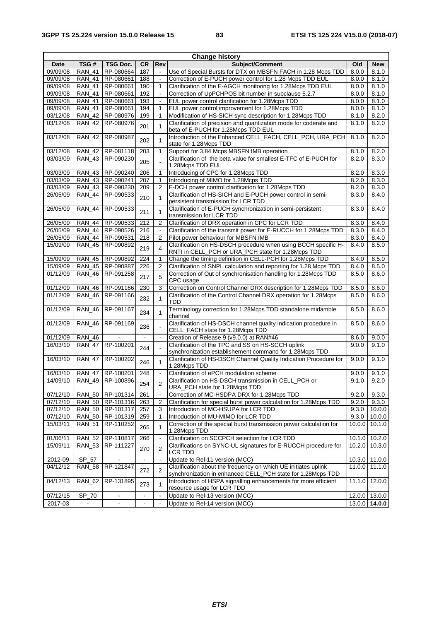|             | <b>Change history</b> |                    |                |                          |                                                                                                                      |        |               |  |  |  |
|-------------|-----------------------|--------------------|----------------|--------------------------|----------------------------------------------------------------------------------------------------------------------|--------|---------------|--|--|--|
| <b>Date</b> | TSG#                  | <b>TSG Doc.</b>    | <b>CR</b>      | Rev                      | Subject/Comment                                                                                                      | Old    | <b>New</b>    |  |  |  |
| 09/09/08    | <b>RAN 41</b>         | RP-080664          | 187            | $\overline{\phantom{a}}$ | Use of Special Bursts for DTX on MBSFN FACH in 1.28 Mcps TDD                                                         | 8.0.0  | 8.1.0         |  |  |  |
| 09/09/08    | <b>RAN 41</b>         | RP-080661          | 188            |                          | Correction of E-PUCH power control for 1.28 Mcps TDD EUL                                                             | 8.0.0  | 8.1.0         |  |  |  |
| 09/09/08    | <b>RAN 41</b>         | RP-080661          | 190            | 1                        | Clarification of the E-AGCH monitoring for 1.28Mcps TDD EUL                                                          | 8.0.0  | 8.1.0         |  |  |  |
| 09/09/08    | <b>RAN 41</b>         | RP-080661          | 192            | $\blacksquare$           | Correction of UpPCHPOS bit number in subclause 5.2.7                                                                 | 8.0.0  | 8.1.0         |  |  |  |
| 09/09/08    | <b>RAN_41</b>         | RP-080661          | 193            | $\blacksquare$           | EUL power control clarification for 1.28Mcps TDD                                                                     | 8.0.0  | 8.1.0         |  |  |  |
| 09/09/08    | <b>RAN 41</b>         | RP-080661          | 194            | 1                        | EUL power control improvement for 1.28Mcps TDD                                                                       | 8.0.0  | 8.1.0         |  |  |  |
| 03/12/08    | <b>RAN_42</b>         | RP-080976          | 199            | 1                        | Modification of HS-SICH sync description for 1.28Mcps TDD                                                            | 8.1.0  | 8.2.0         |  |  |  |
| 03/12/08    | <b>RAN_42</b>         | RP-080976          | 201            | 1                        | Clarification of precision and quantization mode for coderate and<br>beta of E-PUCH for 1.28Mcps TDD EUL             | 8.1.0  | 8.2.0         |  |  |  |
| 03/12/08    | <b>RAN_42</b>         | RP-080987          | 202            | 1                        | Introduction of the Enhanced CELL_FACH, CELL_PCH, URA_PCH<br>state for 1.28Mcps TDD                                  | 8.1.0  | 8.2.0         |  |  |  |
| 03/12/08    | <b>RAN_42</b>         | RP-081118          | 203            | $\mathbf{1}$             | Support for 3.84 Mcps MBSFN IMB operation                                                                            | 8.1.0  | 8.2.0         |  |  |  |
| 03/03/09    | <b>RAN 43</b>         | RP-090230          | 205            |                          | Clarification of the beta value for smallest E-TFC of E-PUCH for<br>1.28Mcps TDD EUL                                 | 8.2.0  | 8.3.0         |  |  |  |
| 03/03/09    | <b>RAN 43</b>         | RP-090240          | 206            | 1                        | Introducing of CPC for 1.28Mcps TDD                                                                                  | 8.2.0  | 8.3.0         |  |  |  |
| 03/03/09    | <b>RAN 43</b>         | RP-090241          | 207            | 1                        | Introducing of MIMO for 1.28Mcps TDD                                                                                 | 8.2.0  | 8.3.0         |  |  |  |
| 03/03/09    | <b>RAN 43</b>         | RP-090230          | 209            | 2                        | E-DCH power control clarification for 1.28Mcps TDD                                                                   | 8.2.0  | 8.3.0         |  |  |  |
| 26/05/09    | <b>RAN_44</b>         | RP-090533          | 210            | 1                        | Clarification of HS-SICH and E-PUCH power control in semi-<br>persistent transmission for LCR TDD                    | 8.3.0  | 8.4.0         |  |  |  |
| 26/05/09    | <b>RAN 44</b>         | RP-090533          | 211            | 1                        | Clarification of E-PUCH synchronization in semi-persistent<br>transmission for LCR TDD                               | 8.3.0  | 8.4.0         |  |  |  |
| 26/05/09    | <b>RAN_44</b>         | RP-090533          | 212            | 2                        | Clarification of DRX operation in CPC for LCR TDD                                                                    | 8.3.0  | 8.4.0         |  |  |  |
| 26/05/09    | <b>RAN 44</b>         | RP-090526          | 216            |                          | Clarification of the transmit power for E-RUCCH for 1.28Mcps TDD                                                     | 8.3.0  | 8.4.0         |  |  |  |
| 26/05/09    | <b>RAN 44</b>         | RP-090531          | 218            | 2                        | Pilot power behaviour for MBSFN IMB                                                                                  | 8.3.0  | 8.4.0         |  |  |  |
| 15/09/09    | <b>RAN 45</b>         | RP-090892          | 219            | 4                        | Clarification on HS-DSCH procedure when using BCCH specific H-<br>RNTI in CELL_PCH or URA_PCH state for 1.28Mcps TDD | 8.4.0  | 8.5.0         |  |  |  |
| 15/09/09    | <b>RAN_45</b>         | RP-090892          | 224            | 1                        | Change the timing definition in CELL-PCH for 1.28Mcps TDD                                                            | 8.4.0  | 8.5.0         |  |  |  |
| 15/09/09    | <b>RAN 45</b>         | RP-090887          | 226            | 2                        | Clarification of SNPL calculation and reporting for 1.28 Mcps TDD                                                    | 8.4.0  | 8.5.0         |  |  |  |
| 01/12/09    | <b>RAN_46</b>         | RP-091258          | 217            | 5                        | Correction of Out of synchronisation handling for 1.28Mcps TDD<br>CPC usage                                          | 8.5.0  | 8.6.0         |  |  |  |
| 01/12/09    | <b>RAN 46</b>         | RP-091166          | 230            | 3                        | Correction on Control Channel DRX description for 1.28Mcps TDD                                                       | 8.5.0  | 8.6.0         |  |  |  |
| 01/12/09    | <b>RAN_46</b>         | RP-091166          | 232            | 1                        | Clarification of the Control Channel DRX operation for 1.28Mcps<br>TDD                                               | 8.5.0  | 8.6.0         |  |  |  |
| 01/12/09    | <b>RAN_46</b>         | RP-091167          | 234            | 1                        | Terminology correction for 1.28Mcps TDD standalone midamble<br>channel                                               | 8.5.0  | 8.6.0         |  |  |  |
| 01/12/09    | <b>RAN_46</b>         | RP-091169          | 236            |                          | Clarification of HS-DSCH channel quality indication procedure in<br>CELL_FACH state for 1.28Mcps TDD                 | 8.5.0  | 8.6.0         |  |  |  |
| 01/12/09    | <b>RAN 46</b>         |                    |                |                          | Creation of Release 9 (v9.0.0) at RAN#46                                                                             | 8.6.0  | 9.0.0         |  |  |  |
| 16/03/10    | <b>RAN 47</b>         | RP-100201          |                |                          | Clarification of the TPC and SS on HS-SCCH uplink                                                                    | 9.0.0  | 9.1.0         |  |  |  |
|             |                       |                    | 244            |                          | synchronization establishement command for 1.28Mcps TDD                                                              |        |               |  |  |  |
| 16/03/10    | <b>RAN_47</b>         | RP-100202          | 246            | 1                        | Clarification of HS-DSCH Channel Quality Indication Procedure for<br>1.28Mcps TDD                                    | 9.0.0  | 9.1.0         |  |  |  |
| 16/03/10    |                       | RAN_47   RP-100201 | 248            |                          | Clarification of ePCH modulation scheme                                                                              | 9.0.0  | 9.1.0         |  |  |  |
| 14/09/10    |                       | RAN_49 RP-100896   | 254            | 2                        | Clarification on HS-DSCH transmission in CELL<br>PCH or<br>URA_PCH state for 1.28Mcps TDD                            | 9.1.0  | 9.2.0         |  |  |  |
| 07/12/10    |                       | RAN_50   RP-101314 | 261            | $\overline{\phantom{a}}$ | Correction of MC-HSDPA DRX for 1.28Mcps TDD                                                                          | 9.2.0  | 9.3.0         |  |  |  |
| 07/12/10    | <b>RAN_50</b>         | RP-101316          | 263            | 2                        | Clarification for special burst power calculation for 1.28Mcps TDD                                                   | 9.2.0  | 9.3.0         |  |  |  |
| 07/12/10    | <b>RAN_50</b>         | RP-101317          | 257            | 3                        | Introduction of MC-HSUPA for LCR TDD                                                                                 | 9.3.0  | 10.0.0        |  |  |  |
| 07/12/10    | <b>RAN_50</b>         | RP-101319          | 259            | 1                        | Introduction of MU-MIMO for LCR TDD                                                                                  | 9.3.0  | 10.0.0        |  |  |  |
| 15/03/11    | <b>RAN_51</b>         | RP-110252          | 265            | 1                        | Correction of the special burst transmission power calculation for<br>1.28Mcps TDD                                   | 10.0.0 | 10.1.0        |  |  |  |
| 01/06/11    | <b>RAN_52</b>         | RP-110817          | 266            | $\blacksquare$           | Clarification on SCCPCH selection for LCR TDD                                                                        |        | 10.1.0 10.2.0 |  |  |  |
| 15/09/11    | <b>RAN_53</b>         | RP-111227          | 270            | 2                        | Clarifications on SYNC-UL signatures for E-RUCCH procedure for<br>LCR TDD                                            | 10.2.0 | 10.3.0        |  |  |  |
| 2012-09     | $SP_57$               |                    |                | $\overline{\phantom{a}}$ | Update to Rel-11 version (MCC)                                                                                       |        | 10.3.0 11.0.0 |  |  |  |
| 04/12/12    | <b>RAN_58</b>         | RP-121847          |                |                          | Clarification about the frequency on which UE initiates uplink                                                       | 11.0.0 | 11.1.0        |  |  |  |
|             |                       |                    | 272            | 2                        | synchronization in enhanced CELL_PCH state for 1.28Mcps TDD                                                          |        |               |  |  |  |
| 04/12/13    | <b>RAN_62</b>         | RP-131895          | 273            | $\mathbf{1}$             | Introduction of HSPA signalling enhancements for more efficient<br>resource usage for LCR TDD                        | 11.1.0 | 12.0.0        |  |  |  |
| 07/12/15    | SP_70                 | $\Box$             | $\blacksquare$ | $\ddot{\phantom{a}}$     | Update to Rel-13 version (MCC)                                                                                       |        | 12.0.0 13.0.0 |  |  |  |
| 2017-03     |                       |                    |                |                          | Update to Rel-14 version (MCC)                                                                                       |        | 13.0.0 14.0.0 |  |  |  |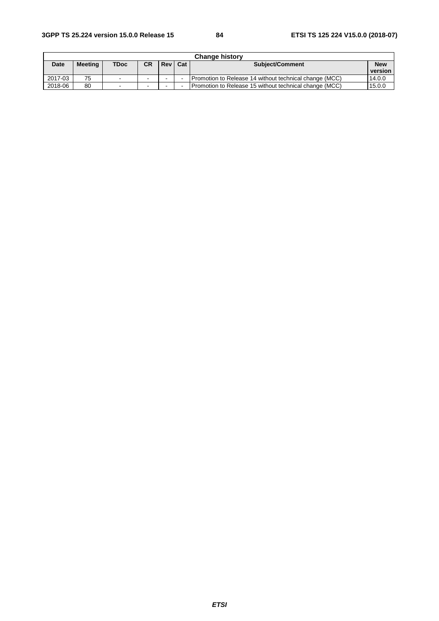| <b>Change history</b> |                |             |                          |       |     |                                                        |            |  |  |  |  |
|-----------------------|----------------|-------------|--------------------------|-------|-----|--------------------------------------------------------|------------|--|--|--|--|
| <b>Date</b>           | <b>Meeting</b> | <b>TDoc</b> | <b>CR</b>                | Rev I | Cat | <b>Subject/Comment</b>                                 | <b>New</b> |  |  |  |  |
|                       |                |             |                          |       |     |                                                        | version    |  |  |  |  |
| 2017-03               | 75             | $\sim$      | $\sim$                   | -     |     | Promotion to Release 14 without technical change (MCC) | 14.0.0     |  |  |  |  |
| 2018-06               | 80             | $\sim$      | $\overline{\phantom{a}}$ |       |     | Promotion to Release 15 without technical change (MCC) | 15.0.0     |  |  |  |  |